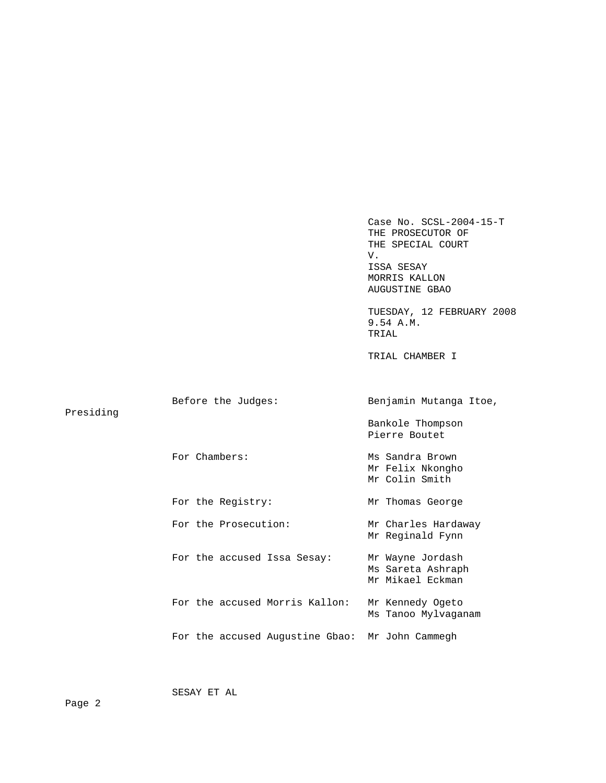Case No. SCSL-2004-15-T THE PROSECUTOR OF THE SPECIAL COURT V. ISSA SESAY MORRIS KALLON AUGUSTINE GBAO TUESDAY, 12 FEBRUARY 2008 9.54 A.M. TRIAL TRIAL CHAMBER I Before the Judges: Benjamin Mutanga Itoe, Presiding Bankole Thompson Pierre Boutet For Chambers: Ms Sandra Brown Mr Felix Nkongho Mr Colin Smith For the Registry: Mr Thomas George For the Prosecution: Mr Charles Hardaway Mr Reginald Fynn For the accused Issa Sesay: Mr Wayne Jordash Ms Sareta Ashraph Mr Mikael Eckman For the accused Morris Kallon: Mr Kennedy Ogeto Ms Tanoo Mylvaganam For the accused Augustine Gbao: Mr John Cammegh

SESAY ET AL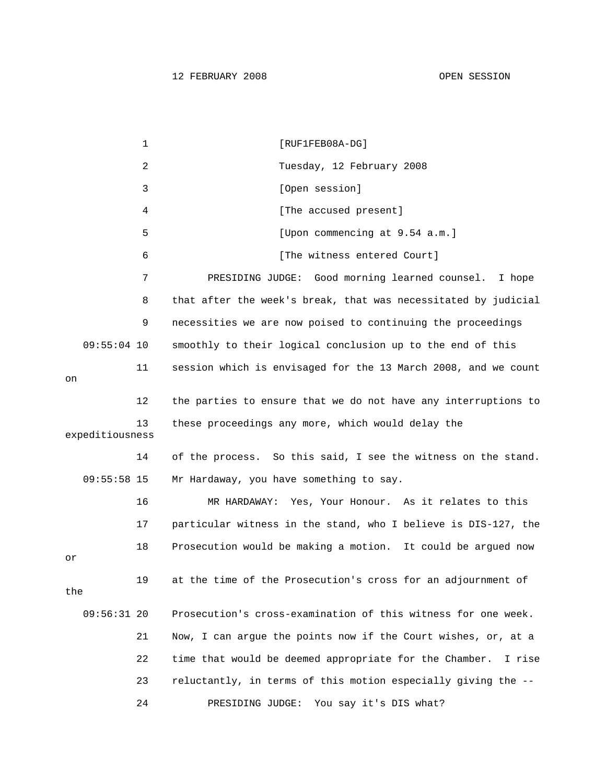1 [RUF1FEB08A-DG] 2 Tuesday, 12 February 2008 3 [Open session] 4 [The accused present] 5 [Upon commencing at 9.54 a.m.] 6 **b** [The witness entered Court] 7 PRESIDING JUDGE: Good morning learned counsel. I hope 8 that after the week's break, that was necessitated by judicial 9 necessities we are now poised to continuing the proceedings 09:55:04 10 smoothly to their logical conclusion up to the end of this 11 session which is envisaged for the 13 March 2008, and we count on 12 the parties to ensure that we do not have any interruptions to 13 these proceedings any more, which would delay the expeditiousness 14 of the process. So this said, I see the witness on the stand. 09:55:58 15 Mr Hardaway, you have something to say. 16 MR HARDAWAY: Yes, Your Honour. As it relates to this 17 particular witness in the stand, who I believe is DIS-127, the 18 Prosecution would be making a motion. It could be argued now or 19 at the time of the Prosecution's cross for an adjournment of the 09:56:31 20 Prosecution's cross-examination of this witness for one week. 21 Now, I can argue the points now if the Court wishes, or, at a 22 time that would be deemed appropriate for the Chamber. I rise 23 reluctantly, in terms of this motion especially giving the -- 24 PRESIDING JUDGE: You say it's DIS what?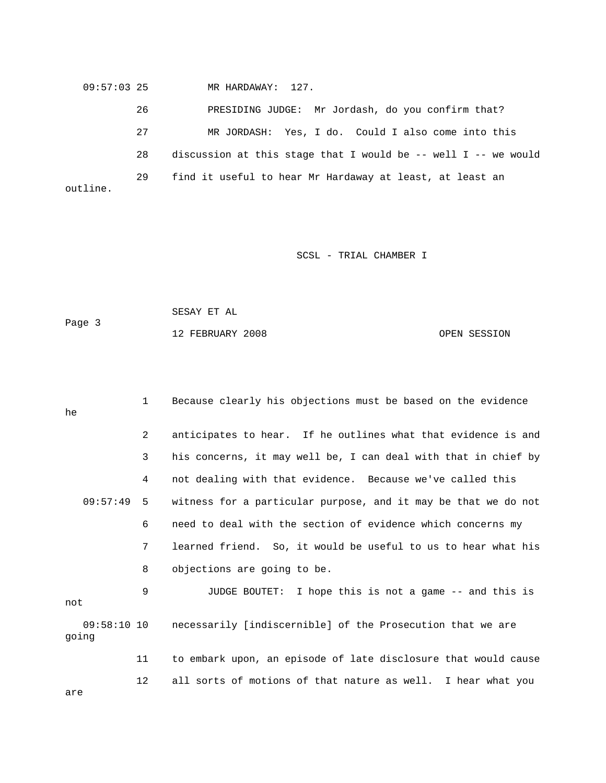09:57:03 25 MR HARDAWAY: 127.

 26 PRESIDING JUDGE: Mr Jordash, do you confirm that? 27 MR JORDASH: Yes, I do. Could I also come into this 28 discussion at this stage that I would be -- well I -- we would 29 find it useful to hear Mr Hardaway at least, at least an outline.

SCSL - TRIAL CHAMBER I

12 FEBRUARY 2008 OPEN SESSION

 SESAY ET AL Page 3

 1 Because clearly his objections must be based on the evidence he 2 anticipates to hear. If he outlines what that evidence is and 3 his concerns, it may well be, I can deal with that in chief by 4 not dealing with that evidence. Because we've called this 09:57:49 5 witness for a particular purpose, and it may be that we do not 6 need to deal with the section of evidence which concerns my 7 learned friend. So, it would be useful to us to hear what his 8 objections are going to be. 9 JUDGE BOUTET: I hope this is not a game -- and this is not 09:58:10 10 necessarily [indiscernible] of the Prosecution that we are

going 11 to embark upon, an episode of late disclosure that would cause

12 all sorts of motions of that nature as well. I hear what you

are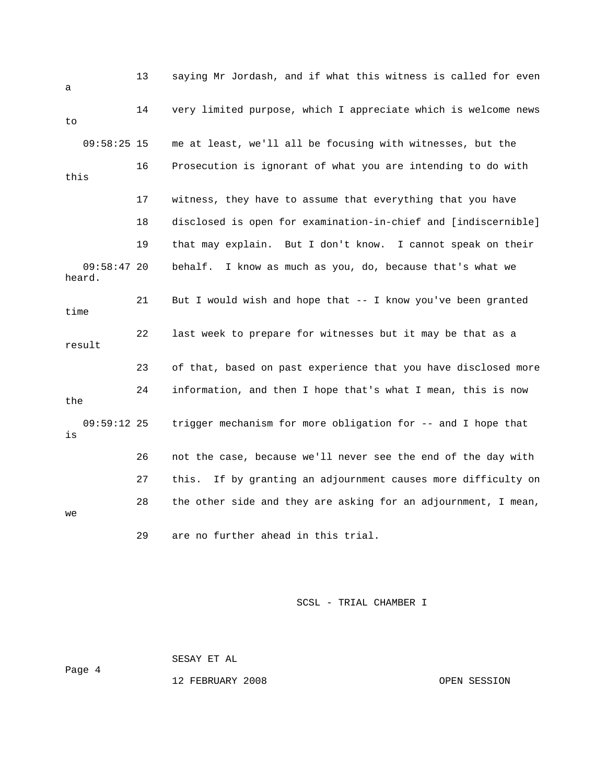| a    |                      | 13 | saying Mr Jordash, and if what this witness is called for even   |
|------|----------------------|----|------------------------------------------------------------------|
| to   |                      | 14 | very limited purpose, which I appreciate which is welcome news   |
|      | $09:58:25$ 15        |    | me at least, we'll all be focusing with witnesses, but the       |
| this |                      | 16 | Prosecution is ignorant of what you are intending to do with     |
|      |                      | 17 | witness, they have to assume that everything that you have       |
|      |                      | 18 | disclosed is open for examination-in-chief and [indiscernible]   |
|      |                      | 19 | that may explain. But I don't know. I cannot speak on their      |
|      | 09:58:4720<br>heard. |    | I know as much as you, do, because that's what we<br>behalf.     |
| time |                      | 21 | But I would wish and hope that $-$ - I know you've been granted  |
|      | result               | 22 | last week to prepare for witnesses but it may be that as a       |
|      |                      | 23 | of that, based on past experience that you have disclosed more   |
| the  |                      | 24 | information, and then I hope that's what I mean, this is now     |
| is   | $09:59:12$ 25        |    | trigger mechanism for more obligation for -- and I hope that     |
|      |                      | 26 | not the case, because we'll never see the end of the day with    |
|      |                      | 27 | this.<br>If by granting an adjournment causes more difficulty on |
| we   |                      | 28 | the other side and they are asking for an adjournment, I mean,   |
|      |                      | 29 | are no further ahead in this trial.                              |

SESAY ET AL

Page 4

12 FEBRUARY 2008 OPEN SESSION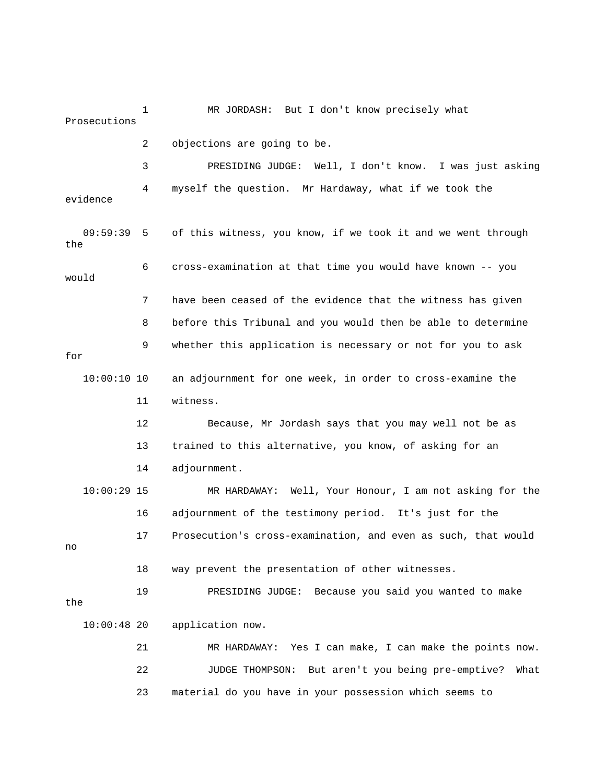1 MR JORDASH: But I don't know precisely what Prosecutions 2 objections are going to be. 3 PRESIDING JUDGE: Well, I don't know. I was just asking 4 myself the question. Mr Hardaway, what if we took the evidence 09:59:39 5 of this witness, you know, if we took it and we went through the 6 cross-examination at that time you would have known -- you would 7 have been ceased of the evidence that the witness has given 8 before this Tribunal and you would then be able to determine 9 whether this application is necessary or not for you to ask for 10:00:10 10 an adjournment for one week, in order to cross-examine the 11 witness. 12 Because, Mr Jordash says that you may well not be as 13 trained to this alternative, you know, of asking for an 14 adjournment. 10:00:29 15 MR HARDAWAY: Well, Your Honour, I am not asking for the 16 adjournment of the testimony period. It's just for the 17 Prosecution's cross-examination, and even as such, that would no 18 way prevent the presentation of other witnesses. 19 PRESIDING JUDGE: Because you said you wanted to make the 10:00:48 20 application now. 21 MR HARDAWAY: Yes I can make, I can make the points now. 22 JUDGE THOMPSON: But aren't you being pre-emptive? What 23 material do you have in your possession which seems to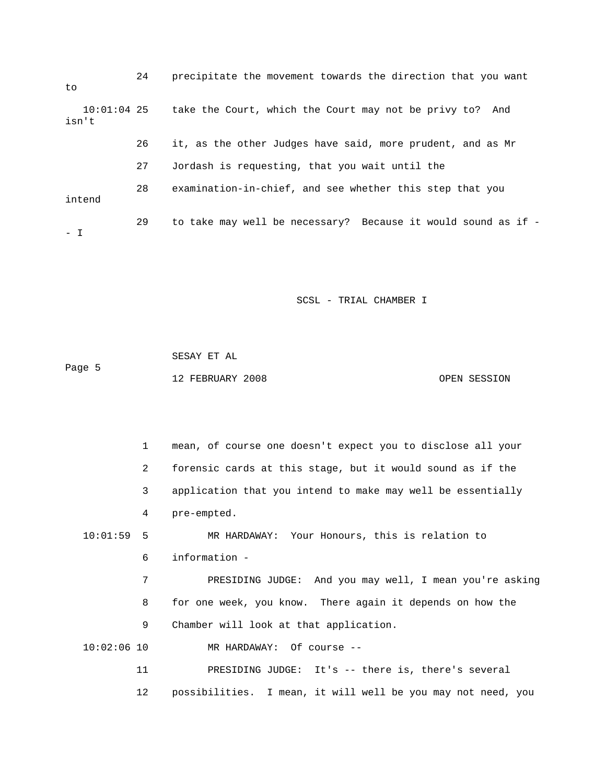24 precipitate the movement towards the direction that you want to 10:01:04 25 take the Court, which the Court may not be privy to? And isn't 26 it, as the other Judges have said, more prudent, and as Mr 27 Jordash is requesting, that you wait until the 28 examination-in-chief, and see whether this step that you intend 29 to take may well be necessary? Because it would sound as if - - I

SCSL - TRIAL CHAMBER I

 SESAY ET AL Page 5 12 FEBRUARY 2008 OPEN SESSION

 1 mean, of course one doesn't expect you to disclose all your 2 forensic cards at this stage, but it would sound as if the 3 application that you intend to make may well be essentially 4 pre-empted. 10:01:59 5 MR HARDAWAY: Your Honours, this is relation to 6 information - 7 PRESIDING JUDGE: And you may well, I mean you're asking 8 for one week, you know. There again it depends on how the 9 Chamber will look at that application. 10:02:06 10 MR HARDAWAY: Of course -- 11 PRESIDING JUDGE: It's -- there is, there's several 12 possibilities. I mean, it will well be you may not need, you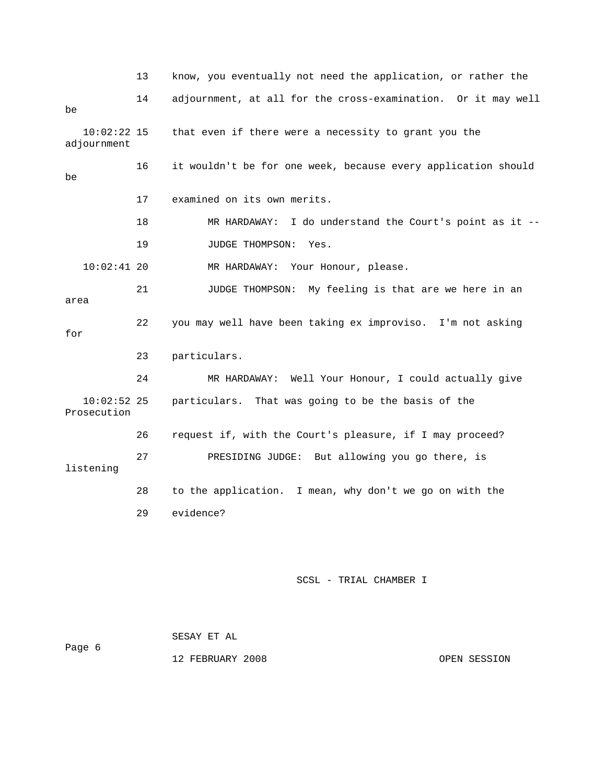13 know, you eventually not need the application, or rather the 14 adjournment, at all for the cross-examination. Or it may well be 10:02:22 15 that even if there were a necessity to grant you the adjournment 16 it wouldn't be for one week, because every application should be 17 examined on its own merits. 18 MR HARDAWAY: I do understand the Court's point as it -- 19 JUDGE THOMPSON: Yes. 10:02:41 20 MR HARDAWAY: Your Honour, please. 21 JUDGE THOMPSON: My feeling is that are we here in an area 22 you may well have been taking ex improviso. I'm not asking for 23 particulars. 24 MR HARDAWAY: Well Your Honour, I could actually give 10:02:52 25 particulars. That was going to be the basis of the Prosecution 26 request if, with the Court's pleasure, if I may proceed? 27 PRESIDING JUDGE: But allowing you go there, is listening 28 to the application. I mean, why don't we go on with the 29 evidence?

SCSL - TRIAL CHAMBER I

|        | SESAY ET AL      |              |
|--------|------------------|--------------|
| Page 6 |                  |              |
|        | 12 FEBRUARY 2008 | OPEN SESSION |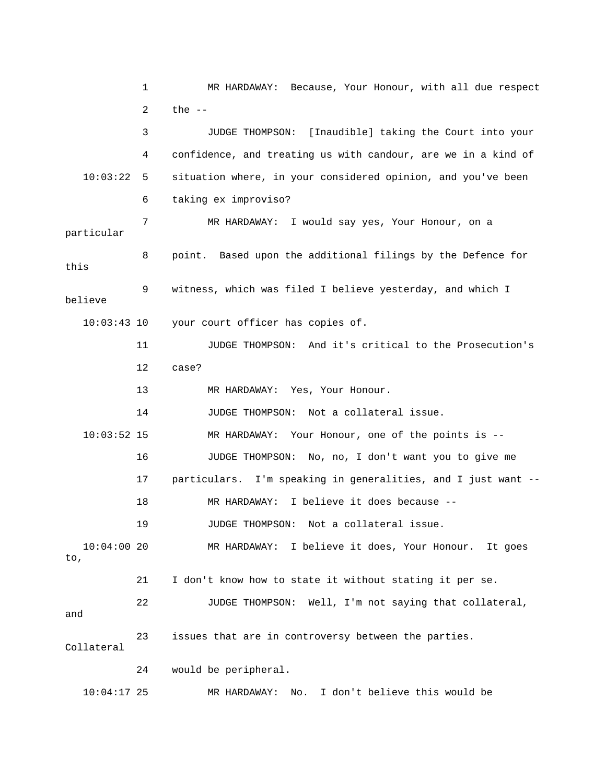1 MR HARDAWAY: Because, Your Honour, with all due respect 2 the -- 3 JUDGE THOMPSON: [Inaudible] taking the Court into your 4 confidence, and treating us with candour, are we in a kind of 10:03:22 5 situation where, in your considered opinion, and you've been 6 taking ex improviso? 7 MR HARDAWAY: I would say yes, Your Honour, on a particular 8 point. Based upon the additional filings by the Defence for this 9 witness, which was filed I believe yesterday, and which I believe 10:03:43 10 your court officer has copies of. 11 JUDGE THOMPSON: And it's critical to the Prosecution's 12 case? 13 MR HARDAWAY: Yes, Your Honour. 14 JUDGE THOMPSON: Not a collateral issue. 10:03:52 15 MR HARDAWAY: Your Honour, one of the points is -- 16 JUDGE THOMPSON: No, no, I don't want you to give me 17 particulars. I'm speaking in generalities, and I just want -- 18 MR HARDAWAY: I believe it does because -- 19 JUDGE THOMPSON: Not a collateral issue. 10:04:00 20 MR HARDAWAY: I believe it does, Your Honour. It goes to, 21 I don't know how to state it without stating it per se. 22 JUDGE THOMPSON: Well, I'm not saying that collateral, and 23 issues that are in controversy between the parties. Collateral 24 would be peripheral. 10:04:17 25 MR HARDAWAY: No. I don't believe this would be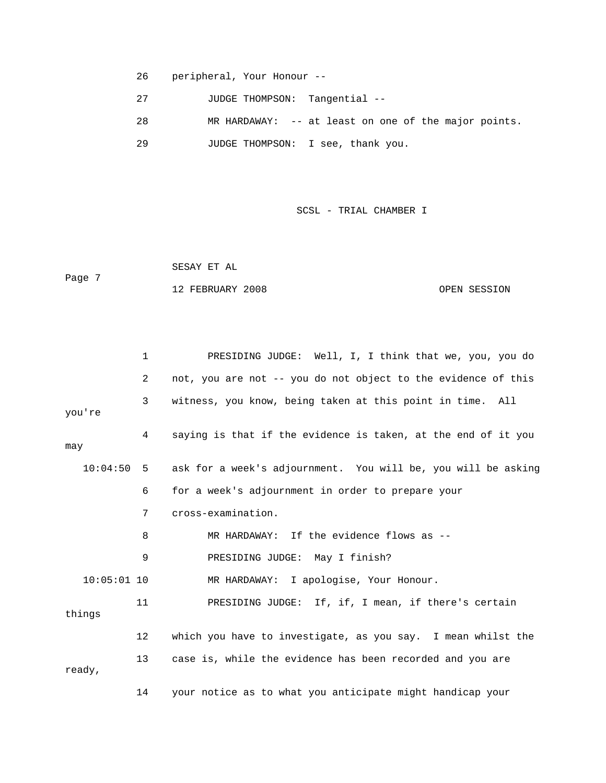- 26 peripheral, Your Honour --
- 27 JUDGE THOMPSON: Tangential --
- 28 MR HARDAWAY: -- at least on one of the major points.
- 29 JUDGE THOMPSON: I see, thank you.

 SESAY ET AL Page 7 12 FEBRUARY 2008 CPEN SESSION

|               | $\mathbf 1$ | PRESIDING JUDGE: Well, I, I think that we, you, you do        |
|---------------|-------------|---------------------------------------------------------------|
|               | 2           | not, you are not -- you do not object to the evidence of this |
| you're        | 3           | witness, you know, being taken at this point in time. All     |
| may           | 4           | saying is that if the evidence is taken, at the end of it you |
| 10:04:50      | 5           | ask for a week's adjournment. You will be, you will be asking |
|               | 6           | for a week's adjournment in order to prepare your             |
|               | 7           | cross-examination.                                            |
|               | 8           | MR HARDAWAY: If the evidence flows as --                      |
|               | 9           | PRESIDING JUDGE: May I finish?                                |
| $10:05:01$ 10 |             | MR HARDAWAY: I apologise, Your Honour.                        |
| things        | 11          | PRESIDING JUDGE: If, if, I mean, if there's certain           |
|               | 12          | which you have to investigate, as you say. I mean whilst the  |
| ready,        | 13          | case is, while the evidence has been recorded and you are     |
|               | 14          | your notice as to what you anticipate might handicap your     |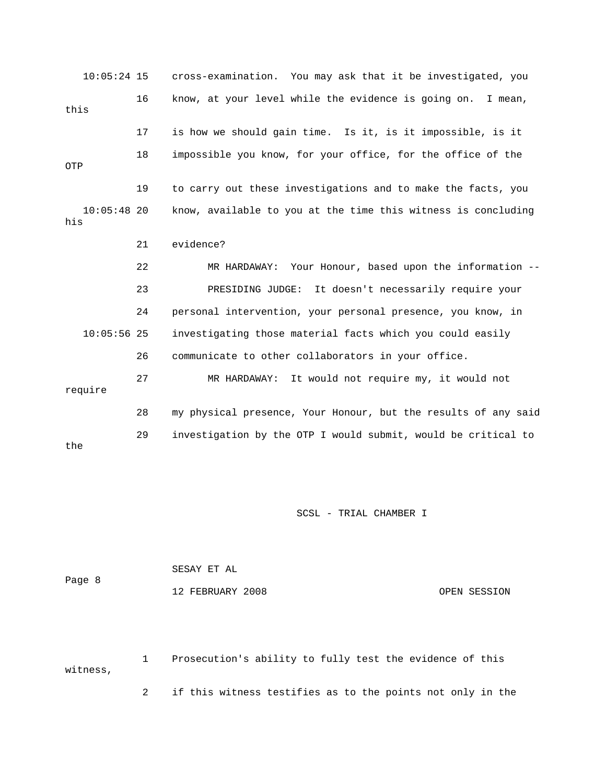| $10:05:24$ 15        |    | cross-examination. You may ask that it be investigated, you    |
|----------------------|----|----------------------------------------------------------------|
| this                 | 16 | know, at your level while the evidence is going on.<br>I mean, |
|                      | 17 | is how we should gain time. Is it, is it impossible, is it     |
| OTP                  | 18 | impossible you know, for your office, for the office of the    |
|                      | 19 | to carry out these investigations and to make the facts, you   |
| $10:05:48$ 20<br>his |    | know, available to you at the time this witness is concluding  |
|                      | 21 | evidence?                                                      |
|                      | 22 | MR HARDAWAY: Your Honour, based upon the information --        |
|                      | 23 | It doesn't necessarily require your<br>PRESIDING JUDGE:        |
|                      | 24 | personal intervention, your personal presence, you know, in    |
| $10:05:56$ 25        |    | investigating those material facts which you could easily      |
|                      | 26 | communicate to other collaborators in your office.             |
| require              | 27 | MR HARDAWAY: It would not require my, it would not             |
|                      | 28 | my physical presence, Your Honour, but the results of any said |
| the                  | 29 | investigation by the OTP I would submit, would be critical to  |

| Page 8 | SESAY ET AL      |              |
|--------|------------------|--------------|
|        | 12 FEBRUARY 2008 | OPEN SESSION |

 1 Prosecution's ability to fully test the evidence of this witness,

2 if this witness testifies as to the points not only in the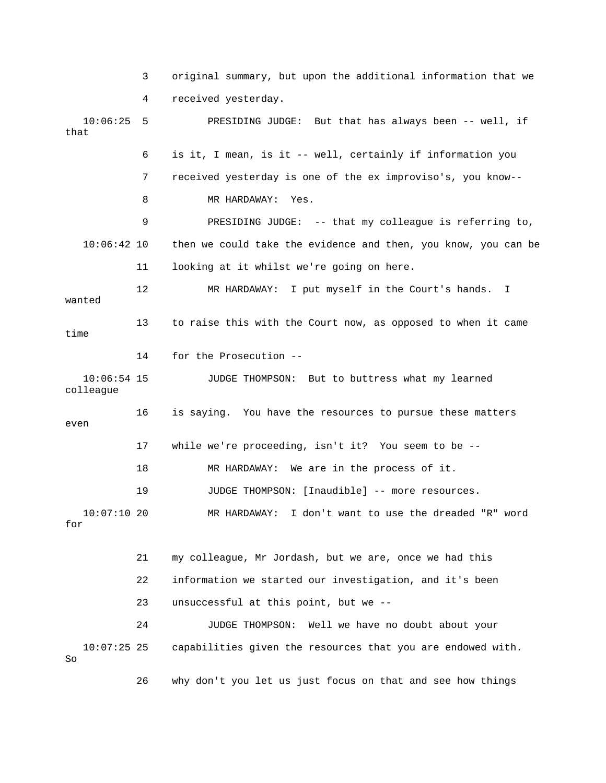3 original summary, but upon the additional information that we 4 received yesterday. 10:06:25 5 PRESIDING JUDGE: But that has always been -- well, if that 6 is it, I mean, is it -- well, certainly if information you 7 received yesterday is one of the ex improviso's, you know-- 8 MR HARDAWAY: Yes. 9 PRESIDING JUDGE: -- that my colleague is referring to, 10:06:42 10 then we could take the evidence and then, you know, you can be 11 looking at it whilst we're going on here. 12 MR HARDAWAY: I put myself in the Court's hands. I wanted 13 to raise this with the Court now, as opposed to when it came time 14 for the Prosecution -- 10:06:54 15 JUDGE THOMPSON: But to buttress what my learned colleague 16 is saying. You have the resources to pursue these matters even 17 while we're proceeding, isn't it? You seem to be -- 18 MR HARDAWAY: We are in the process of it. 19 JUDGE THOMPSON: [Inaudible] -- more resources. 10:07:10 20 MR HARDAWAY: I don't want to use the dreaded "R" word for 21 my colleague, Mr Jordash, but we are, once we had this 22 information we started our investigation, and it's been 23 unsuccessful at this point, but we -- 24 JUDGE THOMPSON: Well we have no doubt about your

 10:07:25 25 capabilities given the resources that you are endowed with. So

26 why don't you let us just focus on that and see how things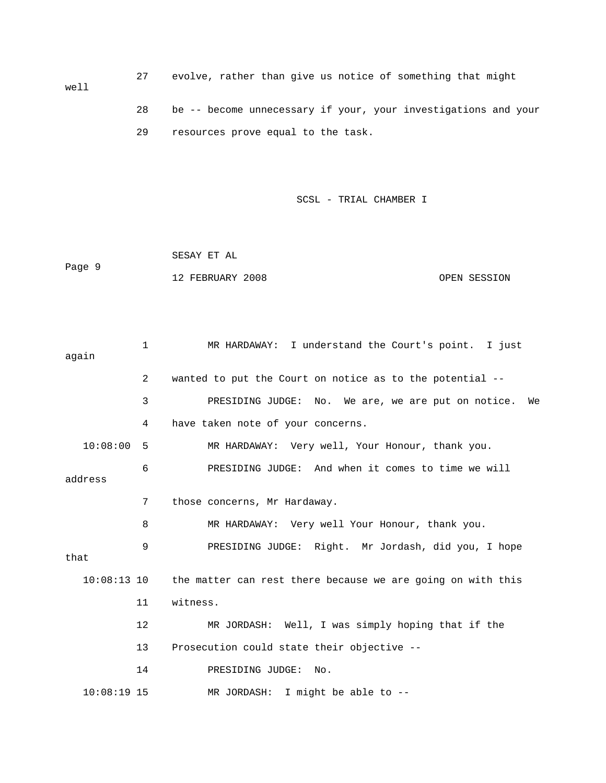27 evolve, rather than give us notice of something that might well 28 be -- become unnecessary if your, your investigations and your

29 resources prove equal to the task.

SCSL - TRIAL CHAMBER I

 SESAY ET AL Page 9 12 FEBRUARY 2008 OPEN SESSION

 1 MR HARDAWAY: I understand the Court's point. I just again 2 wanted to put the Court on notice as to the potential -- 3 PRESIDING JUDGE: No. We are, we are put on notice. We 4 have taken note of your concerns. 10:08:00 5 MR HARDAWAY: Very well, Your Honour, thank you. 6 PRESIDING JUDGE: And when it comes to time we will address 7 those concerns, Mr Hardaway. 8 MR HARDAWAY: Very well Your Honour, thank you. 9 PRESIDING JUDGE: Right. Mr Jordash, did you, I hope that 10:08:13 10 the matter can rest there because we are going on with this 11 witness. 12 MR JORDASH: Well, I was simply hoping that if the 13 Prosecution could state their objective -- 14 PRESIDING JUDGE: No. 10:08:19 15 MR JORDASH: I might be able to --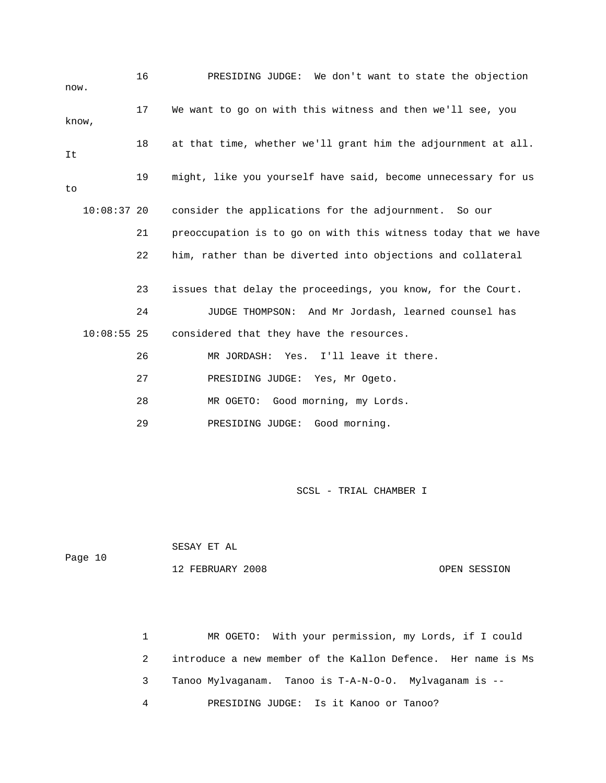| now.  |               | 16 | PRESIDING JUDGE: We don't want to state the objection          |
|-------|---------------|----|----------------------------------------------------------------|
| know, |               | 17 | We want to go on with this witness and then we'll see, you     |
| It    |               | 18 | at that time, whether we'll grant him the adjournment at all.  |
| to    |               | 19 | might, like you yourself have said, become unnecessary for us  |
|       | $10:08:37$ 20 |    | consider the applications for the adjournment. So our          |
|       |               | 21 | preoccupation is to go on with this witness today that we have |
|       |               | 22 | him, rather than be diverted into objections and collateral    |
|       |               | 23 | issues that delay the proceedings, you know, for the Court.    |
|       |               | 24 | JUDGE THOMPSON: And Mr Jordash, learned counsel has            |
|       | $10:08:55$ 25 |    | considered that they have the resources.                       |
|       |               | 26 | MR JORDASH: Yes.<br>I'll leave it there.                       |
|       |               | 27 | PRESIDING JUDGE: Yes, Mr Ogeto.                                |
|       |               | 28 | MR OGETO: Good morning, my Lords.                              |
|       |               | 29 | PRESIDING JUDGE: Good morning.                                 |

|         | SESAY ET AL      |              |
|---------|------------------|--------------|
| Page 10 |                  |              |
|         | 12 FEBRUARY 2008 | OPEN SESSION |

 1 MR OGETO: With your permission, my Lords, if I could 2 introduce a new member of the Kallon Defence. Her name is Ms 3 Tanoo Mylvaganam. Tanoo is T-A-N-O-O. Mylvaganam is -- 4 PRESIDING JUDGE: Is it Kanoo or Tanoo?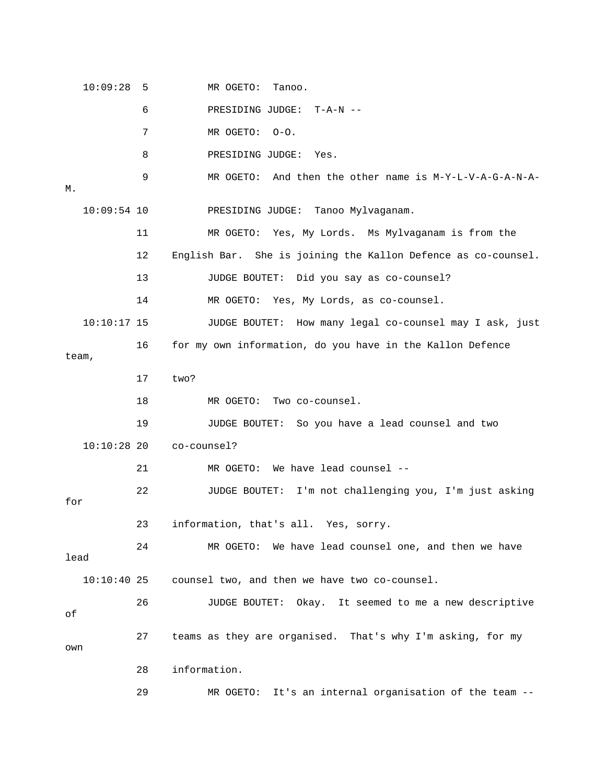10:09:28 5 MR OGETO: Tanoo. 6 PRESIDING JUDGE: T-A-N -- 7 MR OGETO: O-O. 8 PRESIDING JUDGE: Yes. 9 MR OGETO: And then the other name is M-Y-L-V-A-G-A-N-A-M. 10:09:54 10 PRESIDING JUDGE: Tanoo Mylvaganam. 11 MR OGETO: Yes, My Lords. Ms Mylvaganam is from the 12 English Bar. She is joining the Kallon Defence as co-counsel. 13 JUDGE BOUTET: Did you say as co-counsel? 14 MR OGETO: Yes, My Lords, as co-counsel. 10:10:17 15 JUDGE BOUTET: How many legal co-counsel may I ask, just 16 for my own information, do you have in the Kallon Defence team, 17 two? 18 MR OGETO: Two co-counsel. 19 JUDGE BOUTET: So you have a lead counsel and two 10:10:28 20 co-counsel? 21 MR OGETO: We have lead counsel -- 22 JUDGE BOUTET: I'm not challenging you, I'm just asking for 23 information, that's all. Yes, sorry. 24 MR OGETO: We have lead counsel one, and then we have lead 10:10:40 25 counsel two, and then we have two co-counsel. 26 JUDGE BOUTET: Okay. It seemed to me a new descriptive of 27 teams as they are organised. That's why I'm asking, for my own 28 information. 29 MR OGETO: It's an internal organisation of the team --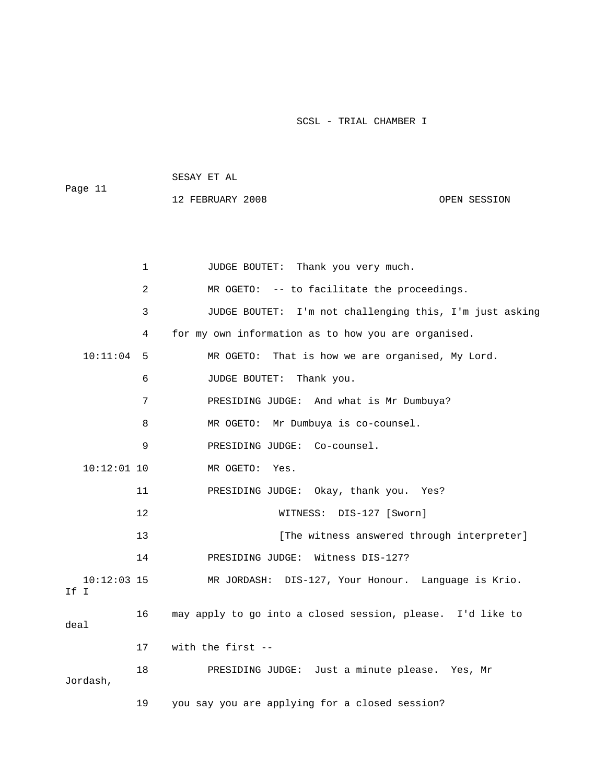| Page 11 | SESAY ET AL      |              |
|---------|------------------|--------------|
|         | 12 FEBRUARY 2008 | OPEN SESSION |

|                       | 1              | JUDGE BOUTET: Thank you very much.                         |
|-----------------------|----------------|------------------------------------------------------------|
|                       | $\overline{a}$ | MR OGETO: -- to facilitate the proceedings.                |
|                       | 3              | JUDGE BOUTET: I'm not challenging this, I'm just asking    |
|                       | 4              | for my own information as to how you are organised.        |
| 10:11:04              | -5             | MR OGETO: That is how we are organised, My Lord.           |
|                       | 6              | JUDGE BOUTET: Thank you.                                   |
|                       | 7              | PRESIDING JUDGE: And what is Mr Dumbuya?                   |
|                       | 8              | MR OGETO: Mr Dumbuya is co-counsel.                        |
|                       | 9              | PRESIDING JUDGE: Co-counsel.                               |
| $10:12:01$ 10         |                | MR OGETO: Yes.                                             |
|                       | 11             | PRESIDING JUDGE: Okay, thank you. Yes?                     |
|                       | 12             | WITNESS: DIS-127 [Sworn]                                   |
|                       | 13             | [The witness answered through interpreter]                 |
|                       | 14             | PRESIDING JUDGE: Witness DIS-127?                          |
| $10:12:03$ 15<br>If I |                | MR JORDASH: DIS-127, Your Honour. Language is Krio.        |
| deal                  | 16             | may apply to go into a closed session, please. I'd like to |
|                       | 17             | with the first --                                          |
| Jordash,              | 18             | PRESIDING JUDGE: Just a minute please. Yes, Mr             |
|                       | 19             | you say you are applying for a closed session?             |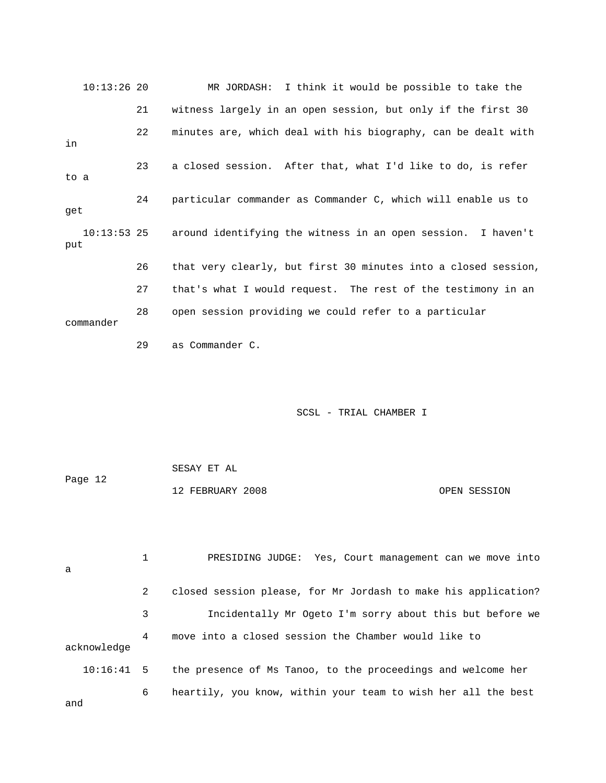| $10:13:26$ 20        |    | MR JORDASH: I think it would be possible to take the           |
|----------------------|----|----------------------------------------------------------------|
|                      | 21 | witness largely in an open session, but only if the first 30   |
| in                   | 22 | minutes are, which deal with his biography, can be dealt with  |
| to a                 | 23 | a closed session. After that, what I'd like to do, is refer    |
| get                  | 24 | particular commander as Commander C, which will enable us to   |
| $10:13:53$ 25<br>put |    | around identifying the witness in an open session. I haven't   |
|                      | 26 | that very clearly, but first 30 minutes into a closed session, |
|                      | 27 | that's what I would request. The rest of the testimony in an   |
| commander            | 28 | open session providing we could refer to a particular          |

29 as Commander C.

## SCSL - TRIAL CHAMBER I

|         | SESAY ET AL      |              |
|---------|------------------|--------------|
| Page 12 |                  |              |
|         | 12 FEBRUARY 2008 | OPEN SESSION |

| a            |   | PRESIDING JUDGE: Yes, Court management can we move into        |
|--------------|---|----------------------------------------------------------------|
|              | 2 | closed session please, for Mr Jordash to make his application? |
|              | 3 | Incidentally Mr Ogeto I'm sorry about this but before we       |
| acknowledge  | 4 | move into a closed session the Chamber would like to           |
| $10:16:41$ 5 |   | the presence of Ms Tanoo, to the proceedings and welcome her   |
| and          | 6 | heartily, you know, within your team to wish her all the best  |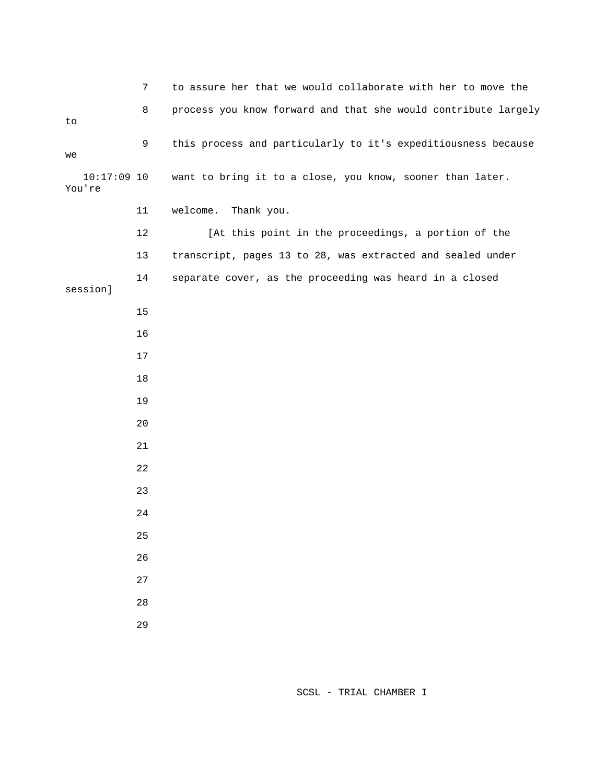7 to assure her that we would collaborate with her to move the 8 process you know forward and that she would contribute largely to 9 this process and particularly to it's expeditiousness because we 10:17:09 10 want to bring it to a close, you know, sooner than later. You're 11 welcome. Thank you. 12 [At this point in the proceedings, a portion of the 13 transcript, pages 13 to 28, was extracted and sealed under 14 separate cover, as the proceeding was heard in a closed session] 15 16 17 18 19 20 21 22 23 24 25 26 27 28 29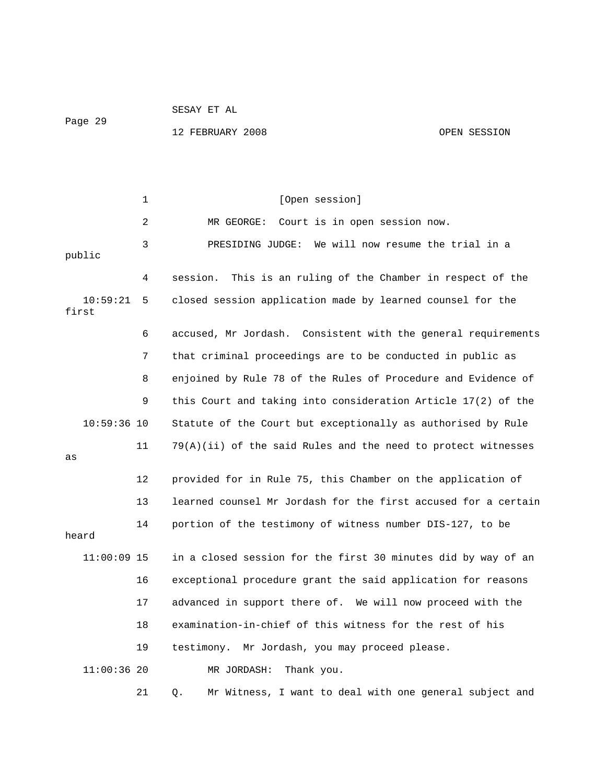SESAY ET AL Page 29

12 FEBRUARY 2008 OPEN SESSION

1 [Open session] 2 MR GEORGE: Court is in open session now. 3 PRESIDING JUDGE: We will now resume the trial in a public 4 session. This is an ruling of the Chamber in respect of the 10:59:21 5 closed session application made by learned counsel for the first 6 accused, Mr Jordash. Consistent with the general requirements 7 that criminal proceedings are to be conducted in public as 8 enjoined by Rule 78 of the Rules of Procedure and Evidence of 9 this Court and taking into consideration Article 17(2) of the 10:59:36 10 Statute of the Court but exceptionally as authorised by Rule 11 79(A)(ii) of the said Rules and the need to protect witnesses as 12 provided for in Rule 75, this Chamber on the application of 13 learned counsel Mr Jordash for the first accused for a certain 14 portion of the testimony of witness number DIS-127, to be heard 11:00:09 15 in a closed session for the first 30 minutes did by way of an 16 exceptional procedure grant the said application for reasons 17 advanced in support there of. We will now proceed with the 18 examination-in-chief of this witness for the rest of his 19 testimony. Mr Jordash, you may proceed please. 11:00:36 20 MR JORDASH: Thank you. 21 Q. Mr Witness, I want to deal with one general subject and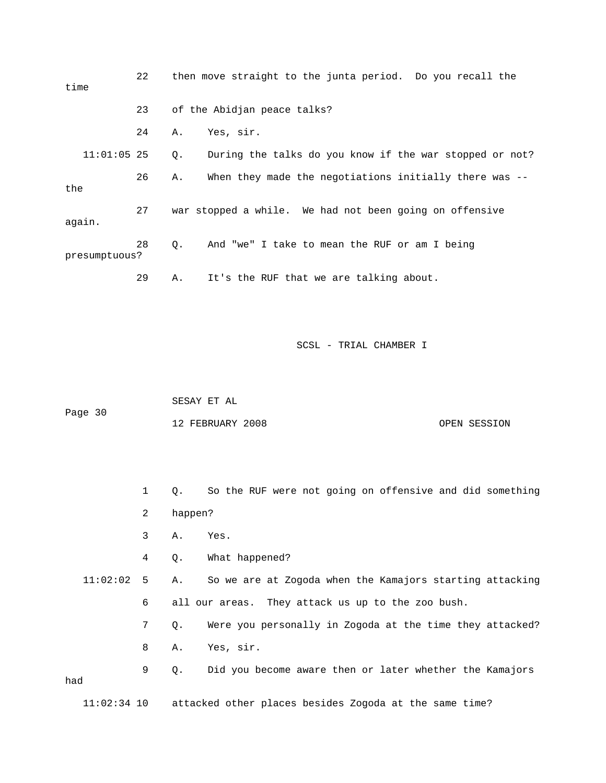| time          | 22 | then move straight to the junta period. Do you recall the     |
|---------------|----|---------------------------------------------------------------|
|               | 23 | of the Abidjan peace talks?                                   |
|               | 24 | Yes, sir.<br>Α.                                               |
| $11:01:05$ 25 |    | During the talks do you know if the war stopped or not?<br>Q. |
| the           | 26 | When they made the negotiations initially there was --<br>Α.  |
| again.        | 27 | war stopped a while. We had not been going on offensive       |
| presumptuous? | 28 | And "we" I take to mean the RUF or am I being<br>Q.           |
|               | 29 | It's the RUF that we are talking about.<br>Α.                 |

 SESAY ET AL Page 30 12 FEBRUARY 2008 OPEN SESSION

 1 Q. So the RUF were not going on offensive and did something 2 happen? 3 A. Yes. 4 Q. What happened? 11:02:02 5 A. So we are at Zogoda when the Kamajors starting attacking 6 all our areas. They attack us up to the zoo bush. 7 Q. Were you personally in Zogoda at the time they attacked? 8 A. Yes, sir. 9 Q. Did you become aware then or later whether the Kamajors had

11:02:34 10 attacked other places besides Zogoda at the same time?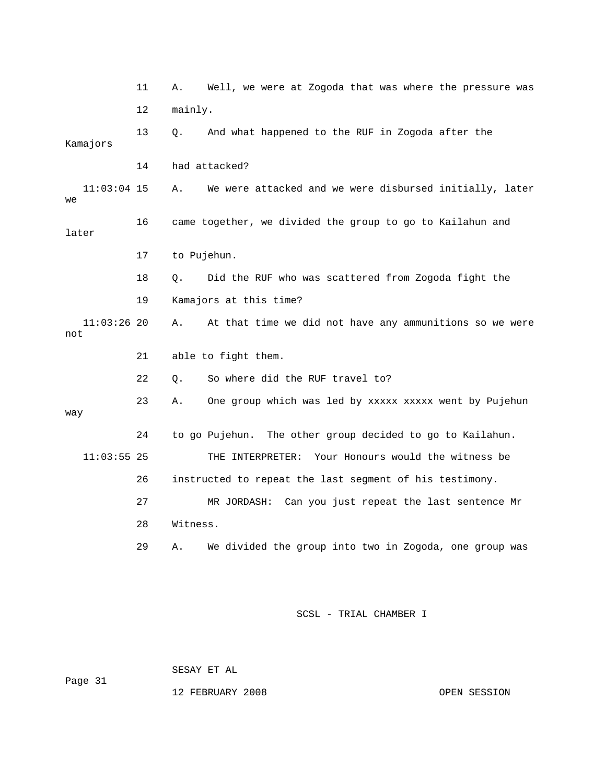|                      | 11 | Α.          | Well, we were at Zogoda that was where the pressure was   |
|----------------------|----|-------------|-----------------------------------------------------------|
|                      | 12 | mainly.     |                                                           |
| Kamajors             | 13 | Q.          | And what happened to the RUF in Zogoda after the          |
|                      | 14 |             | had attacked?                                             |
| $11:03:04$ 15<br>we  |    | Α.          | We were attacked and we were disbursed initially, later   |
| later                | 16 |             | came together, we divided the group to go to Kailahun and |
|                      | 17 | to Pujehun. |                                                           |
|                      | 18 | Q.          | Did the RUF who was scattered from Zogoda fight the       |
|                      | 19 |             | Kamajors at this time?                                    |
| $11:03:26$ 20<br>not |    | Α.          | At that time we did not have any ammunitions so we were   |
|                      | 21 |             | able to fight them.                                       |
|                      | 22 | Ο.          | So where did the RUF travel to?                           |
| way                  | 23 | Α.          | One group which was led by xxxxx xxxxx went by Pujehun    |
|                      | 24 |             | to go Pujehun. The other group decided to go to Kailahun. |
| $11:03:55$ 25        |    |             | Your Honours would the witness be<br>THE INTERPRETER:     |
|                      | 26 |             | instructed to repeat the last segment of his testimony.   |
|                      | 27 |             | MR JORDASH: Can you just repeat the last sentence Mr      |
|                      | 28 | Witness.    |                                                           |
|                      | 29 | Α.          | We divided the group into two in Zogoda, one group was    |

 SESAY ET AL Page 31

12 FEBRUARY 2008 OPEN SESSION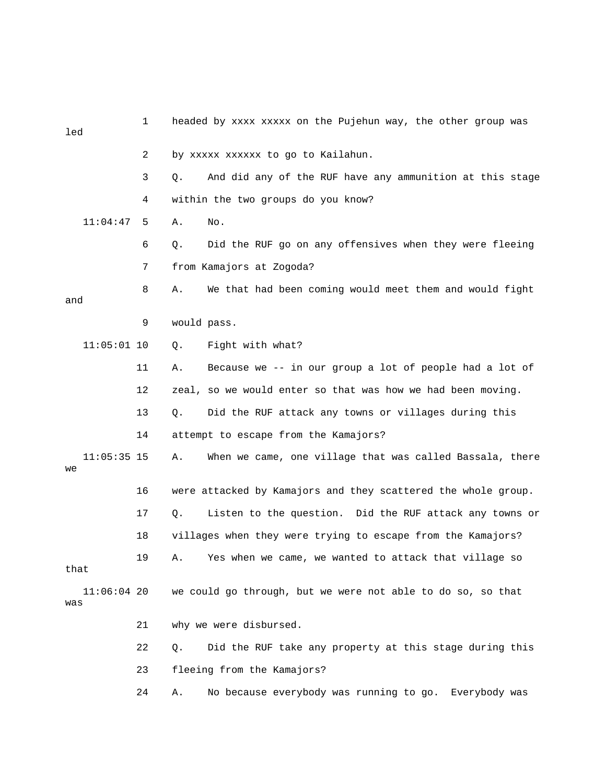| led  |               | 1  |                                      | headed by xxxx xxxxx on the Pujehun way, the other group was  |
|------|---------------|----|--------------------------------------|---------------------------------------------------------------|
|      |               | 2  | by xxxxx xxxxxx to go to Kailahun.   |                                                               |
|      |               | 3  | Q.                                   | And did any of the RUF have any ammunition at this stage      |
|      |               | 4  | within the two groups do you know?   |                                                               |
|      | 11:04:47      | 5  | No.<br>Α.                            |                                                               |
|      |               | 6  | Q.                                   | Did the RUF go on any offensives when they were fleeing       |
|      |               | 7  | from Kamajors at Zogoda?             |                                                               |
| and  |               | 8  | Α.                                   | We that had been coming would meet them and would fight       |
|      |               | 9  | would pass.                          |                                                               |
|      | $11:05:01$ 10 |    | Fight with what?<br>Q.               |                                                               |
|      |               | 11 | Α.                                   | Because we -- in our group a lot of people had a lot of       |
|      |               | 12 |                                      | zeal, so we would enter so that was how we had been moving.   |
|      |               | 13 | Q.                                   | Did the RUF attack any towns or villages during this          |
|      |               | 14 | attempt to escape from the Kamajors? |                                                               |
| we   | $11:05:35$ 15 |    | Α.                                   | When we came, one village that was called Bassala, there      |
|      |               | 16 |                                      | were attacked by Kamajors and they scattered the whole group. |
|      |               | 17 | Q.                                   | Listen to the question. Did the RUF attack any towns or       |
|      |               | 18 |                                      | villages when they were trying to escape from the Kamajors?   |
| that |               | 19 | Α.                                   | Yes when we came, we wanted to attack that village so         |
| was  | $11:06:04$ 20 |    |                                      | we could go through, but we were not able to do so, so that   |
|      |               | 21 | why we were disbursed.               |                                                               |
|      |               | 22 | Q.                                   | Did the RUF take any property at this stage during this       |
|      |               | 23 | fleeing from the Kamajors?           |                                                               |
|      |               | 24 | Α.                                   | No because everybody was running to go. Everybody was         |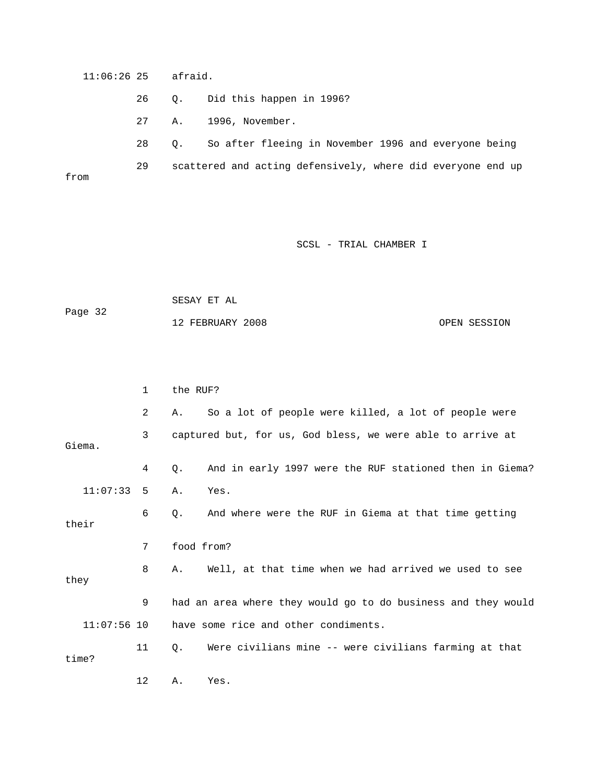11:06:26 25 afraid. 26 Q. Did this happen in 1996? 27 A. 1996, November. 28 Q. So after fleeing in November 1996 and everyone being 29 scattered and acting defensively, where did everyone end up from

SCSL - TRIAL CHAMBER I

 SESAY ET AL Page 32 12 FEBRUARY 2008 OPEN SESSION

 1 the RUF? 2 A. So a lot of people were killed, a lot of people were 3 captured but, for us, God bless, we were able to arrive at Giema. 4 Q. And in early 1997 were the RUF stationed then in Giema? 11:07:33 5 A. Yes. 6 Q. And where were the RUF in Giema at that time getting their 7 food from? 8 A. Well, at that time when we had arrived we used to see they 9 had an area where they would go to do business and they would 11:07:56 10 have some rice and other condiments. 11 Q. Were civilians mine -- were civilians farming at that time? 12 A. Yes.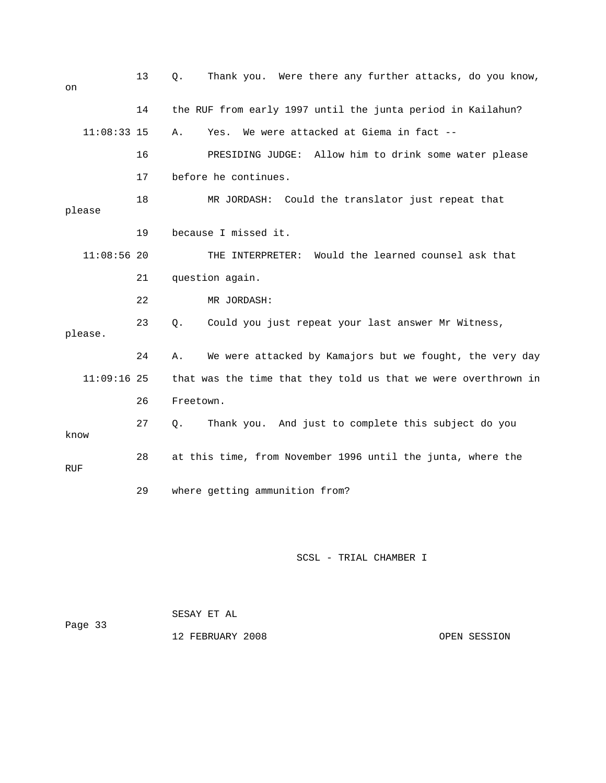| on            | 13 | Q.                   | Thank you. Were there any further attacks, do you know,        |
|---------------|----|----------------------|----------------------------------------------------------------|
|               | 14 |                      | the RUF from early 1997 until the junta period in Kailahun?    |
| $11:08:33$ 15 |    | Α.<br>Yes.           | We were attacked at Giema in fact --                           |
|               | 16 |                      | PRESIDING JUDGE: Allow him to drink some water please          |
|               | 17 | before he continues. |                                                                |
| please        | 18 |                      | MR JORDASH: Could the translator just repeat that              |
|               | 19 | because I missed it. |                                                                |
| $11:08:56$ 20 |    |                      | THE INTERPRETER: Would the learned counsel ask that            |
|               | 21 | question again.      |                                                                |
|               | 22 |                      | MR JORDASH:                                                    |
| please.       | 23 | Q.                   | Could you just repeat your last answer Mr Witness,             |
|               | 24 | Α.                   | We were attacked by Kamajors but we fought, the very day       |
| $11:09:16$ 25 |    |                      | that was the time that they told us that we were overthrown in |
|               | 26 | Freetown.            |                                                                |
| know          | 27 | О.                   | Thank you. And just to complete this subject do you            |
| <b>RUF</b>    | 28 |                      | at this time, from November 1996 until the junta, where the    |
|               | 29 |                      | where getting ammunition from?                                 |

| Page 33 | SESAY ET AL      |              |
|---------|------------------|--------------|
|         | 12 FEBRUARY 2008 | OPEN SESSION |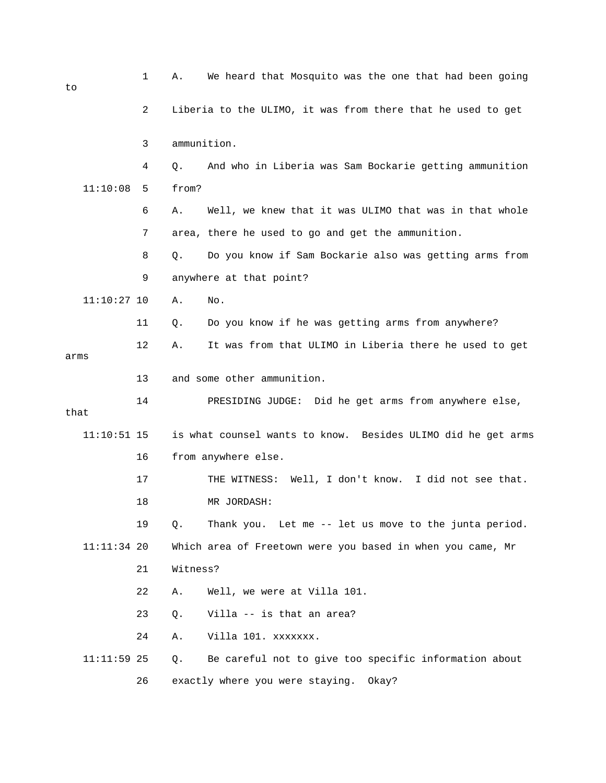| to            | 1  | Α.          | We heard that Mosquito was the one that had been going       |
|---------------|----|-------------|--------------------------------------------------------------|
|               | 2  |             | Liberia to the ULIMO, it was from there that he used to get  |
|               | 3  | ammunition. |                                                              |
|               | 4  | Q.          | And who in Liberia was Sam Bockarie getting ammunition       |
| 11:10:08      | 5  | from?       |                                                              |
|               | 6  | Α.          | Well, we knew that it was ULIMO that was in that whole       |
|               | 7  |             | area, there he used to go and get the ammunition.            |
|               | 8  | Q.          | Do you know if Sam Bockarie also was getting arms from       |
|               | 9  |             | anywhere at that point?                                      |
| $11:10:27$ 10 |    | Α.          | No.                                                          |
|               | 11 | Q.          | Do you know if he was getting arms from anywhere?            |
| arms          | 12 | Α.          | It was from that ULIMO in Liberia there he used to get       |
|               | 13 |             | and some other ammunition.                                   |
| that          | 14 |             | PRESIDING JUDGE: Did he get arms from anywhere else,         |
| $11:10:51$ 15 |    |             | is what counsel wants to know. Besides ULIMO did he get arms |
|               | 16 |             | from anywhere else.                                          |
|               | 17 |             | Well, I don't know. I did not see that.<br>THE WITNESS:      |
|               | 18 |             | MR JORDASH:                                                  |
|               | 19 | Q.          | Thank you. Let me -- let us move to the junta period.        |
| $11:11:34$ 20 |    |             | Which area of Freetown were you based in when you came, Mr   |
|               | 21 | Witness?    |                                                              |
|               | 22 | Α.          | Well, we were at Villa 101.                                  |
|               | 23 | $Q$ .       | Villa -- is that an area?                                    |
|               | 24 | Α.          | Villa 101. xxxxxxx.                                          |
| $11:11:59$ 25 |    | Q.          | Be careful not to give too specific information about        |
|               | 26 |             | exactly where you were staying.<br>Okay?                     |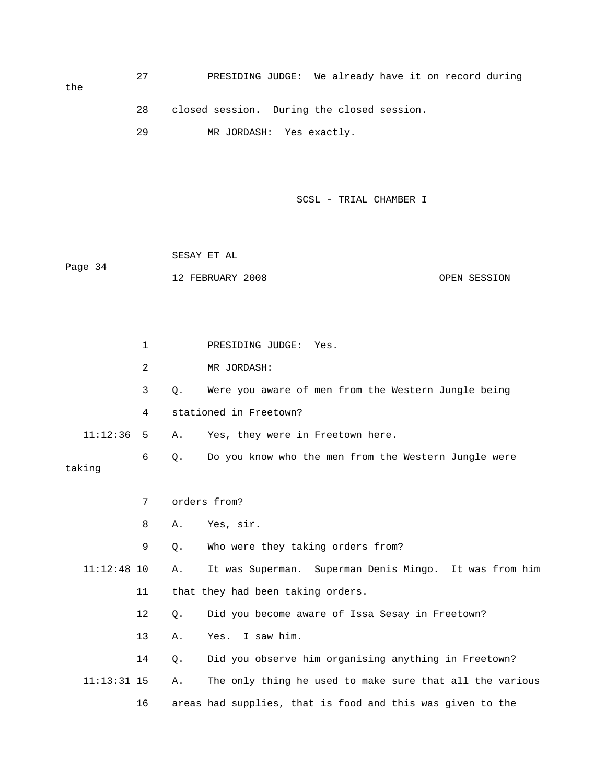the

- 28 closed session. During the closed session.
- 29 MR JORDASH: Yes exactly.
	- SCSL TRIAL CHAMBER I

 SESAY ET AL Page 34 12 FEBRUARY 2008 OPEN SESSION

 1 PRESIDING JUDGE: Yes. 2 MR JORDASH: 3 Q. Were you aware of men from the Western Jungle being 4 stationed in Freetown? 11:12:36 5 A. Yes, they were in Freetown here. 6 Q. Do you know who the men from the Western Jungle were taking 7 orders from? 8 A. Yes, sir. 9 Q. Who were they taking orders from? 11:12:48 10 A. It was Superman. Superman Denis Mingo. It was from him 11 that they had been taking orders. 12 Q. Did you become aware of Issa Sesay in Freetown? 13 A. Yes. I saw him. 14 Q. Did you observe him organising anything in Freetown? 11:13:31 15 A. The only thing he used to make sure that all the various 16 areas had supplies, that is food and this was given to the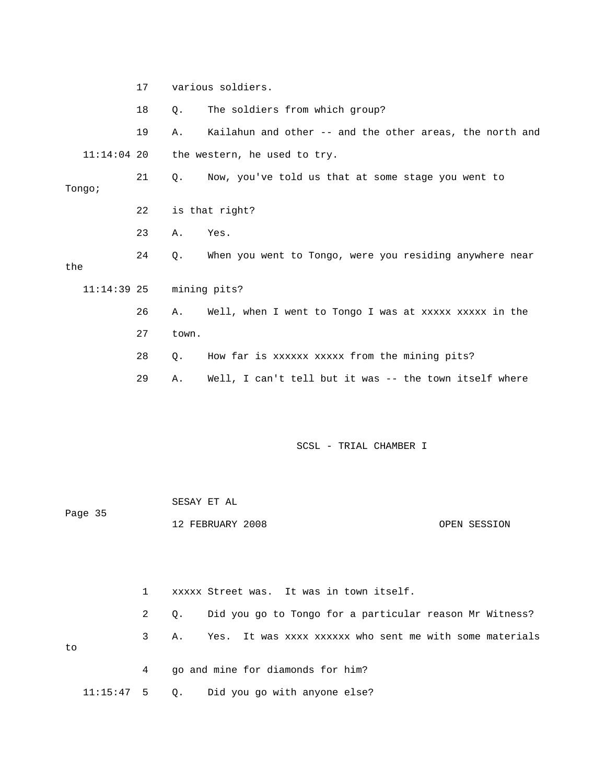|               | 17 |       | various soldiers.                                        |
|---------------|----|-------|----------------------------------------------------------|
|               | 18 | Q.    | The soldiers from which group?                           |
|               | 19 | Α.    | Kailahun and other -- and the other areas, the north and |
| $11:14:04$ 20 |    |       | the western, he used to try.                             |
| Tongo;        | 21 | Q.    | Now, you've told us that at some stage you went to       |
|               | 22 |       | is that right?                                           |
|               | 23 | Α.    | Yes.                                                     |
| the           | 24 | Q.    | When you went to Tongo, were you residing anywhere near  |
| $11:14:39$ 25 |    |       | mining pits?                                             |
|               | 26 | Α.    | Well, when I went to Tongo I was at xxxxx xxxxx in the   |
|               | 27 | town. |                                                          |
|               | 28 | Q.    | How far is xxxxxx xxxxx from the mining pits?            |
|               | 29 | Α.    | Well, I can't tell but it was -- the town itself where   |
|               |    |       |                                                          |
|               |    |       |                                                          |

|              |                | SESAY ET AL                                                   |              |  |  |  |
|--------------|----------------|---------------------------------------------------------------|--------------|--|--|--|
| Page 35      |                | 12 FEBRUARY 2008                                              | OPEN SESSION |  |  |  |
|              |                |                                                               |              |  |  |  |
|              |                |                                                               |              |  |  |  |
|              | $\mathbf{1}$   | xxxxx Street was. It was in town itself.                      |              |  |  |  |
|              | $\overline{2}$ | Did you go to Tongo for a particular reason Mr Witness?<br>Q. |              |  |  |  |
| to           | 3              | Yes. It was xxxx xxxxxx who sent me with some materials<br>Α. |              |  |  |  |
|              | 4              | go and mine for diamonds for him?                             |              |  |  |  |
| $11:15:47$ 5 |                | $\circ$ .<br>Did you go with anyone else?                     |              |  |  |  |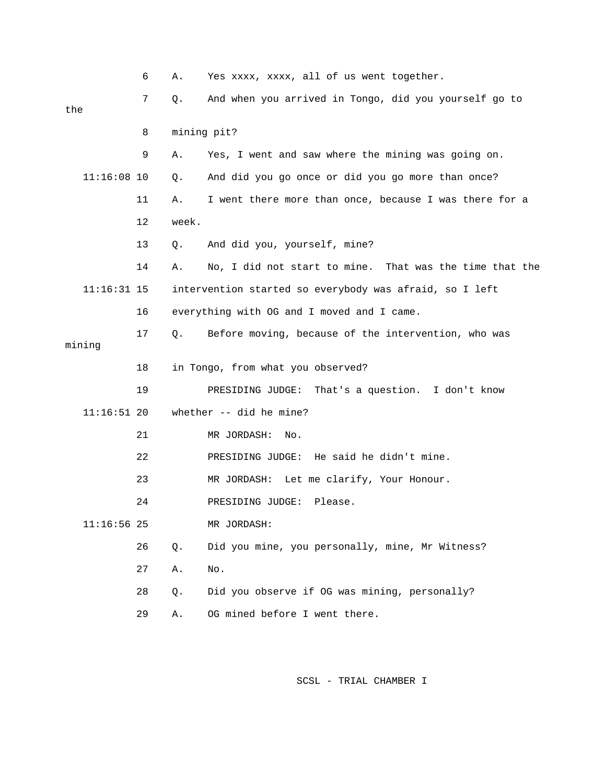|     |               | 6  | Α.    | Yes xxxx, xxxx, all of us went together.                   |
|-----|---------------|----|-------|------------------------------------------------------------|
| the |               | 7  | Q.    | And when you arrived in Tongo, did you yourself go to      |
|     |               | 8  |       | mining pit?                                                |
|     |               | 9  | Α.    | Yes, I went and saw where the mining was going on.         |
|     | $11:16:08$ 10 |    | Q.    | And did you go once or did you go more than once?          |
|     |               | 11 | Α.    | I went there more than once, because I was there for a     |
|     |               | 12 | week. |                                                            |
|     |               | 13 | Q.    | And did you, yourself, mine?                               |
|     |               | 14 | Α.    | That was the time that the<br>No, I did not start to mine. |
|     | $11:16:31$ 15 |    |       | intervention started so everybody was afraid, so I left    |
|     |               | 16 |       | everything with OG and I moved and I came.                 |
|     | mining        | 17 | Q.    | Before moving, because of the intervention, who was        |
|     |               | 18 |       | in Tongo, from what you observed?                          |
|     |               | 19 |       | PRESIDING JUDGE: That's a question. I don't know           |
|     | $11:16:51$ 20 |    |       | whether -- did he mine?                                    |
|     |               | 21 |       | MR JORDASH:<br>No.                                         |
|     |               | 22 |       | PRESIDING JUDGE: He said he didn't mine.                   |
|     |               | 23 |       | MR JORDASH: Let me clarify, Your Honour.                   |
|     |               | 24 |       | PRESIDING JUDGE:<br>Please.                                |
|     | $11:16:56$ 25 |    |       | MR JORDASH:                                                |
|     |               | 26 | Q.    | Did you mine, you personally, mine, Mr Witness?            |
|     |               |    |       |                                                            |
|     |               | 27 | Α.    | No.                                                        |
|     |               | 28 | Q.    | Did you observe if OG was mining, personally?              |
|     |               | 29 | Α.    | OG mined before I went there.                              |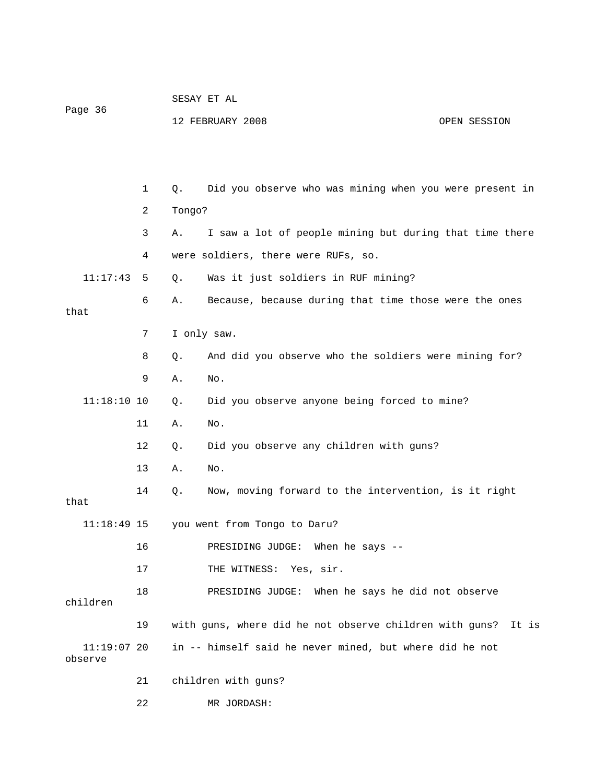| Page 36       |              |        | 12 FEBRUARY 2008<br>OPEN SESSION                        |
|---------------|--------------|--------|---------------------------------------------------------|
|               |              |        |                                                         |
|               | $\mathbf{1}$ | Q.     | Did you observe who was mining when you were present in |
|               | 2            | Tongo? |                                                         |
|               | 3            | Α.     | I saw a lot of people mining but during that time there |
|               | 4            |        | were soldiers, there were RUFs, so.                     |
| 11:17:43      | 5            | Q.     | Was it just soldiers in RUF mining?                     |
| that          | 6            | Α.     | Because, because during that time those were the ones   |
|               | 7            |        | I only saw.                                             |
|               | 8            | Q.     | And did you observe who the soldiers were mining for?   |
|               | 9            | Α.     | No.                                                     |
| $11:18:10$ 10 |              | Q.     | Did you observe anyone being forced to mine?            |
|               | 11           | Α.     | No.                                                     |
|               | 12           | Q.     | Did you observe any children with guns?                 |
|               | 13           | Α.     | No.                                                     |
| that          | 14           | $Q$ .  | Now, moving forward to the intervention, is it right    |
| 11.10.10.17   |              |        |                                                         |

 11:18:49 15 you went from Tongo to Daru? 16 PRESIDING JUDGE: When he says -- 17 THE WITNESS: Yes, sir. 18 PRESIDING JUDGE: When he says he did not observe children 19 with guns, where did he not observe children with guns? It is 11:19:07 20 in -- himself said he never mined, but where did he not observe 21 children with guns?

22 MR JORDASH:

SESAY ET AL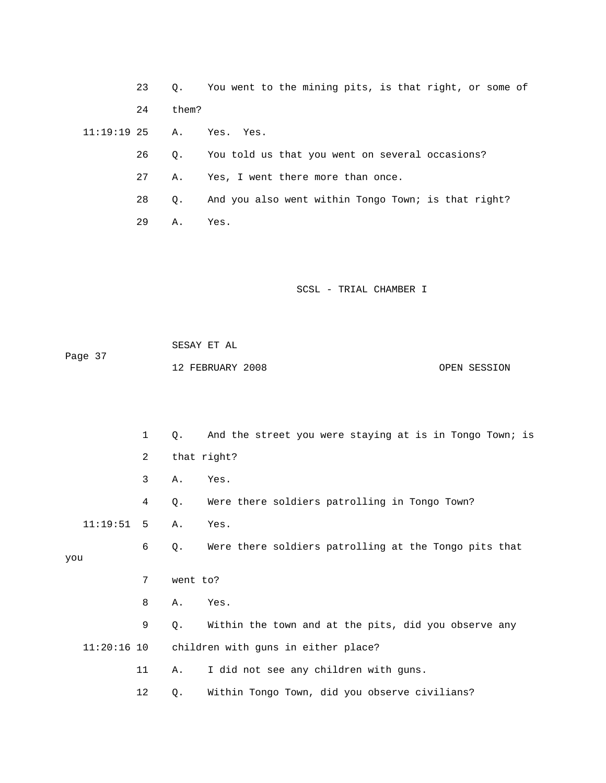23 Q. You went to the mining pits, is that right, or some of 24 them?

11:19:19 25 A. Yes. Yes.

- 26 Q. You told us that you went on several occasions?
- 27 A. Yes, I went there more than once.
- 28 Q. And you also went within Tongo Town; is that right?

29 A. Yes.

SCSL - TRIAL CHAMBER I

 SESAY ET AL Page 37 12 FEBRUARY 2008 OPEN SESSION

 1 Q. And the street you were staying at is in Tongo Town; is 2 that right? 3 A. Yes. 4 Q. Were there soldiers patrolling in Tongo Town? 11:19:51 5 A. Yes. 6 Q. Were there soldiers patrolling at the Tongo pits that you 7 went to? 8 A. Yes. 9 Q. Within the town and at the pits, did you observe any 11:20:16 10 children with guns in either place? 11 A. I did not see any children with guns. 12 Q. Within Tongo Town, did you observe civilians?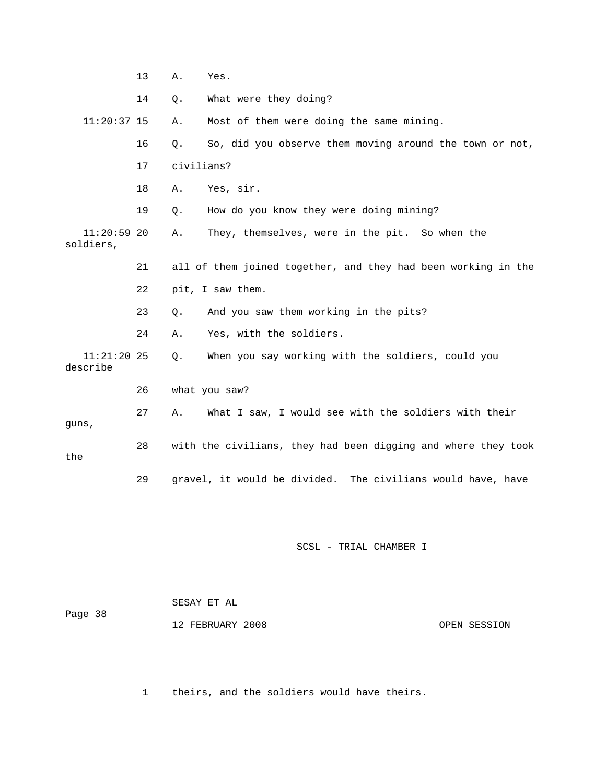|                            | 13 | Α.         | Yes.                                                           |
|----------------------------|----|------------|----------------------------------------------------------------|
|                            | 14 | Q.         | What were they doing?                                          |
| $11:20:37$ 15              |    | Α.         | Most of them were doing the same mining.                       |
|                            | 16 | Q.         | So, did you observe them moving around the town or not,        |
|                            | 17 | civilians? |                                                                |
|                            | 18 | Α.         | Yes, sir.                                                      |
|                            | 19 | Q.         | How do you know they were doing mining?                        |
| $11:20:59$ 20<br>soldiers, |    | Α.         | They, themselves, were in the pit. So when the                 |
|                            | 21 |            | all of them joined together, and they had been working in the  |
|                            | 22 |            | pit, I saw them.                                               |
|                            | 23 | Q.         | And you saw them working in the pits?                          |
|                            | 24 | Α.         | Yes, with the soldiers.                                        |
| $11:21:20$ 25<br>describe  |    | Q.         | When you say working with the soldiers, could you              |
|                            | 26 |            | what you saw?                                                  |
| guns,                      | 27 | Α.         | What I saw, I would see with the soldiers with their           |
| the                        | 28 |            | with the civilians, they had been digging and where they took  |
|                            | 29 |            | gravel, it would be divided.<br>The civilians would have, have |

| Page 38 | SESAY ET AL      |              |
|---------|------------------|--------------|
|         | 12 FEBRUARY 2008 | OPEN SESSION |

1 theirs, and the soldiers would have theirs.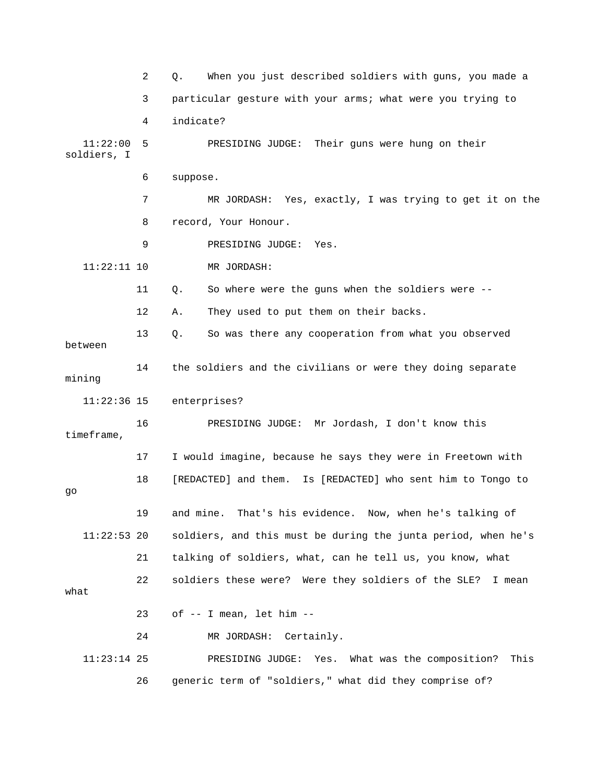|                         | 2  | When you just described soldiers with guns, you made a<br>Q.  |
|-------------------------|----|---------------------------------------------------------------|
|                         | 3  | particular gesture with your arms; what were you trying to    |
|                         | 4  | indicate?                                                     |
| 11:22:00<br>soldiers, I | 5  | PRESIDING JUDGE: Their guns were hung on their                |
|                         | 6  | suppose.                                                      |
|                         | 7  | MR JORDASH: Yes, exactly, I was trying to get it on the       |
|                         | 8  | record, Your Honour.                                          |
|                         | 9  | PRESIDING JUDGE:<br>Yes.                                      |
| $11:22:11$ 10           |    | MR JORDASH:                                                   |
|                         | 11 | So where were the guns when the soldiers were --<br>Q.        |
|                         | 12 | They used to put them on their backs.<br>Α.                   |
| between                 | 13 | So was there any cooperation from what you observed<br>$Q$ .  |
| mining                  | 14 | the soldiers and the civilians or were they doing separate    |
| $11:22:36$ 15           |    | enterprises?                                                  |
| timeframe,              | 16 | PRESIDING JUDGE: Mr Jordash, I don't know this                |
|                         | 17 | I would imagine, because he says they were in Freetown with   |
| go                      | 18 | [REDACTED] and them. Is [REDACTED] who sent him to Tongo to   |
|                         | 19 | That's his evidence. Now, when he's talking of<br>and mine.   |
| $11:22:53$ 20           |    | soldiers, and this must be during the junta period, when he's |
|                         | 21 | talking of soldiers, what, can he tell us, you know, what     |
| what                    | 22 | soldiers these were? Were they soldiers of the SLE? I mean    |
|                         | 23 | of -- I mean, let him --                                      |
|                         | 24 | MR JORDASH:<br>Certainly.                                     |
| $11:23:14$ 25           |    | This<br>PRESIDING JUDGE: Yes.<br>What was the composition?    |
|                         | 26 | generic term of "soldiers," what did they comprise of?        |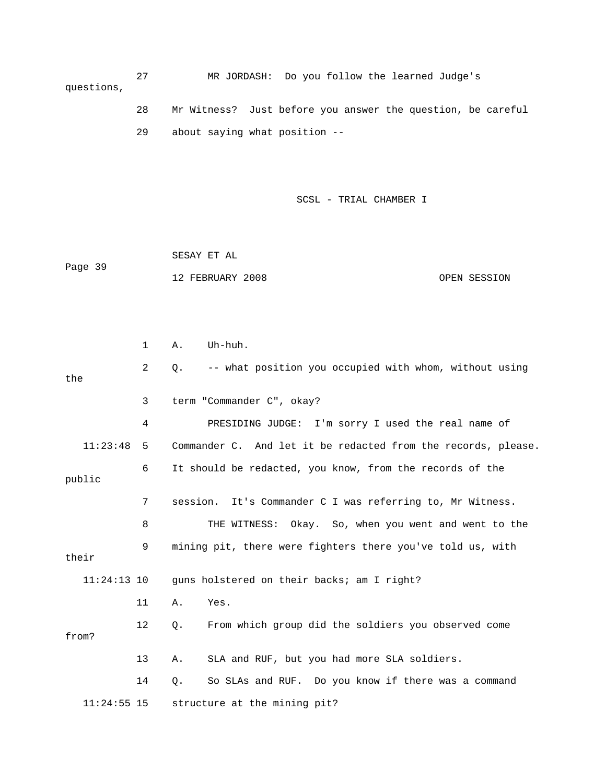27 MR JORDASH: Do you follow the learned Judge's questions, 28 Mr Witness? Just before you answer the question, be careful

29 about saying what position --

SCSL - TRIAL CHAMBER I

 SESAY ET AL Page 39 12 FEBRUARY 2008 OPEN SESSION

 1 A. Uh-huh. 2 Q. -- what position you occupied with whom, without using the 3 term "Commander C", okay? 4 PRESIDING JUDGE: I'm sorry I used the real name of 11:23:48 5 Commander C. And let it be redacted from the records, please. 6 It should be redacted, you know, from the records of the public 7 session. It's Commander C I was referring to, Mr Witness. 8 THE WITNESS: Okay. So, when you went and went to the 9 mining pit, there were fighters there you've told us, with their 11:24:13 10 guns holstered on their backs; am I right? 11 A. Yes. 12 Q. From which group did the soldiers you observed come from? 13 A. SLA and RUF, but you had more SLA soldiers. 14 Q. So SLAs and RUF. Do you know if there was a command 11:24:55 15 structure at the mining pit?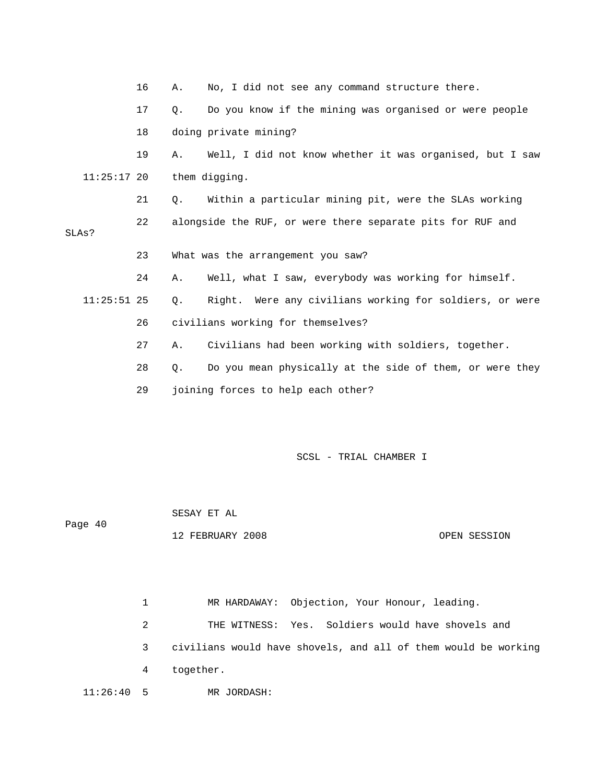|               | 16 | Α. | No, I did not see any command structure there.             |
|---------------|----|----|------------------------------------------------------------|
|               | 17 | О. | Do you know if the mining was organised or were people     |
|               | 18 |    | doing private mining?                                      |
|               | 19 | Α. | Well, I did not know whether it was organised, but I saw   |
| $11:25:17$ 20 |    |    | them digging.                                              |
|               | 21 | Q. | Within a particular mining pit, were the SLAs working      |
| SLAs?         | 22 |    | alongside the RUF, or were there separate pits for RUF and |
|               | 23 |    | What was the arrangement you saw?                          |
|               | 24 | Α. | Well, what I saw, everybody was working for himself.       |
| $11:25:51$ 25 |    | Q. | Right. Were any civilians working for soldiers, or were    |
|               | 26 |    | civilians working for themselves?                          |
|               | 27 | Α. | Civilians had been working with soldiers, together.        |
|               | 28 | Q. | Do you mean physically at the side of them, or were they   |
|               | 29 |    | joining forces to help each other?                         |
|               |    |    |                                                            |

 SESAY ET AL Page 40 12 FEBRUARY 2008 OPEN SESSION

 1 MR HARDAWAY: Objection, Your Honour, leading. 2 THE WITNESS: Yes. Soldiers would have shovels and 3 civilians would have shovels, and all of them would be working 4 together. 11:26:40 5 MR JORDASH: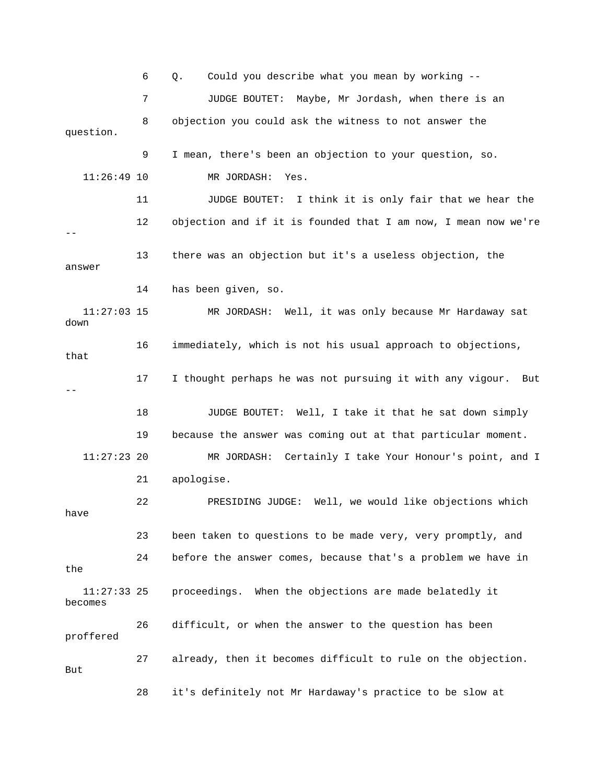6 Q. Could you describe what you mean by working -- 7 JUDGE BOUTET: Maybe, Mr Jordash, when there is an 8 objection you could ask the witness to not answer the question. 9 I mean, there's been an objection to your question, so. 11:26:49 10 MR JORDASH: Yes. 11 JUDGE BOUTET: I think it is only fair that we hear the 12 objection and if it is founded that I am now, I mean now we're -- 13 there was an objection but it's a useless objection, the answer 14 has been given, so. 11:27:03 15 MR JORDASH: Well, it was only because Mr Hardaway sat down 16 immediately, which is not his usual approach to objections, that 17 I thought perhaps he was not pursuing it with any vigour. But -- 18 JUDGE BOUTET: Well, I take it that he sat down simply 19 because the answer was coming out at that particular moment. 11:27:23 20 MR JORDASH: Certainly I take Your Honour's point, and I 21 apologise. 22 PRESIDING JUDGE: Well, we would like objections which have 23 been taken to questions to be made very, very promptly, and 24 before the answer comes, because that's a problem we have in the 11:27:33 25 proceedings. When the objections are made belatedly it becomes 26 difficult, or when the answer to the question has been proffered 27 already, then it becomes difficult to rule on the objection. But 28 it's definitely not Mr Hardaway's practice to be slow at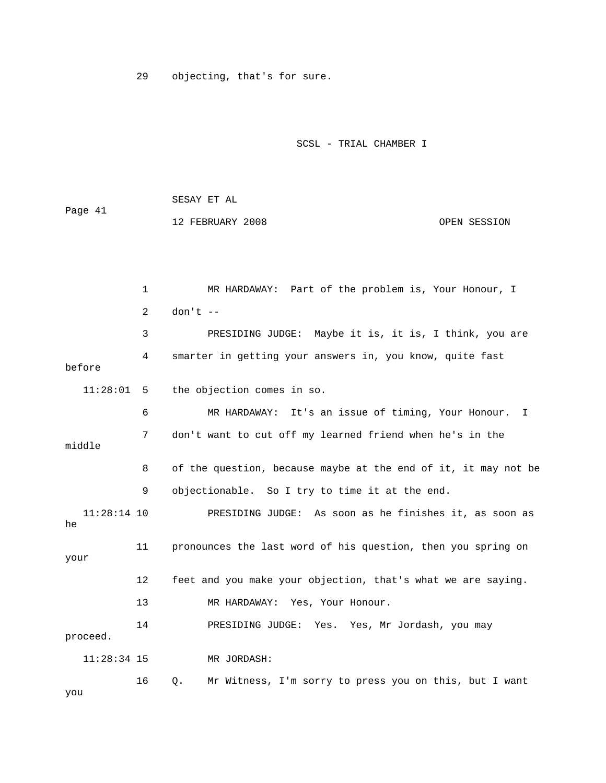29 objecting, that's for sure.

SCSL - TRIAL CHAMBER I

 SESAY ET AL Page 41 12 FEBRUARY 2008 OPEN SESSION

|                     | 1  | MR HARDAWAY: Part of the problem is, Your Honour, I            |
|---------------------|----|----------------------------------------------------------------|
|                     | 2  | $don't --$                                                     |
|                     | 3  | PRESIDING JUDGE: Maybe it is, it is, I think, you are          |
| before              | 4  | smarter in getting your answers in, you know, quite fast       |
| 11:28:01            | 5  | the objection comes in so.                                     |
|                     | 6  | MR HARDAWAY: It's an issue of timing, Your Honour.<br>I        |
| middle              | 7  | don't want to cut off my learned friend when he's in the       |
|                     | 8  | of the question, because maybe at the end of it, it may not be |
|                     | 9  | objectionable. So I try to time it at the end.                 |
| $11:28:14$ 10<br>he |    | PRESIDING JUDGE: As soon as he finishes it, as soon as         |
| your                | 11 | pronounces the last word of his question, then you spring on   |
|                     | 12 | feet and you make your objection, that's what we are saying.   |
|                     | 13 | MR HARDAWAY: Yes, Your Honour.                                 |
| proceed.            | 14 | PRESIDING JUDGE: Yes. Yes, Mr Jordash, you may                 |
| $11:28:34$ 15       |    | MR JORDASH:                                                    |
| you                 | 16 | Mr Witness, I'm sorry to press you on this, but I want<br>0.   |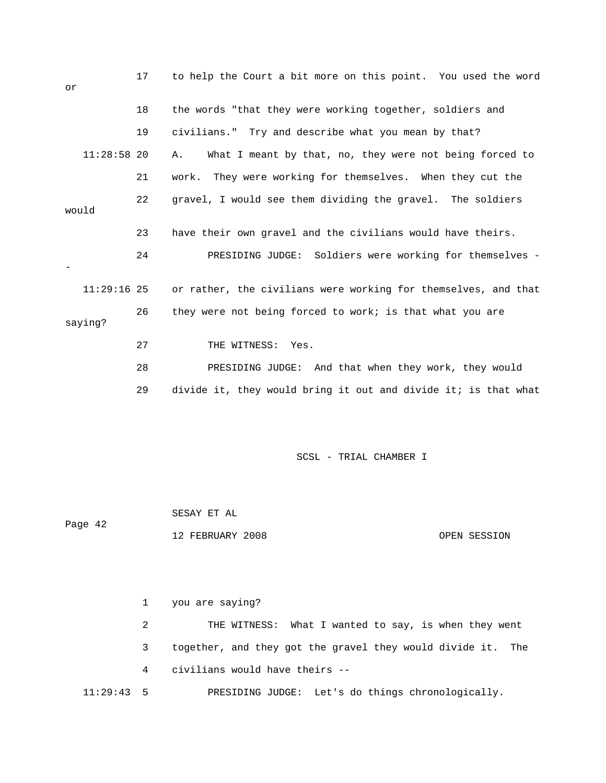| or            | 17 | to help the Court a bit more on this point. You used the word  |
|---------------|----|----------------------------------------------------------------|
|               | 18 | the words "that they were working together, soldiers and       |
|               | 19 | civilians." Try and describe what you mean by that?            |
| $11:28:58$ 20 |    | What I meant by that, no, they were not being forced to<br>Α.  |
|               | 21 | work. They were working for themselves. When they cut the      |
| would         | 22 | gravel, I would see them dividing the gravel. The soldiers     |
|               | 23 | have their own gravel and the civilians would have theirs.     |
|               | 24 | PRESIDING JUDGE: Soldiers were working for themselves -        |
| $11:29:16$ 25 |    | or rather, the civilians were working for themselves, and that |
| saying?       | 26 | they were not being forced to work; is that what you are       |
|               | 27 | THE WITNESS: Yes.                                              |
|               | 28 | PRESIDING JUDGE: And that when they work, they would           |
|               | 29 | divide it, they would bring it out and divide it; is that what |

 SESAY ET AL Page 42 12 FEBRUARY 2008 OPEN SESSION

 1 you are saying? 2 THE WITNESS: What I wanted to say, is when they went 3 together, and they got the gravel they would divide it. The 4 civilians would have theirs -- 11:29:43 5 PRESIDING JUDGE: Let's do things chronologically.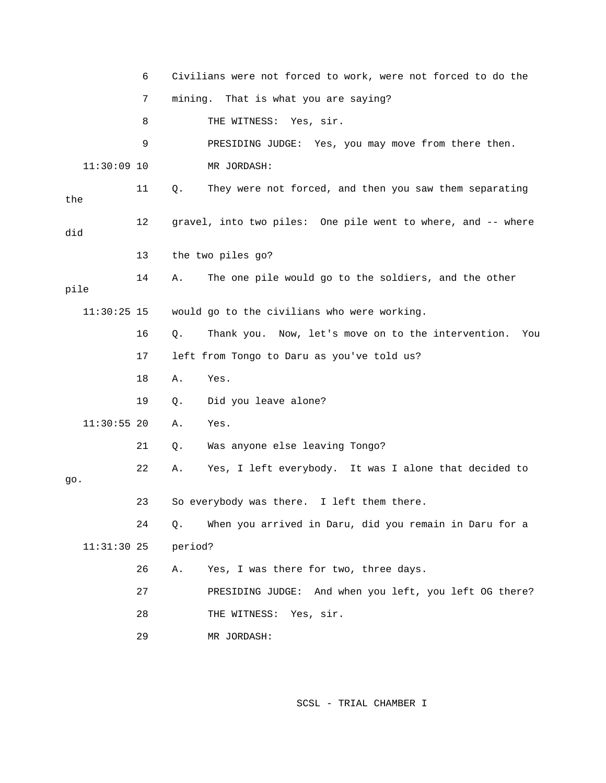|      |               | 6  |         | Civilians were not forced to work, were not forced to do the |
|------|---------------|----|---------|--------------------------------------------------------------|
|      |               | 7  |         | mining. That is what you are saying?                         |
|      |               | 8  |         | THE WITNESS: Yes, sir.                                       |
|      |               | 9  |         | PRESIDING JUDGE: Yes, you may move from there then.          |
|      | $11:30:09$ 10 |    |         | MR JORDASH:                                                  |
| the  |               | 11 | Q.      | They were not forced, and then you saw them separating       |
| did  |               | 12 |         | gravel, into two piles: One pile went to where, and -- where |
|      |               | 13 |         | the two piles go?                                            |
| pile |               | 14 | Α.      | The one pile would go to the soldiers, and the other         |
|      | $11:30:25$ 15 |    |         | would go to the civilians who were working.                  |
|      |               | 16 | Q.      | Thank you. Now, let's move on to the intervention.<br>You    |
|      |               | 17 |         | left from Tongo to Daru as you've told us?                   |
|      |               | 18 | Α.      | Yes.                                                         |
|      |               | 19 | Q.      | Did you leave alone?                                         |
|      | $11:30:55$ 20 |    | Α.      | Yes.                                                         |
|      |               | 21 | Q.      | Was anyone else leaving Tongo?                               |
| go.  |               | 22 | Α.      | Yes, I left everybody. It was I alone that decided to        |
|      |               | 23 |         | So everybody was there. I left them there.                   |
|      |               | 24 | Q.      | When you arrived in Daru, did you remain in Daru for a       |
|      | $11:31:30$ 25 |    | period? |                                                              |
|      |               | 26 | Α.      | Yes, I was there for two, three days.                        |
|      |               | 27 |         | PRESIDING JUDGE:<br>And when you left, you left OG there?    |
|      |               | 28 |         | THE WITNESS: Yes, sir.                                       |
|      |               | 29 |         | MR JORDASH:                                                  |
|      |               |    |         |                                                              |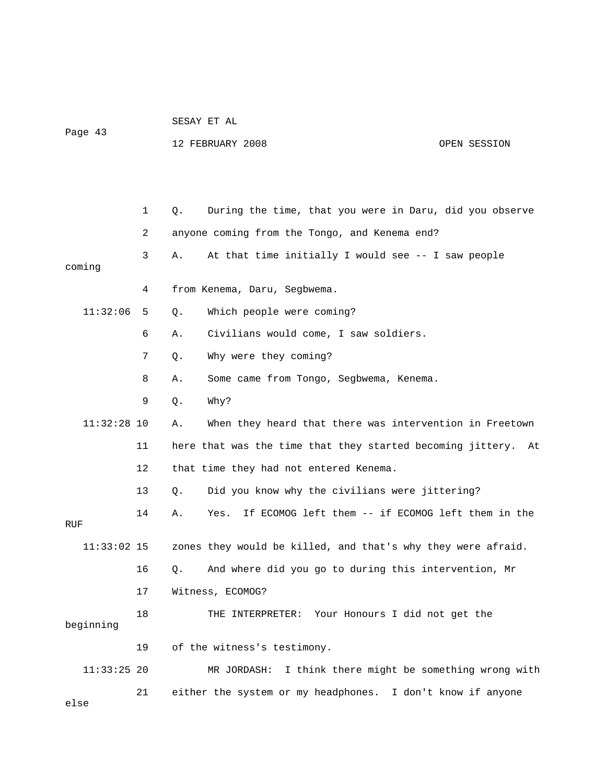## SESAY ET AL Page 43

12 FEBRUARY 2008 CPEN SESSION

|               | 1  | During the time, that you were in Daru, did you observe<br>О.    |
|---------------|----|------------------------------------------------------------------|
|               | 2  | anyone coming from the Tongo, and Kenema end?                    |
| coming        | 3  | At that time initially I would see -- I saw people<br>Α.         |
|               | 4  | from Kenema, Daru, Segbwema.                                     |
| 11:32:06      | 5  | Which people were coming?<br>О.                                  |
|               | 6  | Civilians would come, I saw soldiers.<br>Α.                      |
|               | 7  | Why were they coming?<br>Q.                                      |
|               | 8  | Some came from Tongo, Segbwema, Kenema.<br>Α.                    |
|               | 9  | Why?<br>О.                                                       |
| $11:32:28$ 10 |    | When they heard that there was intervention in Freetown<br>Α.    |
|               | 11 | here that was the time that they started becoming jittery.<br>At |
|               | 12 | that time they had not entered Kenema.                           |
|               | 13 | Did you know why the civilians were jittering?<br>Q.             |
| RUF           | 14 | If ECOMOG left them -- if ECOMOG left them in the<br>Α.<br>Yes.  |
| $11:33:02$ 15 |    | zones they would be killed, and that's why they were afraid.     |
|               | 16 | And where did you go to during this intervention, Mr<br>Q.       |
|               | 17 | Witness, ECOMOG?                                                 |
| beginning     | 18 | THE INTERPRETER: Your Honours I did not get the                  |
|               | 19 | of the witness's testimony.                                      |
| $11:33:25$ 20 |    | MR JORDASH: I think there might be something wrong with          |
| else          | 21 | either the system or my headphones. I don't know if anyone       |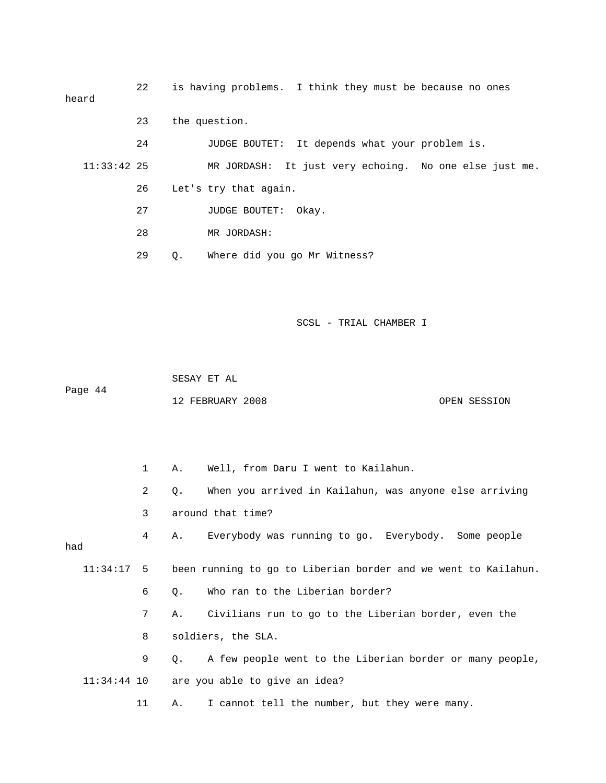| heard         | 22 |               | is having problems. I think they must be because no ones |       |  |                                                        |
|---------------|----|---------------|----------------------------------------------------------|-------|--|--------------------------------------------------------|
|               | 23 | the question. |                                                          |       |  |                                                        |
|               | 24 |               | JUDGE BOUTET: It depends what your problem is.           |       |  |                                                        |
| $11:33:42$ 25 |    |               |                                                          |       |  | MR JORDASH: It just very echoing. No one else just me. |
|               | 26 |               | Let's try that again.                                    |       |  |                                                        |
|               | 27 |               | JUDGE BOUTET:                                            | Okay. |  |                                                        |
|               | 28 |               | MR JORDASH:                                              |       |  |                                                        |
|               | 29 | 0.            | Where did you go Mr Witness?                             |       |  |                                                        |

 SESAY ET AL Page 44

12 FEBRUARY 2008 OPEN SESSION

 1 A. Well, from Daru I went to Kailahun. 2 Q. When you arrived in Kailahun, was anyone else arriving 3 around that time? 4 A. Everybody was running to go. Everybody. Some people had 11:34:17 5 been running to go to Liberian border and we went to Kailahun. 6 Q. Who ran to the Liberian border? 7 A. Civilians run to go to the Liberian border, even the 8 soldiers, the SLA. 9 Q. A few people went to the Liberian border or many people, 11:34:44 10 are you able to give an idea? 11 A. I cannot tell the number, but they were many.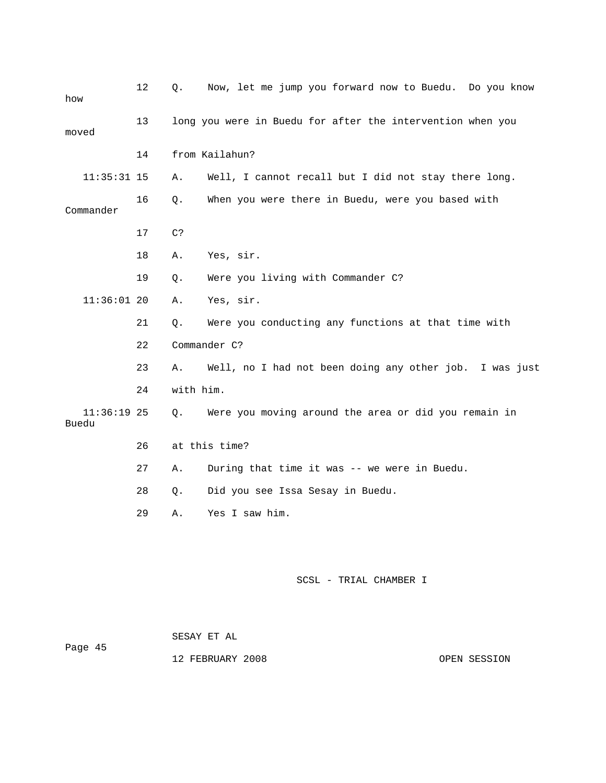| how                    | 12 | Now, let me jump you forward now to Buedu. Do you know |                                                            |
|------------------------|----|--------------------------------------------------------|------------------------------------------------------------|
| moved                  | 13 |                                                        | long you were in Buedu for after the intervention when you |
|                        | 14 |                                                        | from Kailahun?                                             |
| $11:35:31$ 15          |    | Α.                                                     | Well, I cannot recall but I did not stay there long.       |
| Commander              | 16 | Q.                                                     | When you were there in Buedu, were you based with          |
|                        | 17 | C?                                                     |                                                            |
|                        | 18 | Α.                                                     | Yes, sir.                                                  |
|                        | 19 | Q.                                                     | Were you living with Commander C?                          |
| $11:36:01$ 20          |    | Α.                                                     | Yes, sir.                                                  |
|                        | 21 | Q.                                                     | Were you conducting any functions at that time with        |
|                        | 22 |                                                        | Commander C?                                               |
|                        | 23 | Α.                                                     | Well, no I had not been doing any other job. I was just    |
|                        | 24 | with him.                                              |                                                            |
| $11:36:19$ 25<br>Buedu |    | Q.                                                     | Were you moving around the area or did you remain in       |
|                        | 26 |                                                        | at this time?                                              |
|                        | 27 | Α.                                                     | During that time it was -- we were in Buedu.               |
|                        | 28 | Q.                                                     | Did you see Issa Sesay in Buedu.                           |
|                        | 29 | Α.                                                     | Yes I saw him.                                             |
|                        |    |                                                        |                                                            |
|                        |    |                                                        |                                                            |

|         | SESAY ET AL |  |  |
|---------|-------------|--|--|
| Page 45 |             |  |  |

12 FEBRUARY 2008 **OPEN SESSION**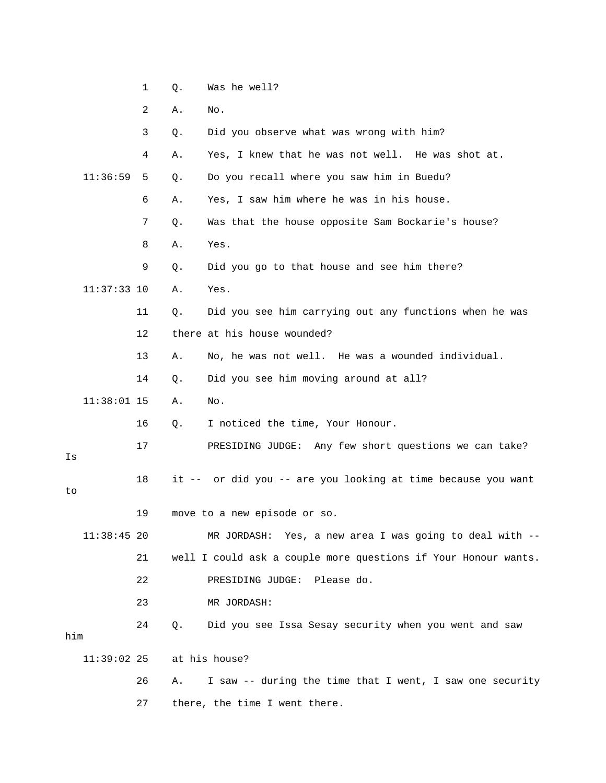|  |  | Was he well? |  |
|--|--|--------------|--|
|--|--|--------------|--|

2 A. No.

3 Q. Did you observe what was wrong with him?

4 A. Yes, I knew that he was not well. He was shot at.

11:36:59 5 Q. Do you recall where you saw him in Buedu?

6 A. Yes, I saw him where he was in his house.

7 Q. Was that the house opposite Sam Bockarie's house?

8 A. Yes.

9 Q. Did you go to that house and see him there?

11:37:33 10 A. Yes.

11 Q. Did you see him carrying out any functions when he was

12 there at his house wounded?

13 A. No, he was not well. He was a wounded individual.

14 Q. Did you see him moving around at all?

11:38:01 15 A. No.

16 Q. I noticed the time, Your Honour.

17 PRESIDING JUDGE: Any few short questions we can take?

Is

to

18 it -- or did you -- are you looking at time because you want

19 move to a new episode or so.

 11:38:45 20 MR JORDASH: Yes, a new area I was going to deal with -- 21 well I could ask a couple more questions if Your Honour wants. 22 PRESIDING JUDGE: Please do.

23 MR JORDASH:

 24 Q. Did you see Issa Sesay security when you went and saw him 11:39:02 25 at his house?

> 26 A. I saw -- during the time that I went, I saw one security 27 there, the time I went there.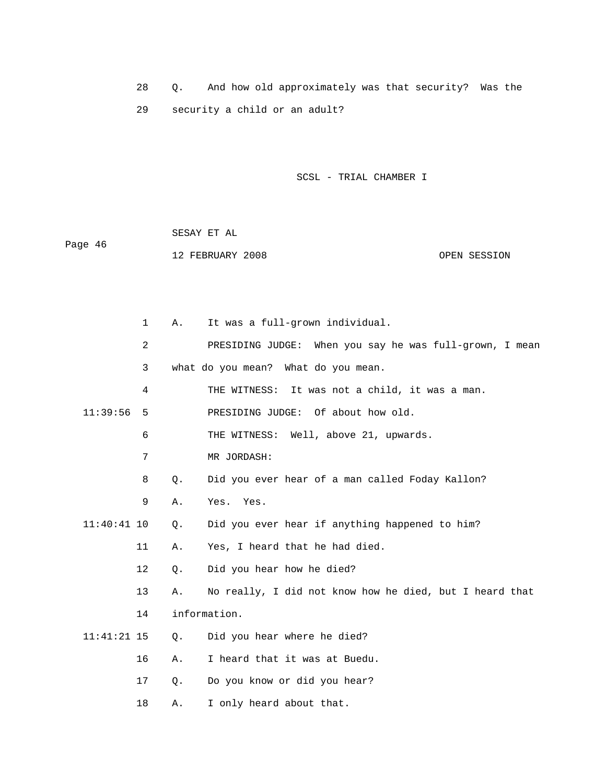28 Q. And how old approximately was that security? Was the 29 security a child or an adult?

SCSL - TRIAL CHAMBER I

 SESAY ET AL Page 46 12 FEBRUARY 2008 CONSIDERING COPEN SESSION

|               | 1<br>Α.  | It was a full-grown individual.                         |
|---------------|----------|---------------------------------------------------------|
|               | 2        | PRESIDING JUDGE: When you say he was full-grown, I mean |
|               | 3        | what do you mean? What do you mean.                     |
|               | 4        | THE WITNESS: It was not a child, it was a man.          |
| 11:39:56      | 5        | PRESIDING JUDGE: Of about how old.                      |
|               | 6        | THE WITNESS: Well, above 21, upwards.                   |
|               | 7        | MR JORDASH:                                             |
|               | 8<br>Q.  | Did you ever hear of a man called Foday Kallon?         |
|               | 9<br>Α.  | Yes. Yes.                                               |
| $11:40:41$ 10 | Q.       | Did you ever hear if anything happened to him?          |
|               | 11<br>Α. | Yes, I heard that he had died.                          |
|               | 12<br>Q. | Did you hear how he died?                               |
| 13            | Α.       | No really, I did not know how he died, but I heard that |
|               | 14       | information.                                            |
| $11:41:21$ 15 | Q.       | Did you hear where he died?                             |
| 16            | Α.       | I heard that it was at Buedu.                           |
| 17            | Q.       | Do you know or did you hear?                            |
| 18            | Α.       | I only heard about that.                                |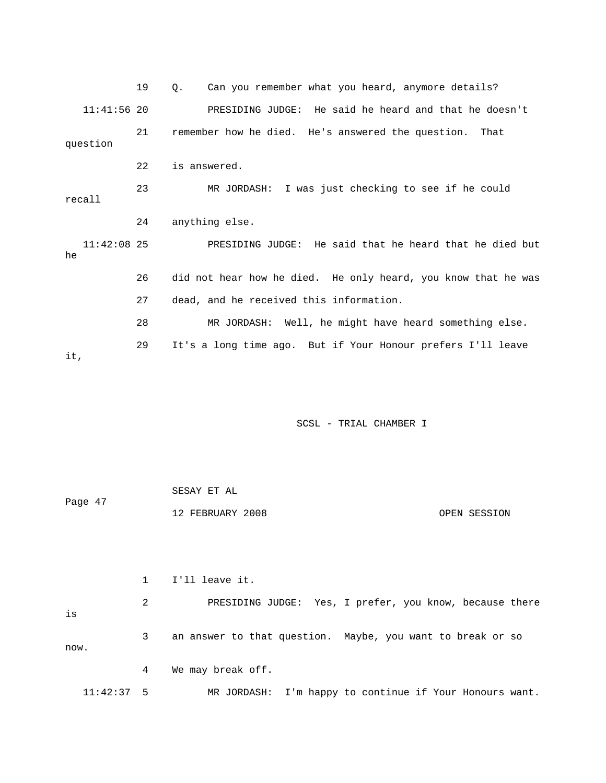19 Q. Can you remember what you heard, anymore details? 11:41:56 20 PRESIDING JUDGE: He said he heard and that he doesn't 21 remember how he died. He's answered the question. That question 22 is answered. 23 MR JORDASH: I was just checking to see if he could recall 24 anything else. 11:42:08 25 PRESIDING JUDGE: He said that he heard that he died but he 26 did not hear how he died. He only heard, you know that he was 27 dead, and he received this information. 28 MR JORDASH: Well, he might have heard something else. 29 It's a long time ago. But if Your Honour prefers I'll leave it,

SCSL - TRIAL CHAMBER I

| Page 47 | SESAY ET AL      |              |
|---------|------------------|--------------|
|         | 12 FEBRUARY 2008 | OPEN SESSION |

 1 I'll leave it. 2 PRESIDING JUDGE: Yes, I prefer, you know, because there is 3 an answer to that question. Maybe, you want to break or so now. 4 We may break off.

11:42:37 5 MR JORDASH: I'm happy to continue if Your Honours want.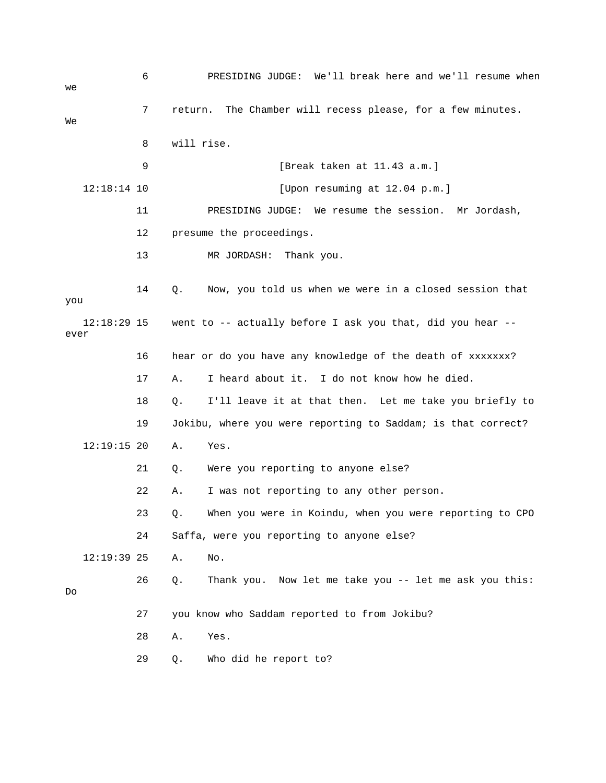6 PRESIDING JUDGE: We'll break here and we'll resume when  $W \ominus$  7 return. The Chamber will recess please, for a few minutes. We 8 will rise. 9 [Break taken at 11.43 a.m.] 12:18:14 10 [Upon resuming at 12.04 p.m.] 11 PRESIDING JUDGE: We resume the session. Mr Jordash, 12 presume the proceedings. 13 MR JORDASH: Thank you. 14 Q. Now, you told us when we were in a closed session that you 12:18:29 15 went to -- actually before I ask you that, did you hear - ever 16 hear or do you have any knowledge of the death of xxxxxxx? 17 A. I heard about it. I do not know how he died. 18 Q. I'll leave it at that then. Let me take you briefly to 19 Jokibu, where you were reporting to Saddam; is that correct? 12:19:15 20 A. Yes. 21 Q. Were you reporting to anyone else? 22 A. I was not reporting to any other person. 23 Q. When you were in Koindu, when you were reporting to CPO 24 Saffa, were you reporting to anyone else? 12:19:39 25 A. No. 26 Q. Thank you. Now let me take you -- let me ask you this: Do 27 you know who Saddam reported to from Jokibu? 28 A. Yes. 29 Q. Who did he report to?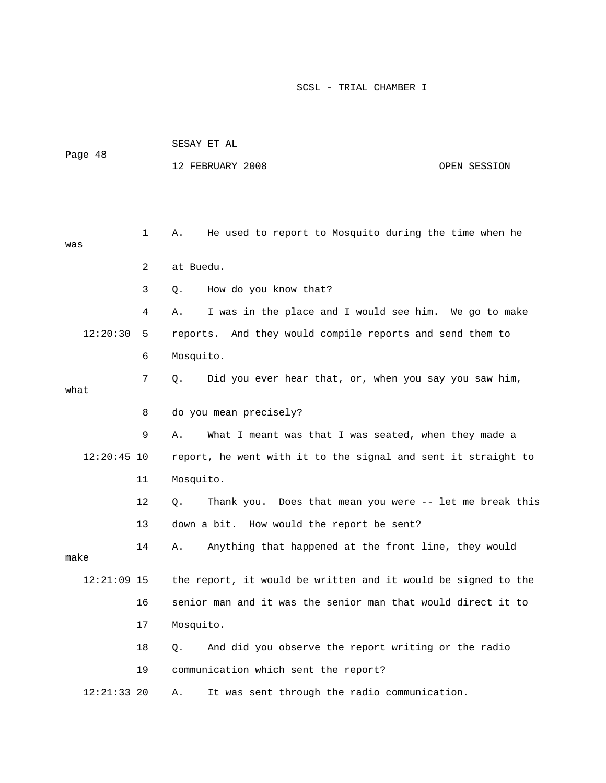|               |                | SESAY ET AL                                                   |  |  |  |  |
|---------------|----------------|---------------------------------------------------------------|--|--|--|--|
| Page 48       |                | 12 FEBRUARY 2008<br>OPEN SESSION                              |  |  |  |  |
|               |                |                                                               |  |  |  |  |
|               |                |                                                               |  |  |  |  |
| was           | $\mathbf{1}$   | He used to report to Mosquito during the time when he<br>Α.   |  |  |  |  |
|               |                |                                                               |  |  |  |  |
|               | $\overline{a}$ | at Buedu.                                                     |  |  |  |  |
|               | 3              | How do you know that?<br>Q.                                   |  |  |  |  |
|               | 4              | I was in the place and I would see him. We go to make<br>Α.   |  |  |  |  |
| 12:20:30      | 5              | And they would compile reports and send them to<br>reports.   |  |  |  |  |
|               | 6              | Mosquito.                                                     |  |  |  |  |
| what          | 7              | Did you ever hear that, or, when you say you saw him,<br>Q.   |  |  |  |  |
|               | 8              | do you mean precisely?                                        |  |  |  |  |
|               |                |                                                               |  |  |  |  |
|               | 9              | What I meant was that I was seated, when they made a<br>Α.    |  |  |  |  |
| $12:20:45$ 10 |                | report, he went with it to the signal and sent it straight to |  |  |  |  |
|               | 11             | Mosquito.                                                     |  |  |  |  |
|               | 12             | Thank you. Does that mean you were -- let me break this<br>Q. |  |  |  |  |
|               | 13             | down a bit. How would the report be sent?                     |  |  |  |  |
| make          | 14             | Anything that happened at the front line, they would<br>Α.    |  |  |  |  |
| $12:21:09$ 15 |                | the report, it would be written and it would be signed to the |  |  |  |  |
|               | 16             | senior man and it was the senior man that would direct it to  |  |  |  |  |
|               | 17             | Mosquito.                                                     |  |  |  |  |
|               | 18             | And did you observe the report writing or the radio<br>Q.     |  |  |  |  |
|               | 19             | communication which sent the report?                          |  |  |  |  |
| $12:21:33$ 20 |                | It was sent through the radio communication.<br>Α.            |  |  |  |  |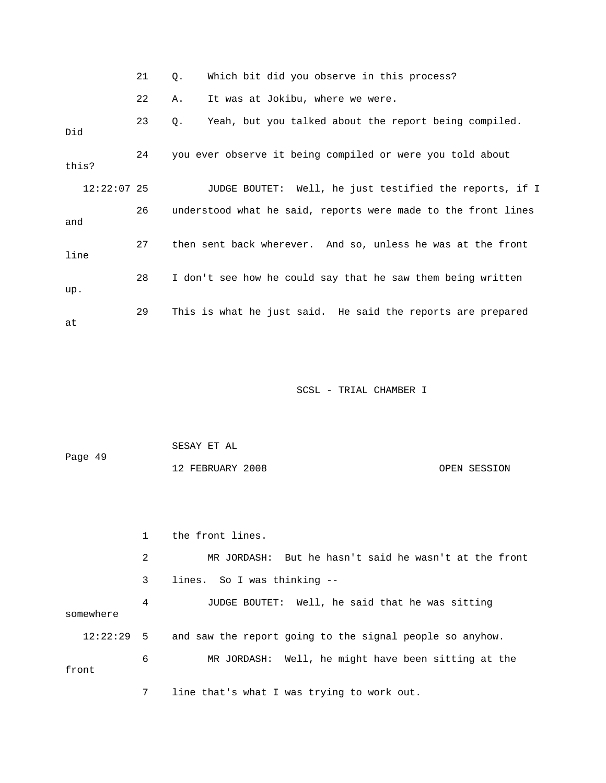|  |  | Which bit did you observe in this process? |
|--|--|--------------------------------------------|
|--|--|--------------------------------------------|

22 A. It was at Jokibu, where we were.

| Did         | 23 | Yeah, but you talked about the report being compiled.<br>Q.   |
|-------------|----|---------------------------------------------------------------|
| this?       | 24 | you ever observe it being compiled or were you told about     |
| 12:22:07 25 |    | JUDGE BOUTET: Well, he just testified the reports, if I       |
| and         | 26 | understood what he said, reports were made to the front lines |
| line        | 27 | then sent back wherever. And so, unless he was at the front   |
| up.         | 28 | I don't see how he could say that he saw them being written   |
| at          | 29 | This is what he just said. He said the reports are prepared   |

SCSL - TRIAL CHAMBER I

| Page 49 | SESAY ET AL      |              |
|---------|------------------|--------------|
|         | 12 FEBRUARY 2008 | OPEN SESSION |

 1 the front lines. 2 MR JORDASH: But he hasn't said he wasn't at the front 3 lines. So I was thinking -- 4 JUDGE BOUTET: Well, he said that he was sitting somewhere 12:22:29 5 and saw the report going to the signal people so anyhow. 6 MR JORDASH: Well, he might have been sitting at the front

7 line that's what I was trying to work out.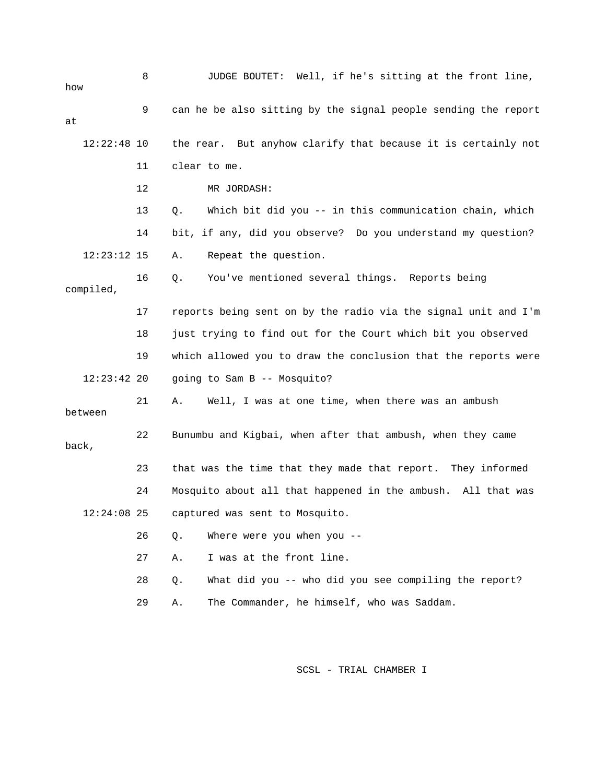| how           | 8  | JUDGE BOUTET: Well, if he's sitting at the front line,          |
|---------------|----|-----------------------------------------------------------------|
| at            | 9  | can he be also sitting by the signal people sending the report  |
| $12:22:48$ 10 |    | the rear. But anyhow clarify that because it is certainly not   |
|               | 11 | clear to me.                                                    |
|               | 12 | MR JORDASH:                                                     |
|               | 13 | Which bit did you -- in this communication chain, which<br>Q.   |
|               | 14 | bit, if any, did you observe? Do you understand my question?    |
| $12:23:12$ 15 |    | Repeat the question.<br>Α.                                      |
| compiled,     | 16 | You've mentioned several things. Reports being<br>Q.            |
|               | 17 | reports being sent on by the radio via the signal unit and I'm  |
|               | 18 | just trying to find out for the Court which bit you observed    |
|               | 19 | which allowed you to draw the conclusion that the reports were  |
| $12:23:42$ 20 |    | going to Sam B -- Mosquito?                                     |
| between       | 21 | Well, I was at one time, when there was an ambush<br>Α.         |
| back,         | 22 | Bunumbu and Kigbai, when after that ambush, when they came      |
|               | 23 | that was the time that they made that report. They informed     |
|               | 24 | Mosquito about all that happened in the ambush.<br>All that was |
| 12:24:08 25   |    | captured was sent to Mosquito.                                  |
|               | 26 | Where were you when you --<br>Q.                                |
|               | 27 | I was at the front line.<br>Α.                                  |
|               | 28 | What did you -- who did you see compiling the report?<br>$Q$ .  |
|               | 29 | The Commander, he himself, who was Saddam.<br>Α.                |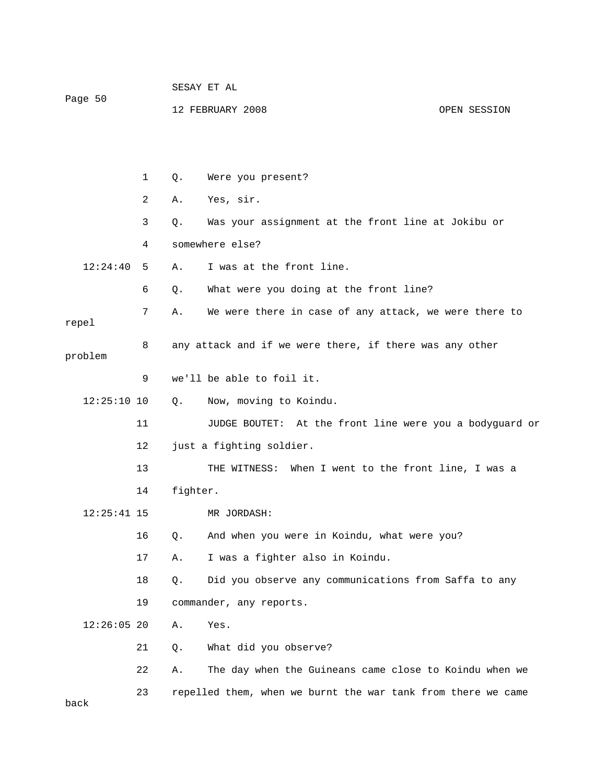| Page 50       |              | SESAY ET AL |                                                              |              |  |  |
|---------------|--------------|-------------|--------------------------------------------------------------|--------------|--|--|
|               |              |             | 12 FEBRUARY 2008                                             | OPEN SESSION |  |  |
|               |              |             |                                                              |              |  |  |
|               |              |             |                                                              |              |  |  |
|               | $\mathbf{1}$ | Q.          | Were you present?                                            |              |  |  |
|               | 2            | Α.          | Yes, sir.                                                    |              |  |  |
|               | 3            | Q.          | Was your assignment at the front line at Jokibu or           |              |  |  |
|               | 4            |             | somewhere else?                                              |              |  |  |
| 12:24:40      | 5            | Α.          | I was at the front line.                                     |              |  |  |
|               | 6            | Q.          | What were you doing at the front line?                       |              |  |  |
| repel         | 7            | Α.          | We were there in case of any attack, we were there to        |              |  |  |
| problem       | 8            |             | any attack and if we were there, if there was any other      |              |  |  |
|               | 9            |             | we'll be able to foil it.                                    |              |  |  |
| $12:25:10$ 10 |              | $Q_{\star}$ | Now, moving to Koindu.                                       |              |  |  |
|               | 11           |             | JUDGE BOUTET: At the front line were you a bodyguard or      |              |  |  |
|               | 12           |             | just a fighting soldier.                                     |              |  |  |
|               | 13           |             | THE WITNESS: When I went to the front line, I was a          |              |  |  |
|               | 14           | fighter.    |                                                              |              |  |  |
| $12:25:41$ 15 |              |             | MR JORDASH:                                                  |              |  |  |
|               | 16           | Q.          | And when you were in Koindu, what were you?                  |              |  |  |
|               | 17           | Α.          | I was a fighter also in Koindu.                              |              |  |  |
|               | 18           | Q.          | Did you observe any communications from Saffa to any         |              |  |  |
|               | 19           |             | commander, any reports.                                      |              |  |  |
| $12:26:05$ 20 |              | Α.          | Yes.                                                         |              |  |  |
|               | 21           | Q.          | What did you observe?                                        |              |  |  |
|               | 22           | Α.          | The day when the Guineans came close to Koindu when we       |              |  |  |
|               | 23           |             | repelled them, when we burnt the war tank from there we came |              |  |  |

back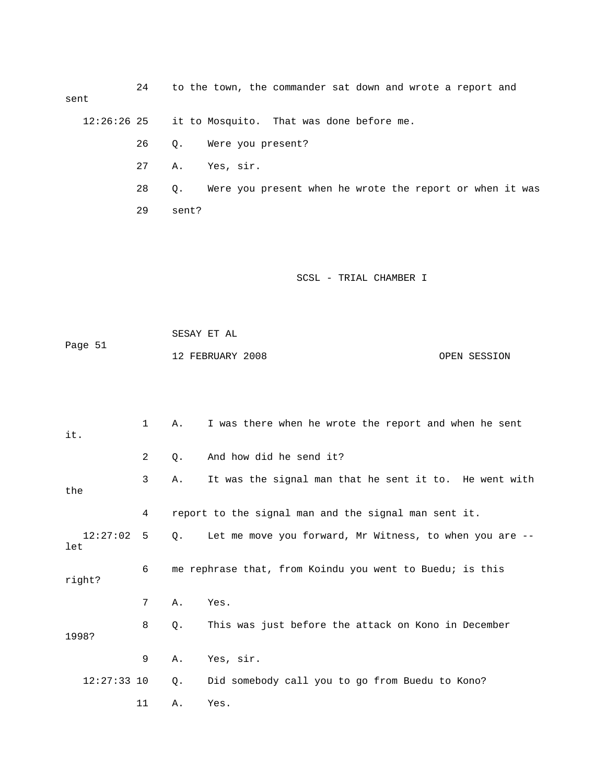24 to the town, the commander sat down and wrote a report and sent

12:26:26 25 it to Mosquito. That was done before me.

26 Q. Were you present?

- 27 A. Yes, sir.
- 28 Q. Were you present when he wrote the report or when it was

29 sent?

## SCSL - TRIAL CHAMBER I

 SESAY ET AL Page 51 12 FEBRUARY 2008 OPEN SESSION

| it. |               | $\mathbf{1}$ | Α. | I was there when he wrote the report and when he sent    |
|-----|---------------|--------------|----|----------------------------------------------------------|
|     |               | 2            | Q. | And how did he send it?                                  |
| the |               | 3            | Α. | It was the signal man that he sent it to. He went with   |
|     |               | 4            |    | report to the signal man and the signal man sent it.     |
| let | 12:27:02      | 5            | 0. | Let me move you forward, Mr Witness, to when you are --  |
|     | right?        | 6            |    | me rephrase that, from Koindu you went to Buedu; is this |
|     |               | 7            | Α. | Yes.                                                     |
|     | 1998?         | 8            | 0. | This was just before the attack on Kono in December      |
|     |               | 9            | Α. | Yes, sir.                                                |
|     | $12:27:33$ 10 |              | Q. | Did somebody call you to go from Buedu to Kono?          |
|     |               | 11           | Α. | Yes.                                                     |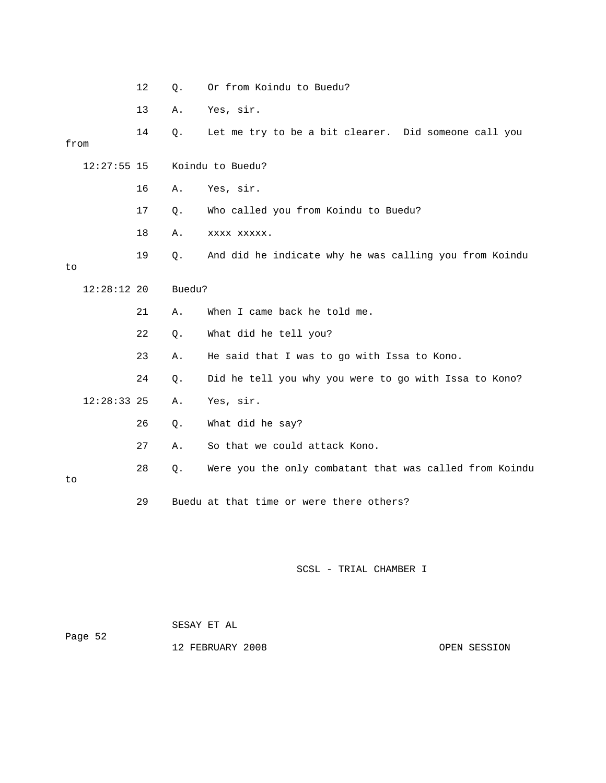|               | 12 | Q.     | Or from Koindu to Buedu?                                |
|---------------|----|--------|---------------------------------------------------------|
|               | 13 | Α.     | Yes, sir.                                               |
| from          | 14 | $Q$ .  | Let me try to be a bit clearer. Did someone call you    |
| $12:27:55$ 15 |    |        | Koindu to Buedu?                                        |
|               | 16 | Α.     | Yes, sir.                                               |
|               | 17 | Q.     | Who called you from Koindu to Buedu?                    |
|               | 18 | Α.     | XXXX XXXXX.                                             |
| to            | 19 | О.     | And did he indicate why he was calling you from Koindu  |
| $12:28:12$ 20 |    | Buedu? |                                                         |
|               | 21 | Α.     | When I came back he told me.                            |
|               | 22 | $Q$ .  | What did he tell you?                                   |
|               | 23 | Α.     | He said that I was to go with Issa to Kono.             |
|               | 24 | $Q$ .  | Did he tell you why you were to go with Issa to Kono?   |
| $12:28:33$ 25 |    | Α.     | Yes, sir.                                               |
|               | 26 | Q.     | What did he say?                                        |
|               | 27 | Α.     | So that we could attack Kono.                           |
| to            | 28 | $Q$ .  | Were you the only combatant that was called from Koindu |
|               | 29 |        | Buedu at that time or were there others?                |

 SESAY ET AL Page 52 12 FEBRUARY 2008 CPEN SESSION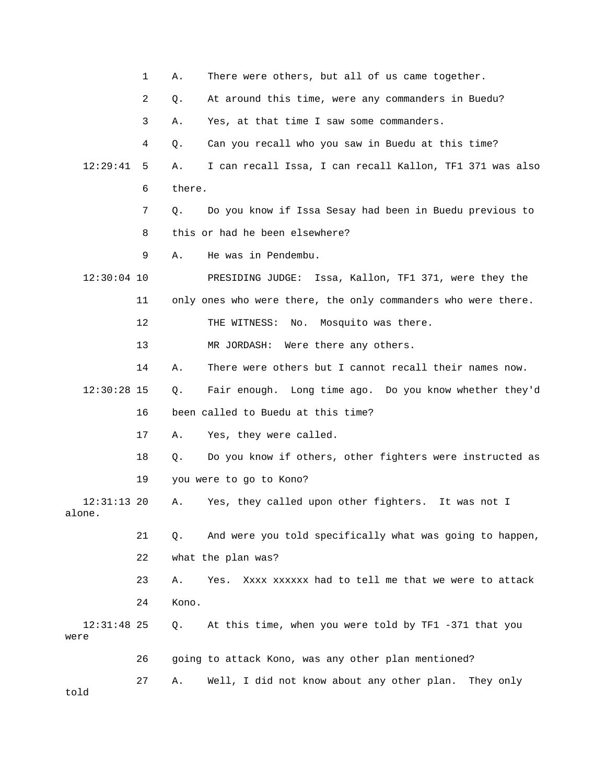|                         | 1  | Α.     | There were others, but all of us came together.               |
|-------------------------|----|--------|---------------------------------------------------------------|
|                         | 2  | Q.     | At around this time, were any commanders in Buedu?            |
|                         | 3  | Α.     | Yes, at that time I saw some commanders.                      |
|                         | 4  | Q.     | Can you recall who you saw in Buedu at this time?             |
| 12:29:41                | 5  | Α.     | I can recall Issa, I can recall Kallon, TF1 371 was also      |
|                         | 6  | there. |                                                               |
|                         | 7  | $Q$ .  | Do you know if Issa Sesay had been in Buedu previous to       |
|                         | 8  |        | this or had he been elsewhere?                                |
|                         | 9  | Α.     | He was in Pendembu.                                           |
| $12:30:04$ 10           |    |        | PRESIDING JUDGE: Issa, Kallon, TF1 371, were they the         |
|                         | 11 |        | only ones who were there, the only commanders who were there. |
|                         | 12 |        | THE WITNESS:<br>No. Mosquito was there.                       |
|                         | 13 |        | Were there any others.<br>MR JORDASH:                         |
|                         | 14 | Α.     | There were others but I cannot recall their names now.        |
| $12:30:28$ 15           |    | Ο.     | Fair enough. Long time ago. Do you know whether they'd        |
|                         | 16 |        | been called to Buedu at this time?                            |
|                         | 17 | Α.     | Yes, they were called.                                        |
|                         | 18 | Q.     | Do you know if others, other fighters were instructed as      |
|                         | 19 |        | you were to go to Kono?                                       |
| $12:31:13$ 20<br>alone. |    | Α.     | Yes, they called upon other fighters. It was not I            |
|                         | 21 | Q.     | And were you told specifically what was going to happen,      |
|                         | 22 |        | what the plan was?                                            |
|                         | 23 | Α.     | Xxxx xxxxxx had to tell me that we were to attack<br>Yes.     |
|                         | 24 | Kono.  |                                                               |
| $12:31:48$ 25<br>were   |    | Q.     | At this time, when you were told by TF1 -371 that you         |
|                         | 26 |        | going to attack Kono, was any other plan mentioned?           |
| told                    | 27 | Α.     | Well, I did not know about any other plan.<br>They only       |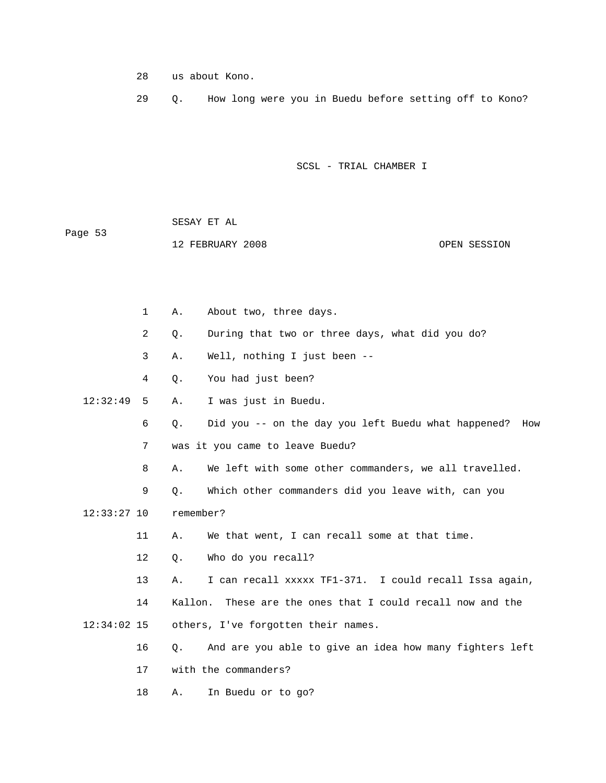28 us about Kono.

29 Q. How long were you in Buedu before setting off to Kono?

SCSL - TRIAL CHAMBER I

| Page 53 | SESAY ET AL      |              |
|---------|------------------|--------------|
|         | 12 FEBRUARY 2008 | OPEN SESSION |

|               | $\mathbf 1$ | Α.        | About two, three days.                                  |
|---------------|-------------|-----------|---------------------------------------------------------|
|               | 2           | Q.        | During that two or three days, what did you do?         |
|               | 3           | Α.        | Well, nothing I just been --                            |
|               | 4           | Q.        | You had just been?                                      |
| 12:32:49      | 5           | Α.        | I was just in Buedu.                                    |
|               | 6           | Q.        | Did you -- on the day you left Buedu what happened? How |
|               | 7           |           | was it you came to leave Buedu?                         |
|               | 8           | Α.        | We left with some other commanders, we all travelled.   |
|               | 9           | О.        | Which other commanders did you leave with, can you      |
| $12:33:27$ 10 |             | remember? |                                                         |
|               | 11          | Α.        | We that went, I can recall some at that time.           |
|               | 12          | $Q$ .     | Who do you recall?                                      |
|               | 13          | Α.        | I can recall xxxxx TF1-371. I could recall Issa again,  |
|               | 14          | Kallon.   | These are the ones that I could recall now and the      |
| $12:34:02$ 15 |             |           | others, I've forgotten their names.                     |
|               | 16          | Q.        | And are you able to give an idea how many fighters left |
|               | 17          |           | with the commanders?                                    |
|               |             |           |                                                         |

18 A. In Buedu or to go?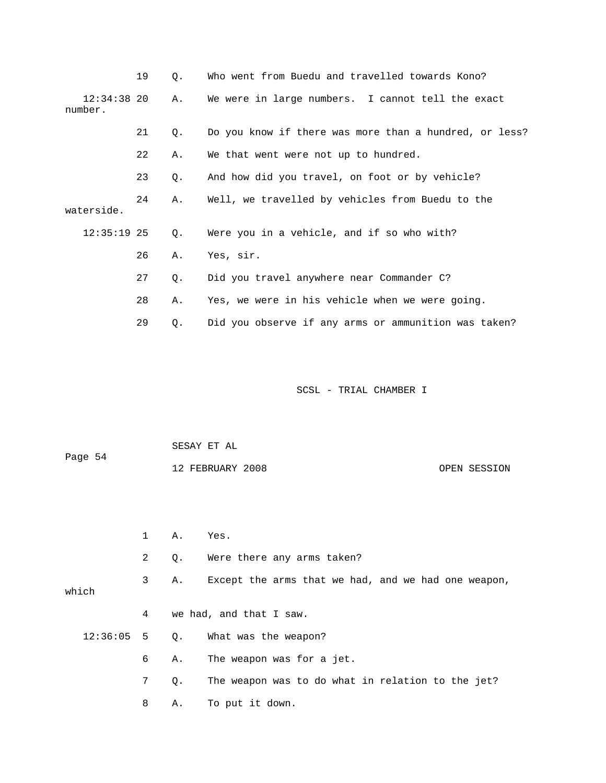|                          | 19 | Q. | Who went from Buedu and travelled towards Kono?        |
|--------------------------|----|----|--------------------------------------------------------|
| $12:34:38$ 20<br>number. |    | Α. | We were in large numbers. I cannot tell the exact      |
|                          | 21 | Q. | Do you know if there was more than a hundred, or less? |
|                          | 22 | Α. | We that went were not up to hundred.                   |
|                          | 23 | Q. | And how did you travel, on foot or by vehicle?         |
| waterside.               | 24 | Α. | Well, we travelled by vehicles from Buedu to the       |
| $12:35:19$ 25            |    | Q. | Were you in a vehicle, and if so who with?             |
|                          | 26 | Α. | Yes, sir.                                              |
|                          | 27 | Q. | Did you travel anywhere near Commander C?              |
|                          | 28 | Α. | Yes, we were in his vehicle when we were going.        |
|                          | 29 | Q. | Did you observe if any arms or ammunition was taken?   |

|          |                | SESAY ET AL |                                                     |  |  |
|----------|----------------|-------------|-----------------------------------------------------|--|--|
| Page 54  |                |             | 12 FEBRUARY 2008<br>OPEN SESSION                    |  |  |
|          |                |             |                                                     |  |  |
|          |                |             |                                                     |  |  |
|          | $1 \quad \Box$ | Α.          | Yes.                                                |  |  |
|          | $\overline{2}$ | Q.          | Were there any arms taken?                          |  |  |
|          | 3              | Α.          | Except the arms that we had, and we had one weapon, |  |  |
| which    |                |             |                                                     |  |  |
|          | 4              |             | we had, and that I saw.                             |  |  |
| 12:36:05 | 5 <sub>1</sub> | Q.          | What was the weapon?                                |  |  |
|          | 6              | Α.          | The weapon was for a jet.                           |  |  |
|          | 7              | $Q$ .       | The weapon was to do what in relation to the jet?   |  |  |
|          | 8              | Α.          | To put it down.                                     |  |  |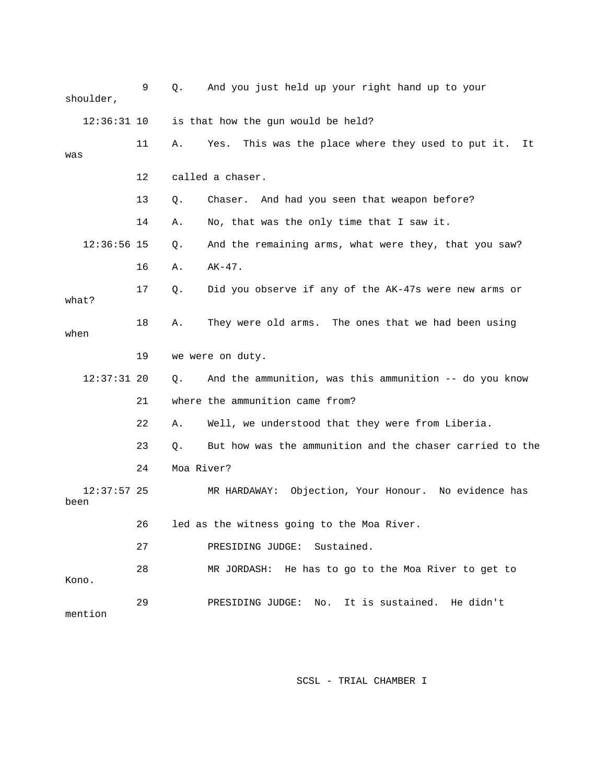| shoulder, |               | 9  | Q.         | And you just held up your right hand up to your             |
|-----------|---------------|----|------------|-------------------------------------------------------------|
|           | $12:36:31$ 10 |    |            | is that how the gun would be held?                          |
| was       |               | 11 | Α.         | This was the place where they used to put it.<br>Yes.<br>It |
|           |               | 12 |            | called a chaser.                                            |
|           |               | 13 | Q.         | Chaser. And had you seen that weapon before?                |
|           |               | 14 | Α.         | No, that was the only time that I saw it.                   |
|           | $12:36:56$ 15 |    | Q.         | And the remaining arms, what were they, that you saw?       |
|           |               | 16 | Α.         | $AK-47$ .                                                   |
| what?     |               | 17 | Q.         | Did you observe if any of the AK-47s were new arms or       |
| when      |               | 18 | Α.         | They were old arms. The ones that we had been using         |
|           |               | 19 |            | we were on duty.                                            |
|           | $12:37:31$ 20 |    | Q.         | And the ammunition, was this ammunition -- do you know      |
|           |               | 21 |            | where the ammunition came from?                             |
|           |               | 22 | Α.         | Well, we understood that they were from Liberia.            |
|           |               | 23 | Q.         | But how was the ammunition and the chaser carried to the    |
|           |               | 24 | Moa River? |                                                             |
| been      | $12:37:57$ 25 |    |            | MR HARDAWAY: Objection, Your Honour. No evidence has        |
|           |               | 26 |            | led as the witness going to the Moa River.                  |
|           |               | 27 |            | PRESIDING JUDGE: Sustained.                                 |
| Kono.     |               | 28 |            | MR JORDASH: He has to go to the Moa River to get to         |
| mention   |               | 29 |            | PRESIDING JUDGE: No. It is sustained. He didn't             |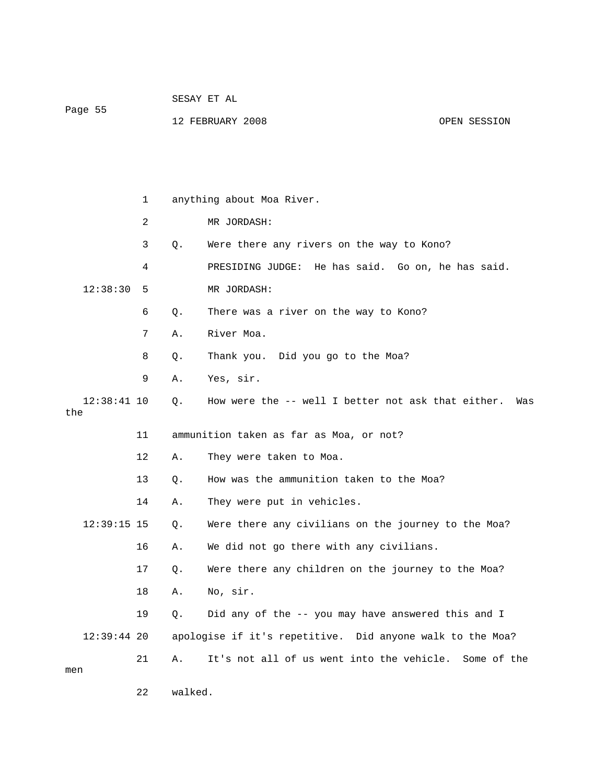| Page 55 | SESAY ET AL      |              |
|---------|------------------|--------------|
|         | 12 FEBRUARY 2008 | OPEN SESSION |

|     |               | $\mathbf 1$    | anything about Moa River. |                                                           |  |
|-----|---------------|----------------|---------------------------|-----------------------------------------------------------|--|
|     |               | $\overline{2}$ |                           | MR JORDASH:                                               |  |
|     |               | 3              | Q.                        | Were there any rivers on the way to Kono?                 |  |
|     |               | 4              |                           | PRESIDING JUDGE: He has said. Go on, he has said.         |  |
|     | 12:38:30      | 5              |                           | MR JORDASH:                                               |  |
|     |               | 6              | О.                        | There was a river on the way to Kono?                     |  |
|     |               | 7              | Α.                        | River Moa.                                                |  |
|     |               | 8              | Q.                        | Thank you. Did you go to the Moa?                         |  |
|     |               | 9              | Α.                        | Yes, sir.                                                 |  |
| the | $12:38:41$ 10 |                | О.                        | How were the -- well I better not ask that either.<br>Was |  |
|     |               | 11             |                           | ammunition taken as far as Moa, or not?                   |  |
|     |               | 12             | Α.                        | They were taken to Moa.                                   |  |
|     |               | 13             | О.                        | How was the ammunition taken to the Moa?                  |  |
|     |               | 14             | Α.                        | They were put in vehicles.                                |  |
|     | $12:39:15$ 15 |                | Q.                        | Were there any civilians on the journey to the Moa?       |  |
|     |               | 16             | Α.                        | We did not go there with any civilians.                   |  |
|     |               | 17             | Q.                        | Were there any children on the journey to the Moa?        |  |
|     |               | 18             | Α.                        | No, sir.                                                  |  |
|     |               | 19             | О.                        | Did any of the -- you may have answered this and I        |  |
|     | $12:39:44$ 20 |                |                           | apologise if it's repetitive. Did anyone walk to the Moa? |  |
| men |               | 21             | Α.                        | It's not all of us went into the vehicle. Some of the     |  |
|     |               | 22             | walked.                   |                                                           |  |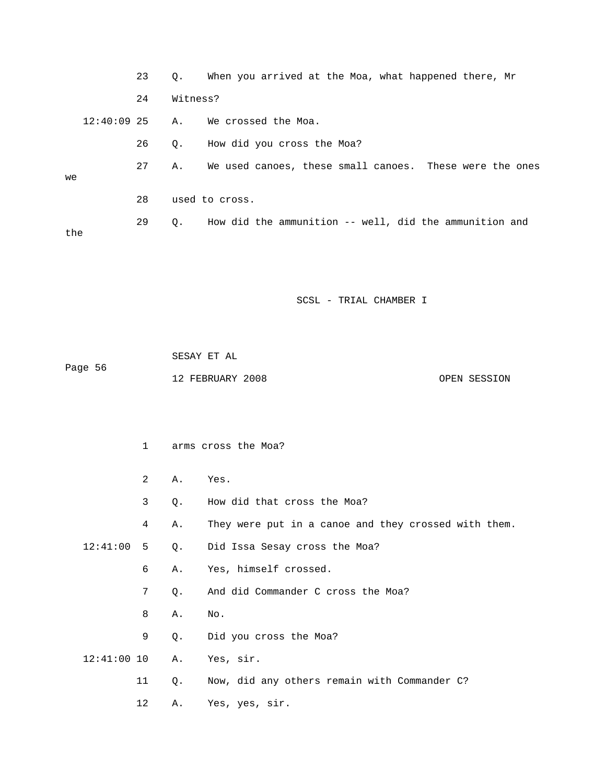|               | 23          | Q.       | When you arrived at the Moa, what happened there, Mr    |
|---------------|-------------|----------|---------------------------------------------------------|
|               | 24          | Witness? |                                                         |
| $12:40:09$ 25 |             | Α.       | We crossed the Moa.                                     |
|               | 26          | Q.       | How did you cross the Moa?                              |
| we            | 27          | Α.       | We used canoes, these small canoes. These were the ones |
|               | 28          |          | used to cross.                                          |
|               | 29          | Q.       | How did the ammunition -- well, did the ammunition and  |
| the           |             |          |                                                         |
|               |             |          |                                                         |
|               |             |          |                                                         |
|               |             |          | SCSL - TRIAL CHAMBER I                                  |
|               |             |          |                                                         |
|               |             |          | SESAY ET AL                                             |
| Page 56       |             |          |                                                         |
|               |             |          | 12 FEBRUARY 2008<br>OPEN SESSION                        |
|               |             |          |                                                         |
|               |             |          |                                                         |
|               | $\mathbf 1$ |          | arms cross the Moa?                                     |
|               | 2           | Α.       | Yes.                                                    |
|               | 3           | Q.       | How did that cross the Moa?                             |
|               | 4           | Α.       | They were put in a canoe and they crossed with them.    |
| 12:41:00      | 5           | Q.       | Did Issa Sesay cross the Moa?                           |
|               | 6           | Α.       | Yes, himself crossed.                                   |
|               | 7           | Q.       | And did Commander C cross the Moa?                      |
|               | 8           | Α.       | No.                                                     |
|               | 9           | Q.       | Did you cross the Moa?                                  |
| $12:41:00$ 10 |             | Α.       | Yes, sir.                                               |
|               | 11          | Q.       | Now, did any others remain with Commander C?            |
|               | 12          | Α.       | Yes, yes, sir.                                          |
|               |             |          |                                                         |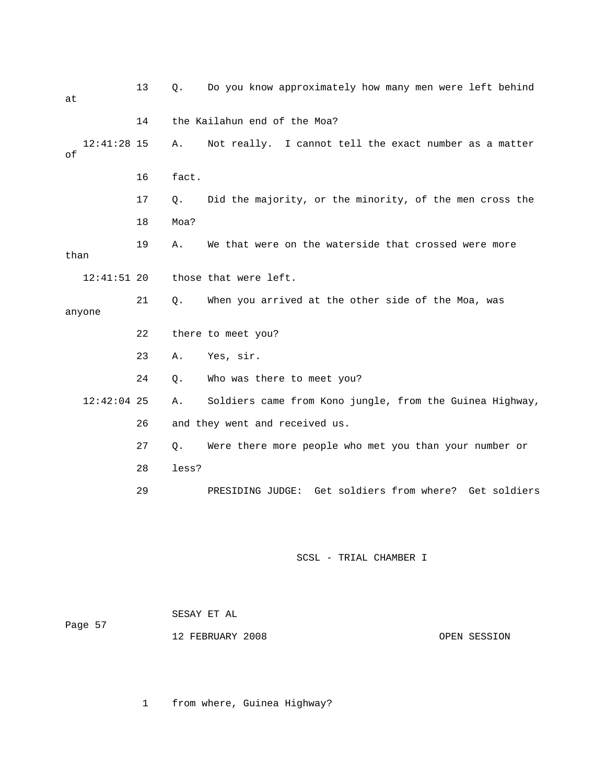| at        |               | 13 | Q.    | Do you know approximately how many men were left behind  |
|-----------|---------------|----|-------|----------------------------------------------------------|
|           |               | 14 |       | the Kailahun end of the Moa?                             |
| $\circ f$ | $12:41:28$ 15 |    | Α.    | Not really. I cannot tell the exact number as a matter   |
|           |               | 16 | fact. |                                                          |
|           |               | 17 | Q.    | Did the majority, or the minority, of the men cross the  |
|           |               | 18 | Moa?  |                                                          |
| than      |               | 19 | Α.    | We that were on the waterside that crossed were more     |
|           | $12:41:51$ 20 |    |       | those that were left.                                    |
|           | anyone        | 21 | Q.    | When you arrived at the other side of the Moa, was       |
|           |               | 22 |       | there to meet you?                                       |
|           |               | 23 | Α.    | Yes, sir.                                                |
|           |               | 24 | Q.    | Who was there to meet you?                               |
|           | $12:42:04$ 25 |    | Α.    | Soldiers came from Kono jungle, from the Guinea Highway, |
|           |               | 26 |       | and they went and received us.                           |
|           |               | 27 | Q.    | Were there more people who met you than your number or   |
|           |               | 28 | less? |                                                          |
|           |               | 29 |       | PRESIDING JUDGE: Get soldiers from where? Get soldiers   |
|           |               |    |       |                                                          |
|           |               |    |       |                                                          |

| Page 57 | SESAY ET AL      |
|---------|------------------|
|         | 12 FEBRUARY 2008 |
|         |                  |

OPEN SESSION

1 from where, Guinea Highway?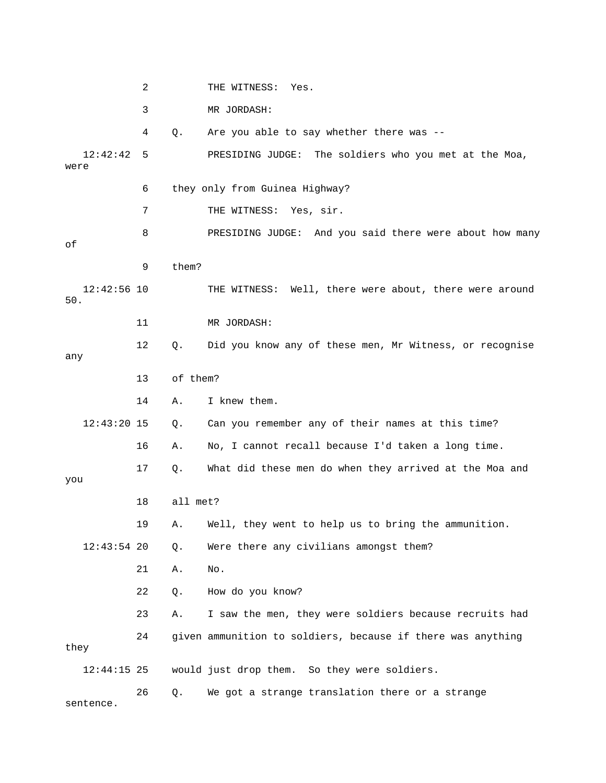|      |               | 2  |          | THE WITNESS: Yes.                                           |
|------|---------------|----|----------|-------------------------------------------------------------|
|      |               | 3  |          | MR JORDASH:                                                 |
|      |               | 4  | Q.       | Are you able to say whether there was --                    |
| were | 12:42:42      | 5  |          | PRESIDING JUDGE: The soldiers who you met at the Moa,       |
|      |               | 6  |          | they only from Guinea Highway?                              |
|      |               | 7  |          | THE WITNESS: Yes, sir.                                      |
| οf   |               | 8  |          | PRESIDING JUDGE: And you said there were about how many     |
|      |               | 9  | them?    |                                                             |
| 50.  | $12:42:56$ 10 |    |          | THE WITNESS: Well, there were about, there were around      |
|      |               | 11 |          | MR JORDASH:                                                 |
| any  |               | 12 | $Q$ .    | Did you know any of these men, Mr Witness, or recognise     |
|      |               | 13 | of them? |                                                             |
|      |               | 14 | Α.       | I knew them.                                                |
|      | $12:43:20$ 15 |    | Q.       | Can you remember any of their names at this time?           |
|      |               | 16 | Α.       | No, I cannot recall because I'd taken a long time.          |
| you  |               | 17 | Q.       | What did these men do when they arrived at the Moa and      |
|      |               | 18 | all met? |                                                             |
|      |               | 19 |          | A. Well, they went to help us to bring the ammunition.      |
|      | $12:43:54$ 20 |    | Q.       | Were there any civilians amongst them?                      |
|      |               | 21 | Α.       | No.                                                         |
|      |               | 22 | $Q$ .    | How do you know?                                            |
|      |               | 23 | Α.       | I saw the men, they were soldiers because recruits had      |
| they |               | 24 |          | given ammunition to soldiers, because if there was anything |
|      | $12:44:15$ 25 |    |          | would just drop them. So they were soldiers.                |
|      | sentence.     | 26 | Q.       | We got a strange translation there or a strange             |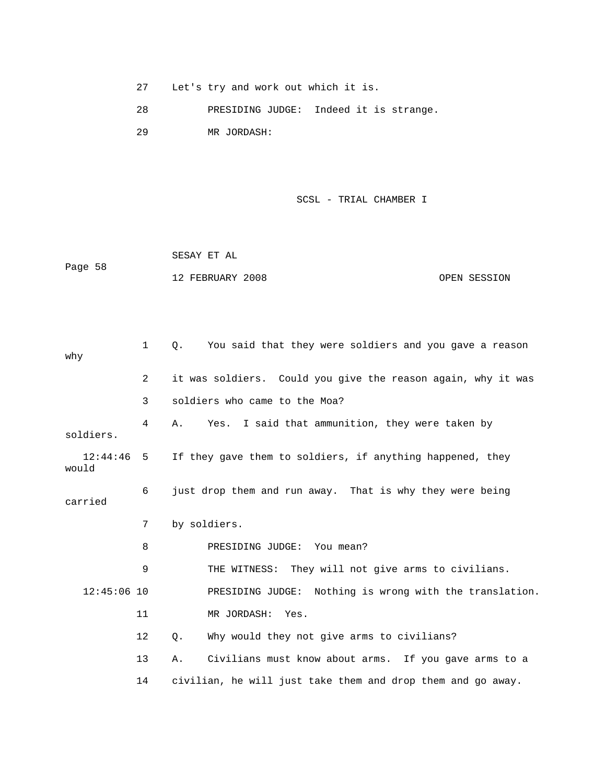27 Let's try and work out which it is.

28 PRESIDING JUDGE: Indeed it is strange.

29 MR JORDASH:

```
 SCSL - TRIAL CHAMBER I
```
 SESAY ET AL Page 58 12 FEBRUARY 2008 CPEN SESSION

| why               | $\mathbf{1}$   | You said that they were soldiers and you gave a reason<br>Ο. |  |  |
|-------------------|----------------|--------------------------------------------------------------|--|--|
|                   | $\overline{2}$ | it was soldiers. Could you give the reason again, why it was |  |  |
|                   | 3              | soldiers who came to the Moa?                                |  |  |
| soldiers.         | 4              | Yes. I said that ammunition, they were taken by<br>Α.        |  |  |
| 12:44:46<br>would | 5              | If they gave them to soldiers, if anything happened, they    |  |  |
| carried           | 6              | just drop them and run away. That is why they were being     |  |  |
|                   | 7              | by soldiers.                                                 |  |  |
|                   | 8              | PRESIDING JUDGE: You mean?                                   |  |  |
|                   | 9              | THE WITNESS: They will not give arms to civilians.           |  |  |
| $12:45:06$ 10     |                | PRESIDING JUDGE: Nothing is wrong with the translation.      |  |  |
|                   | 11             | MR JORDASH: Yes.                                             |  |  |
|                   | 12             | Why would they not give arms to civilians?<br>Q.             |  |  |
|                   | 13             | Civilians must know about arms. If you gave arms to a<br>Α.  |  |  |
|                   | 14             | civilian, he will just take them and drop them and go away.  |  |  |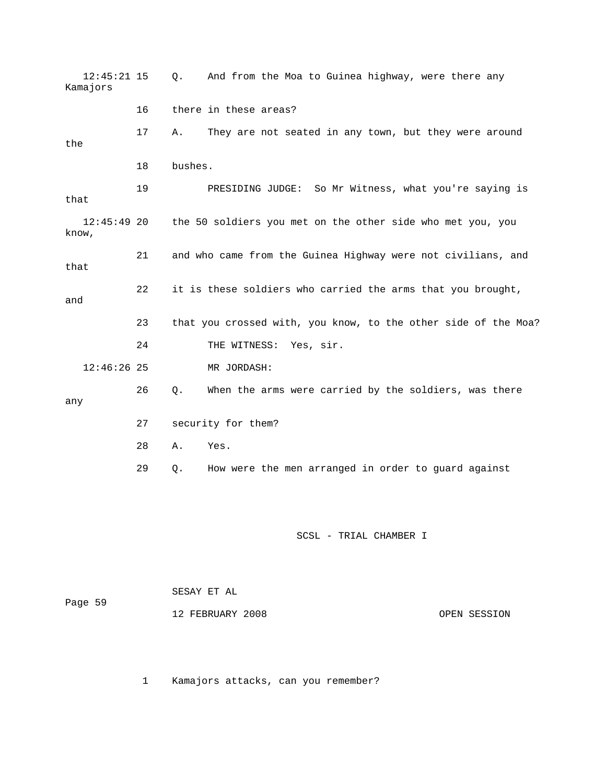12:45:21 15 Q. And from the Moa to Guinea highway, were there any Kamajors 16 there in these areas? 17 A. They are not seated in any town, but they were around the 18 bushes. 19 PRESIDING JUDGE: So Mr Witness, what you're saying is that 12:45:49 20 the 50 soldiers you met on the other side who met you, you know, 21 and who came from the Guinea Highway were not civilians, and that 22 it is these soldiers who carried the arms that you brought, and 23 that you crossed with, you know, to the other side of the Moa? 24 THE WITNESS: Yes, sir. 12:46:26 25 MR JORDASH: 26 Q. When the arms were carried by the soldiers, was there any 27 security for them? 28 A. Yes. 29 Q. How were the men arranged in order to guard against SCSL - TRIAL CHAMBER I

SESAY ET AL

12 FEBRUARY 2008 OPEN SESSION

1 Kamajors attacks, can you remember?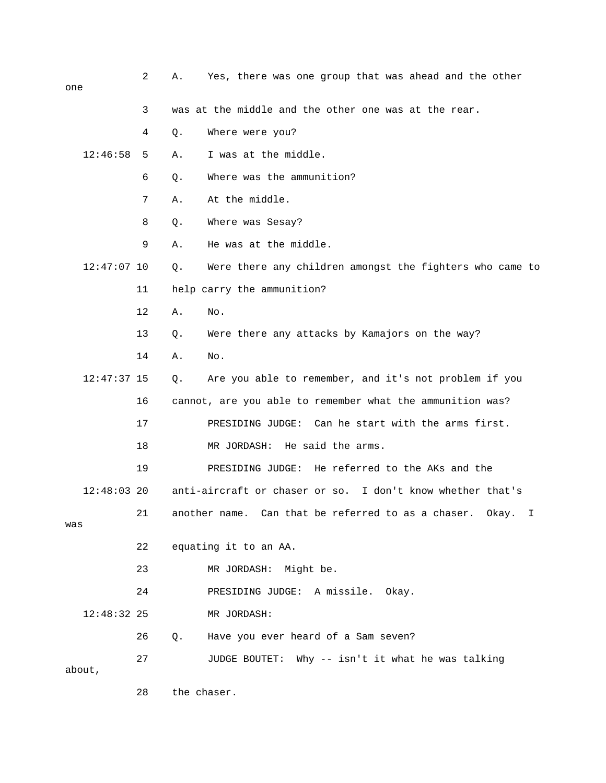| one           |                   | 2  | Yes, there was one group that was ahead and the other<br>Α. |                                                                         |  |
|---------------|-------------------|----|-------------------------------------------------------------|-------------------------------------------------------------------------|--|
|               |                   | 3  |                                                             | was at the middle and the other one was at the rear.                    |  |
|               |                   | 4  | Q.                                                          | Where were you?                                                         |  |
| 12:46:58      |                   | 5  | Α.                                                          | I was at the middle.                                                    |  |
|               |                   | 6  | Q.                                                          | Where was the ammunition?                                               |  |
|               |                   | 7  | Α.                                                          | At the middle.                                                          |  |
|               |                   | 8  | Q.                                                          | Where was Sesay?                                                        |  |
|               |                   | 9  | Α.                                                          | He was at the middle.                                                   |  |
| $12:47:07$ 10 |                   |    | Q.                                                          | Were there any children amongst the fighters who came to                |  |
|               |                   | 11 |                                                             | help carry the ammunition?                                              |  |
|               |                   | 12 | Α.                                                          | No.                                                                     |  |
|               |                   | 13 | Q.                                                          | Were there any attacks by Kamajors on the way?                          |  |
|               |                   | 14 | Α.                                                          | No.                                                                     |  |
| $12:47:37$ 15 |                   |    | Q.                                                          | Are you able to remember, and it's not problem if you                   |  |
|               |                   | 16 |                                                             | cannot, are you able to remember what the ammunition was?               |  |
|               |                   | 17 |                                                             | PRESIDING JUDGE: Can he start with the arms first.                      |  |
|               |                   | 18 |                                                             | He said the arms.<br>MR JORDASH:                                        |  |
|               |                   | 19 |                                                             | PRESIDING JUDGE: He referred to the AKs and the                         |  |
| $12:48:03$ 20 |                   |    |                                                             | anti-aircraft or chaser or so. I don't know whether that's              |  |
| was           |                   | 21 |                                                             | another name. Can that be referred to as a chaser. Okay.<br>$\mathbf I$ |  |
|               |                   | 22 |                                                             | equating it to an AA.                                                   |  |
|               |                   | 23 |                                                             | MR JORDASH: Might be.                                                   |  |
|               |                   | 24 |                                                             | PRESIDING JUDGE: A missile. Okay.                                       |  |
| $12:48:32$ 25 |                   |    |                                                             | MR JORDASH:                                                             |  |
|               |                   | 26 | Q.                                                          | Have you ever heard of a Sam seven?                                     |  |
| about,        |                   | 27 |                                                             | JUDGE BOUTET: Why -- isn't it what he was talking                       |  |
|               | 28<br>the chaser. |    |                                                             |                                                                         |  |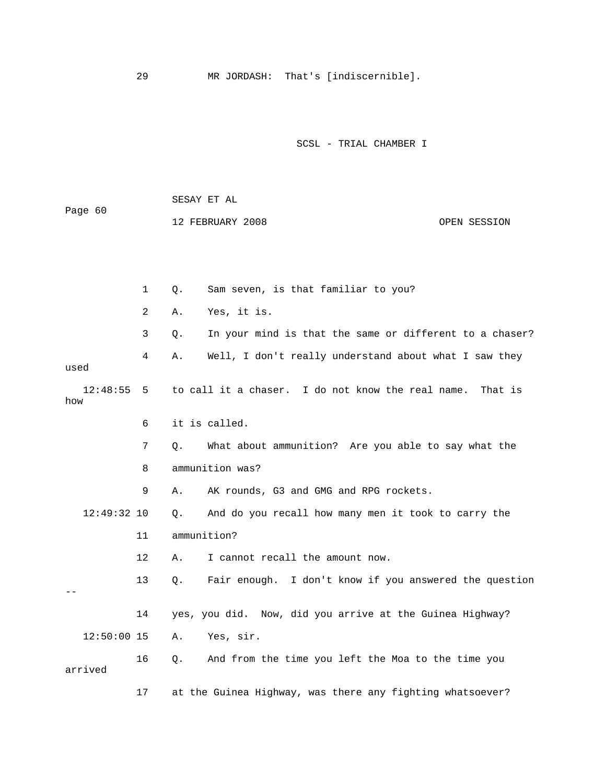29 MR JORDASH: That's [indiscernible].

SCSL - TRIAL CHAMBER I

 SESAY ET AL Page 60 12 FEBRUARY 2008 OPEN SESSION 1 Q. Sam seven, is that familiar to you? 2 A. Yes, it is. 3 Q. In your mind is that the same or different to a chaser? 4 A. Well, I don't really understand about what I saw they used 12:48:55 5 to call it a chaser. I do not know the real name. That is how 6 it is called. 7 Q. What about ammunition? Are you able to say what the 8 ammunition was? 9 A. AK rounds, G3 and GMG and RPG rockets. 12:49:32 10 Q. And do you recall how many men it took to carry the 11 ammunition? 12 A. I cannot recall the amount now. 13 Q. Fair enough. I don't know if you answered the question  $-$  14 yes, you did. Now, did you arrive at the Guinea Highway? 12:50:00 15 A. Yes, sir. 16 Q. And from the time you left the Moa to the time you arrived 17 at the Guinea Highway, was there any fighting whatsoever?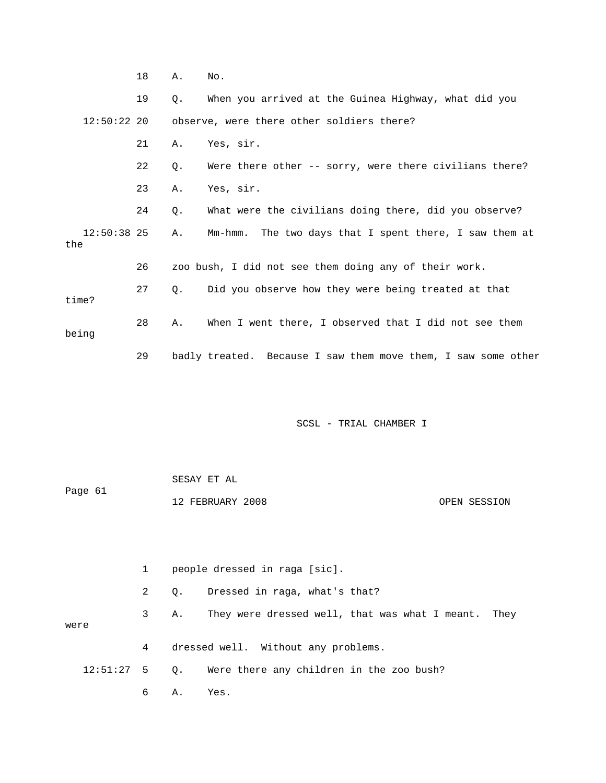|                      | 19 | $\circ$ . | When you arrived at the Guinea Highway, what did you          |
|----------------------|----|-----------|---------------------------------------------------------------|
| $12:50:22$ 20        |    |           | observe, were there other soldiers there?                     |
|                      | 21 | Α.        | Yes, sir.                                                     |
|                      | 22 | Q.        | Were there other -- sorry, were there civilians there?        |
|                      | 23 | Α.        | Yes, sir.                                                     |
|                      | 24 | Q.        | What were the civilians doing there, did you observe?         |
| $12:50:38$ 25<br>the |    | Α.        | Mm-hmm. The two days that I spent there, I saw them at        |
|                      | 26 |           | zoo bush, I did not see them doing any of their work.         |
| time?                | 27 | $\circ$ . | Did you observe how they were being treated at that           |
| being                | 28 | Α.        | When I went there, I observed that I did not see them         |
|                      | 29 |           | badly treated. Because I saw them move them, I saw some other |

18 A. No.

SCSL - TRIAL CHAMBER I

|         | SESAY ET AL      |              |
|---------|------------------|--------------|
| Page 61 |                  |              |
|         | 12 FEBRUARY 2008 | OPEN SESSION |

 1 people dressed in raga [sic]. 2 Q. Dressed in raga, what's that? 3 A. They were dressed well, that was what I meant. They were 4 dressed well. Without any problems. 12:51:27 5 Q. Were there any children in the zoo bush? 6 A. Yes.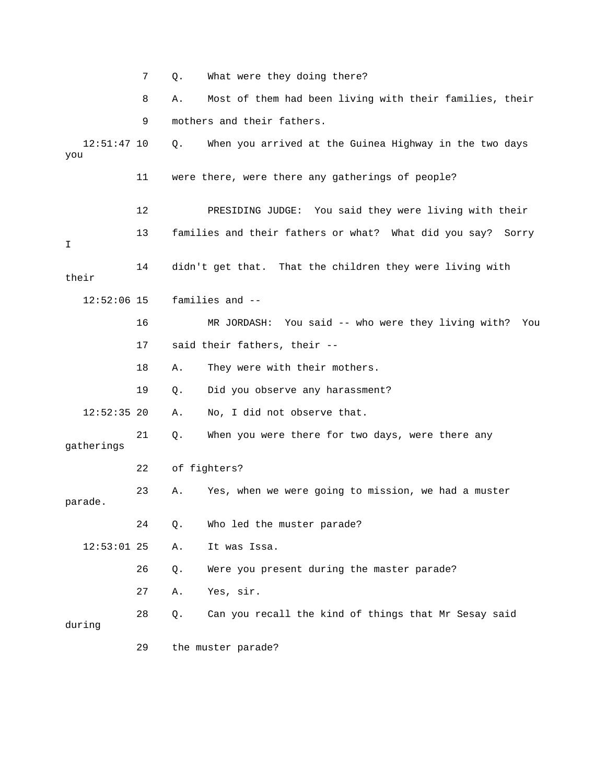7 Q. What were they doing there? 8 A. Most of them had been living with their families, their 9 mothers and their fathers. 12:51:47 10 Q. When you arrived at the Guinea Highway in the two days you 11 were there, were there any gatherings of people? 12 PRESIDING JUDGE: You said they were living with their 13 families and their fathers or what? What did you say? Sorry I 14 didn't get that. That the children they were living with their 12:52:06 15 families and -- 16 MR JORDASH: You said -- who were they living with? You 17 said their fathers, their -- 18 A. They were with their mothers. 19 Q. Did you observe any harassment? 12:52:35 20 A. No, I did not observe that. 21 Q. When you were there for two days, were there any gatherings 22 of fighters? 23 A. Yes, when we were going to mission, we had a muster parade. 24 Q. Who led the muster parade? 12:53:01 25 A. It was Issa. 26 Q. Were you present during the master parade? 27 A. Yes, sir. 28 Q. Can you recall the kind of things that Mr Sesay said during 29 the muster parade?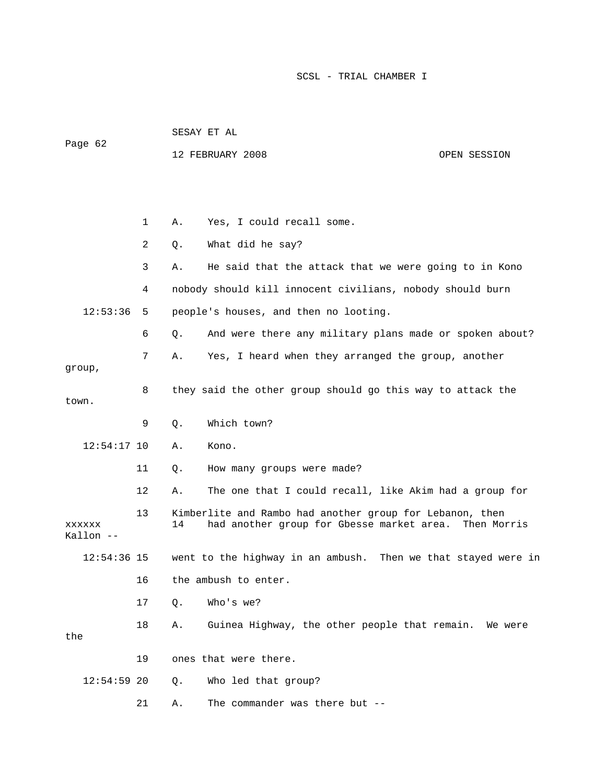|                            |    | SESAY ET AL                                                                                                                |                                                               |              |  |
|----------------------------|----|----------------------------------------------------------------------------------------------------------------------------|---------------------------------------------------------------|--------------|--|
| Page 62                    |    |                                                                                                                            | 12 FEBRUARY 2008                                              | OPEN SESSION |  |
|                            |    |                                                                                                                            |                                                               |              |  |
|                            |    |                                                                                                                            |                                                               |              |  |
|                            | 1  | Α.                                                                                                                         | Yes, I could recall some.                                     |              |  |
|                            | 2  | Q.                                                                                                                         | What did he say?                                              |              |  |
|                            | 3  | Α.                                                                                                                         | He said that the attack that we were going to in Kono         |              |  |
|                            | 4  |                                                                                                                            | nobody should kill innocent civilians, nobody should burn     |              |  |
| 12:53:36                   | 5  |                                                                                                                            | people's houses, and then no looting.                         |              |  |
|                            | 6  | Q.                                                                                                                         | And were there any military plans made or spoken about?       |              |  |
| group,                     | 7  | Α.                                                                                                                         | Yes, I heard when they arranged the group, another            |              |  |
| town.                      | 8  |                                                                                                                            | they said the other group should go this way to attack the    |              |  |
|                            | 9  | Q.                                                                                                                         | Which town?                                                   |              |  |
| $12:54:17$ 10              |    | Α.                                                                                                                         | Kono.                                                         |              |  |
|                            | 11 | Q.                                                                                                                         | How many groups were made?                                    |              |  |
|                            | 12 | Α.                                                                                                                         | The one that I could recall, like Akim had a group for        |              |  |
| <b>XXXXXX</b><br>Kallon -- | 13 | Kimberlite and Rambo had another group for Lebanon, then<br>had another group for Gbesse market area.<br>14<br>Then Morris |                                                               |              |  |
| $12:54:36$ 15              |    |                                                                                                                            | went to the highway in an ambush. Then we that stayed were in |              |  |
|                            | 16 | the ambush to enter.                                                                                                       |                                                               |              |  |
|                            | 17 | Q.                                                                                                                         | Who's we?                                                     |              |  |
| the                        | 18 | Α.                                                                                                                         | Guinea Highway, the other people that remain.                 | We were      |  |
|                            | 19 |                                                                                                                            | ones that were there.                                         |              |  |
| $12:54:59$ 20              |    | Q.                                                                                                                         | Who led that group?                                           |              |  |
|                            | 21 | Α.                                                                                                                         | The commander was there but --                                |              |  |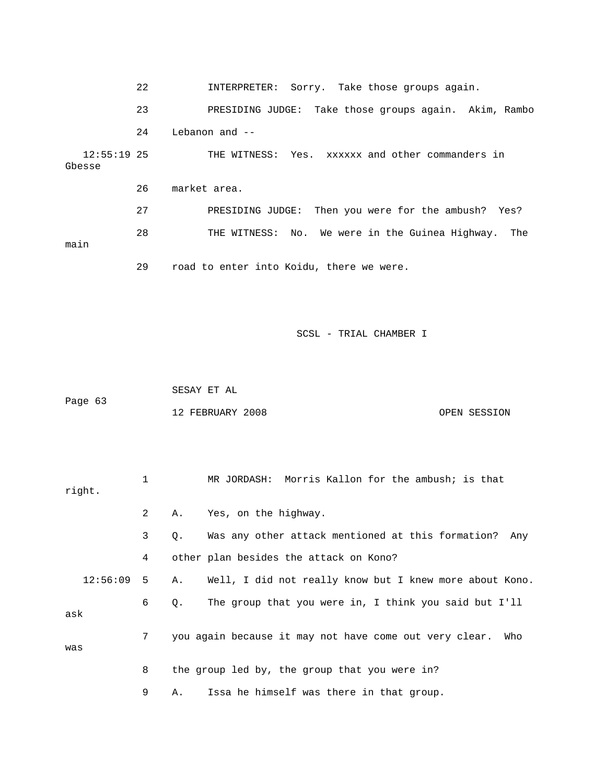22 INTERPRETER: Sorry. Take those groups again. 23 PRESIDING JUDGE: Take those groups again. Akim, Rambo 24 Lebanon and -- 12:55:19 25 THE WITNESS: Yes. xxxxxx and other commanders in Gbesse 26 market area. 27 PRESIDING JUDGE: Then you were for the ambush? Yes? 28 THE WITNESS: No. We were in the Guinea Highway. The main 29 road to enter into Koidu, there we were.

SCSL - TRIAL CHAMBER I

 SESAY ET AL Page 63 12 FEBRUARY 2008 OPEN SESSION

| right.   | 1 |    | MR JORDASH: Morris Kallon for the ambush; is that             |
|----------|---|----|---------------------------------------------------------------|
|          | 2 | Α. | Yes, on the highway.                                          |
|          | 3 | Q. | Was any other attack mentioned at this formation?<br>Any      |
|          | 4 |    | other plan besides the attack on Kono?                        |
| 12:56:09 | 5 | Α. | Well, I did not really know but I knew more about Kono.       |
| ask      | 6 | Q. | The group that you were in, I think you said but I'll         |
| was      | 7 |    | you again because it may not have come out very clear.<br>Who |
|          | 8 |    | the group led by, the group that you were in?                 |
|          | 9 | Α. | Issa he himself was there in that group.                      |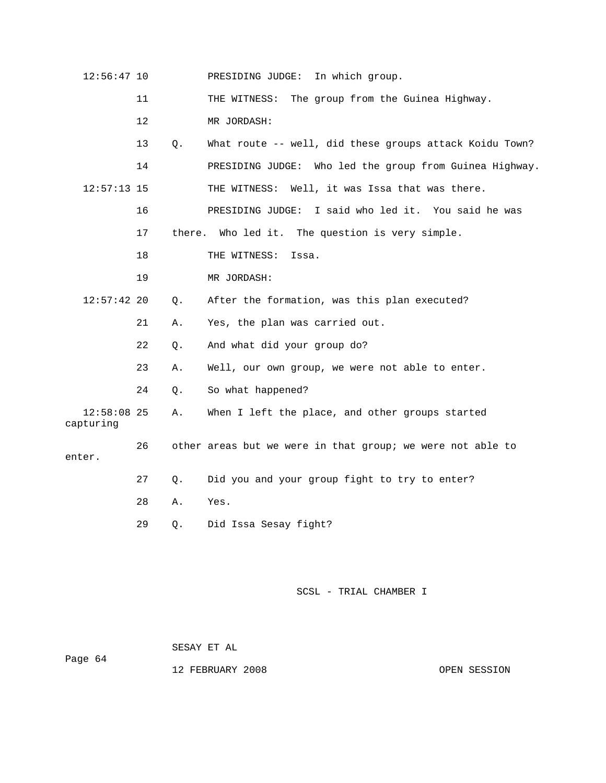| $12:56:47$ 10              |    |        | PRESIDING JUDGE:<br>In which group.                        |
|----------------------------|----|--------|------------------------------------------------------------|
|                            | 11 |        | The group from the Guinea Highway.<br>THE WITNESS:         |
|                            | 12 |        | MR JORDASH:                                                |
|                            | 13 | Q.     | What route -- well, did these groups attack Koidu Town?    |
|                            | 14 |        | PRESIDING JUDGE: Who led the group from Guinea Highway.    |
| $12:57:13$ 15              |    |        | THE WITNESS: Well, it was Issa that was there.             |
|                            | 16 |        | PRESIDING JUDGE: I said who led it. You said he was        |
|                            | 17 | there. | Who led it. The question is very simple.                   |
|                            | 18 |        | THE WITNESS:<br>Issa.                                      |
|                            | 19 |        | MR JORDASH:                                                |
| 12:57:42 20                |    | Q.     | After the formation, was this plan executed?               |
|                            | 21 | Α.     | Yes, the plan was carried out.                             |
|                            | 22 | Q.     | And what did your group do?                                |
|                            | 23 | Α.     | Well, our own group, we were not able to enter.            |
|                            | 24 | Q.     | So what happened?                                          |
| $12:58:08$ 25<br>capturing |    | Α.     | When I left the place, and other groups started            |
| enter.                     | 26 |        | other areas but we were in that group; we were not able to |
|                            | 27 | О.     | Did you and your group fight to try to enter?              |
|                            | 28 | Α.     | Yes.                                                       |
|                            | 29 | Q.     | Did Issa Sesay fight?                                      |

 SESAY ET AL Page 64

12 FEBRUARY 2008 CPEN SESSION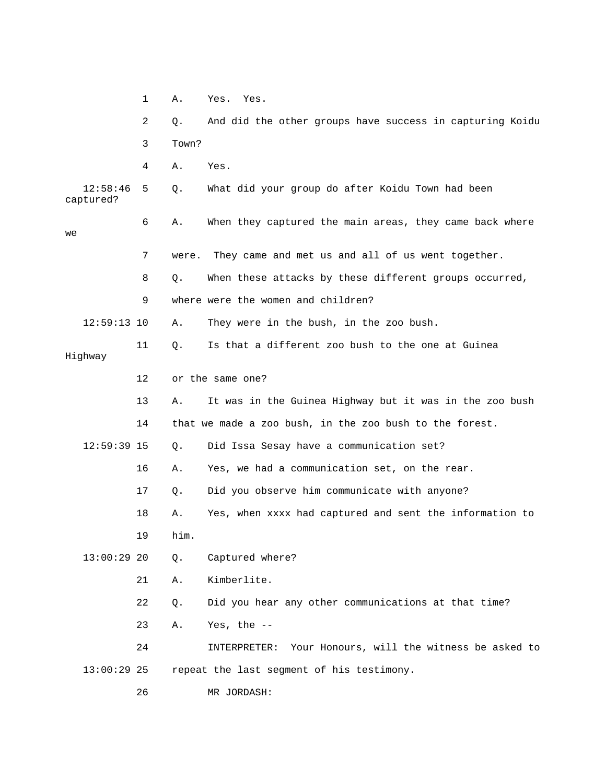|                       | $\mathbf 1$ | Α.    | Yes. Yes.                                                  |
|-----------------------|-------------|-------|------------------------------------------------------------|
|                       | 2           | Q.    | And did the other groups have success in capturing Koidu   |
|                       | 3           | Town? |                                                            |
|                       | 4           | Α.    | Yes.                                                       |
| 12:58:46<br>captured? | 5           | Q.    | What did your group do after Koidu Town had been           |
| we                    | 6           | Α.    | When they captured the main areas, they came back where    |
|                       | 7           | were. | They came and met us and all of us went together.          |
|                       | 8           | Q.    | When these attacks by these different groups occurred,     |
|                       | 9           |       | where were the women and children?                         |
| $12:59:13$ 10         |             | Α.    | They were in the bush, in the zoo bush.                    |
| Highway               | 11          | Q.    | Is that a different zoo bush to the one at Guinea          |
|                       | 12          |       | or the same one?                                           |
|                       | 13          | Α.    | It was in the Guinea Highway but it was in the zoo bush    |
|                       | 14          |       | that we made a zoo bush, in the zoo bush to the forest.    |
| $12:59:39$ 15         |             | Q.    | Did Issa Sesay have a communication set?                   |
|                       | 16          | Α.    | Yes, we had a communication set, on the rear.              |
|                       | 17          | Q.    | Did you observe him communicate with anyone?               |
|                       | 18          | Α.    | Yes, when xxxx had captured and sent the information to    |
|                       | 19          | him.  |                                                            |
| 13:00:29 20           |             | Q.    | Captured where?                                            |
|                       | 21          | Α.    | Kimberlite.                                                |
|                       | 22          | Q.    | Did you hear any other communications at that time?        |
|                       | 23          | Α.    | Yes, the $--$                                              |
|                       | 24          |       | Your Honours, will the witness be asked to<br>INTERPRETER: |
| $13:00:29$ 25         |             |       | repeat the last segment of his testimony.                  |
|                       | 26          |       | MR JORDASH:                                                |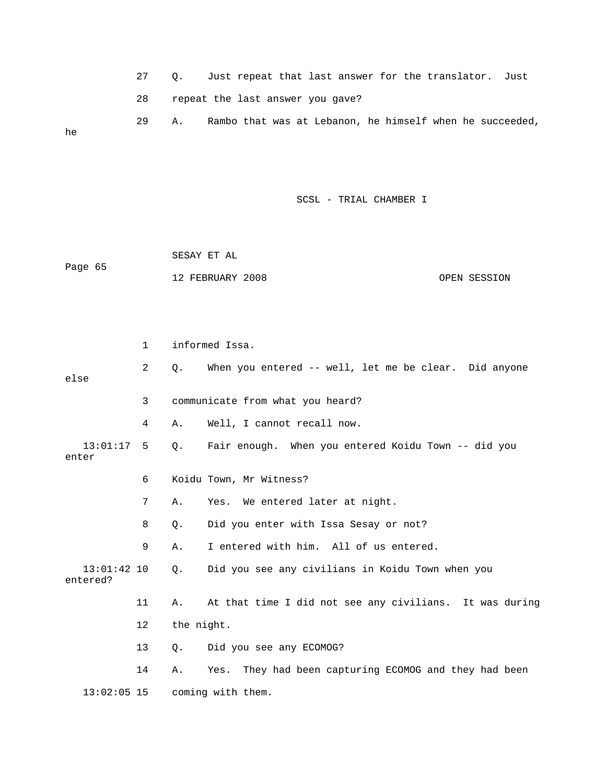27 Q. Just repeat that last answer for the translator. Just 28 repeat the last answer you gave? 29 A. Rambo that was at Lebanon, he himself when he succeeded, he

SCSL - TRIAL CHAMBER I

 SESAY ET AL Page 65 12 FEBRUARY 2008 OPEN SESSION

 1 informed Issa. 2 Q. When you entered -- well, let me be clear. Did anyone else 3 communicate from what you heard? 4 A. Well, I cannot recall now. 13:01:17 5 Q. Fair enough. When you entered Koidu Town -- did you enter 6 Koidu Town, Mr Witness? 7 A. Yes. We entered later at night. 8 Q. Did you enter with Issa Sesay or not? 9 A. I entered with him. All of us entered. 13:01:42 10 Q. Did you see any civilians in Koidu Town when you entered? 11 A. At that time I did not see any civilians. It was during 12 the night. 13 Q. Did you see any ECOMOG? 14 A. Yes. They had been capturing ECOMOG and they had been 13:02:05 15 coming with them.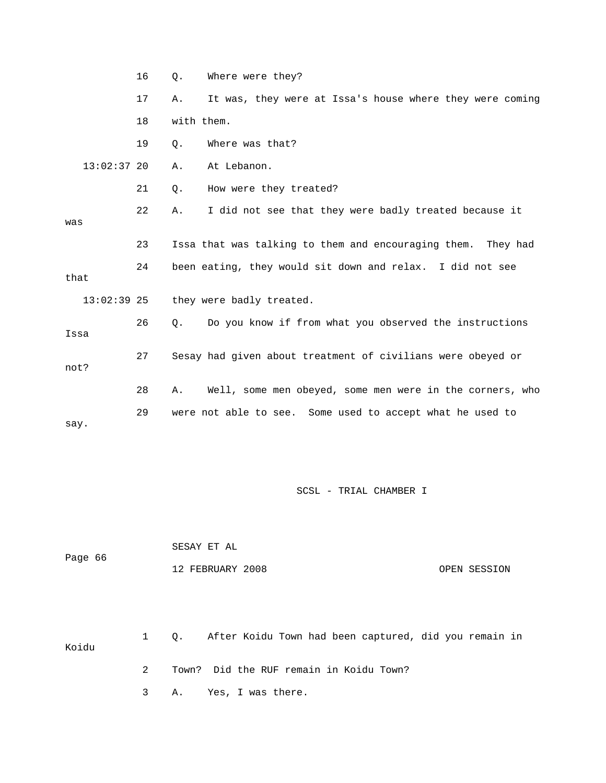|               | 16 | Q.         | Where were they?                                             |
|---------------|----|------------|--------------------------------------------------------------|
|               | 17 | Α.         | It was, they were at Issa's house where they were coming     |
|               | 18 | with them. |                                                              |
|               | 19 | Q.         | Where was that?                                              |
| $13:02:37$ 20 |    | Α.         | At Lebanon.                                                  |
|               | 21 | Q.         | How were they treated?                                       |
| was           | 22 | Α.         | I did not see that they were badly treated because it        |
|               | 23 |            | Issa that was talking to them and encouraging them. They had |
| that          | 24 |            | been eating, they would sit down and relax. I did not see    |
| $13:02:39$ 25 |    |            | they were badly treated.                                     |
| Issa          | 26 | Q.         | Do you know if from what you observed the instructions       |
| not?          | 27 |            | Sesay had given about treatment of civilians were obeyed or  |
|               | 28 | Α.         | Well, some men obeyed, some men were in the corners, who     |
| say.          | 29 |            | were not able to see. Some used to accept what he used to    |

| Page 66 | SESAY ET AL      |              |
|---------|------------------|--------------|
|         | 12 FEBRUARY 2008 | OPEN SESSION |

 1 Q. After Koidu Town had been captured, did you remain in Koidu 2 Town? Did the RUF remain in Koidu Town?

3 A. Yes, I was there.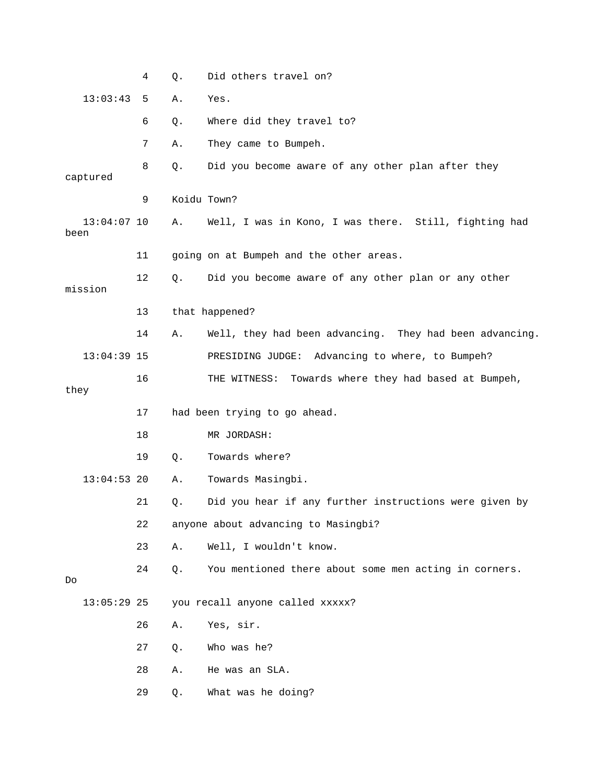|                                           |               | 4  | Q.          | Did others travel on?                                   |
|-------------------------------------------|---------------|----|-------------|---------------------------------------------------------|
|                                           | 13:03:43      | 5  | Α.          | Yes.                                                    |
|                                           |               | 6  | Q.          | Where did they travel to?                               |
|                                           |               | 7  | Α.          | They came to Bumpeh.                                    |
|                                           | captured      | 8  | Q.          | Did you become aware of any other plan after they       |
|                                           |               | 9  | Koidu Town? |                                                         |
| been                                      | $13:04:07$ 10 |    | Α.          | Well, I was in Kono, I was there. Still, fighting had   |
|                                           |               | 11 |             | going on at Bumpeh and the other areas.                 |
|                                           | mission       | 12 | Q.          | Did you become aware of any other plan or any other     |
|                                           |               | 13 |             | that happened?                                          |
|                                           |               | 14 | Α.          | Well, they had been advancing. They had been advancing. |
|                                           | $13:04:39$ 15 |    |             | PRESIDING JUDGE: Advancing to where, to Bumpeh?         |
| they                                      |               | 16 |             | Towards where they had based at Bumpeh,<br>THE WITNESS: |
|                                           |               | 17 |             | had been trying to go ahead.                            |
|                                           |               | 18 |             | MR JORDASH:                                             |
|                                           |               | 19 | $Q$ .       | Towards where?                                          |
|                                           | $13:04:53$ 20 |    | Α.          | Towards Masingbi.                                       |
|                                           |               | 21 | Q.          | Did you hear if any further instructions were given by  |
| 22<br>anyone about advancing to Masingbi? |               |    |             |                                                         |
|                                           |               | 23 | Α.          | Well, I wouldn't know.                                  |
| Do                                        |               | 24 | Q.          | You mentioned there about some men acting in corners.   |
|                                           | $13:05:29$ 25 |    |             | you recall anyone called xxxxx?                         |
|                                           |               | 26 | Α.          | Yes, sir.                                               |
|                                           |               | 27 | Q.          | Who was he?                                             |
|                                           |               |    |             |                                                         |
|                                           |               | 28 | Α.          | He was an SLA.                                          |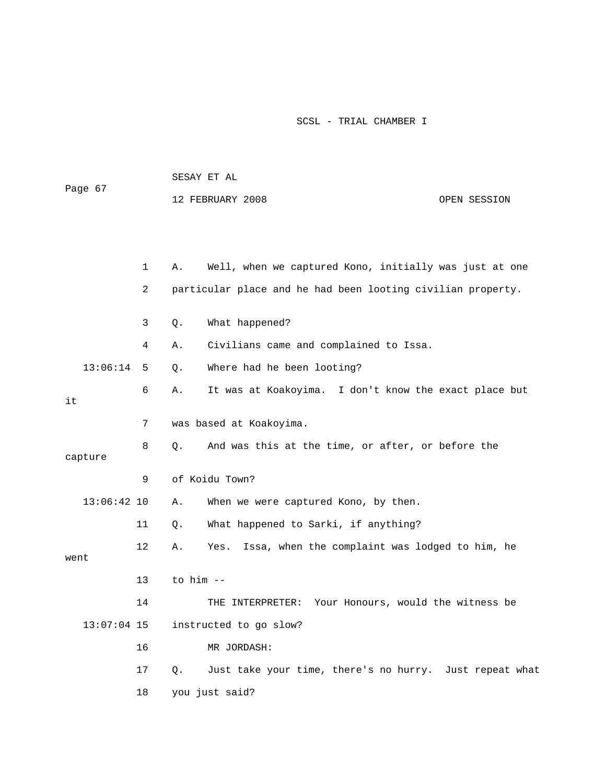|                              |              | SESAY ET AL            |                                                             |              |  |
|------------------------------|--------------|------------------------|-------------------------------------------------------------|--------------|--|
| Page 67                      |              |                        | 12 FEBRUARY 2008                                            | OPEN SESSION |  |
|                              |              |                        |                                                             |              |  |
|                              |              |                        |                                                             |              |  |
|                              | $\mathbf{1}$ | Α.                     | Well, when we captured Kono, initially was just at one      |              |  |
|                              | 2            |                        | particular place and he had been looting civilian property. |              |  |
|                              | 3            | Q.                     | What happened?                                              |              |  |
|                              | 4            | Α.                     | Civilians came and complained to Issa.                      |              |  |
| 13:06:14                     | 5            | Q.                     | Where had he been looting?                                  |              |  |
| it                           | 6            | Α.                     | It was at Koakoyima. I don't know the exact place but       |              |  |
| 7<br>was based at Koakoyima. |              |                        |                                                             |              |  |
| capture                      | 8            | Q.                     | And was this at the time, or after, or before the           |              |  |
| 9                            |              | of Koidu Town?         |                                                             |              |  |
| $13:06:42$ 10                |              | Α.                     | When we were captured Kono, by then.                        |              |  |
|                              | 11           | Q.                     | What happened to Sarki, if anything?                        |              |  |
| went                         | 12           | Α.                     | Issa, when the complaint was lodged to him, he<br>Yes.      |              |  |
| 13                           |              |                        | to him --                                                   |              |  |
|                              | 14           |                        | THE INTERPRETER: Your Honours, would the witness be         |              |  |
| $13:07:04$ 15                |              | instructed to go slow? |                                                             |              |  |
|                              | 16           |                        | MR JORDASH:                                                 |              |  |
|                              | 17           | Q.                     | Just take your time, there's no hurry. Just repeat what     |              |  |
|                              | 18           |                        | you just said?                                              |              |  |

SESAY ET AL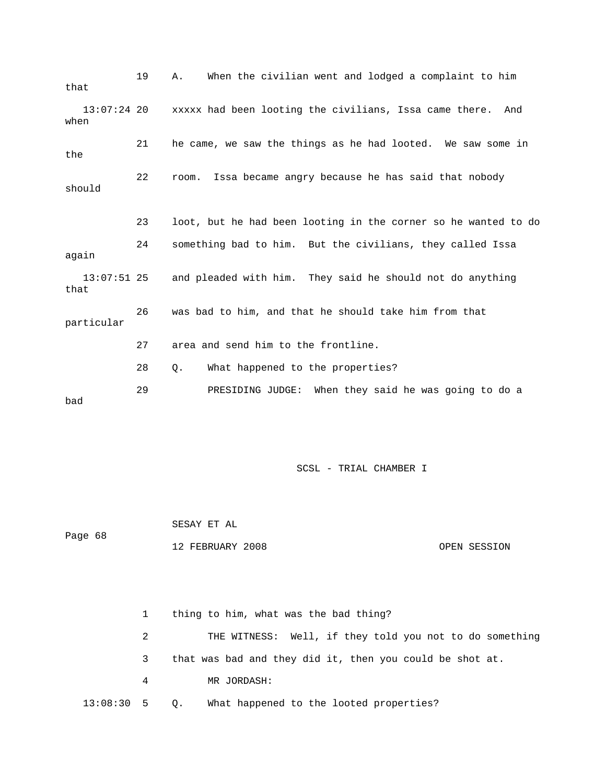19 A. When the civilian went and lodged a complaint to him that 13:07:24 20 xxxxx had been looting the civilians, Issa came there. And when 21 he came, we saw the things as he had looted. We saw some in the 22 room. Issa became angry because he has said that nobody should 23 loot, but he had been looting in the corner so he wanted to do 24 something bad to him. But the civilians, they called Issa again 13:07:51 25 and pleaded with him. They said he should not do anything that 26 was bad to him, and that he should take him from that particular 27 area and send him to the frontline. 28 Q. What happened to the properties? 29 PRESIDING JUDGE: When they said he was going to do a bad

SCSL - TRIAL CHAMBER I

 SESAY ET AL Page 68 12 FEBRUARY 2008 OPEN SESSION

 1 thing to him, what was the bad thing? 2 THE WITNESS: Well, if they told you not to do something 3 that was bad and they did it, then you could be shot at. 4 MR JORDASH: 13:08:30 5 Q. What happened to the looted properties?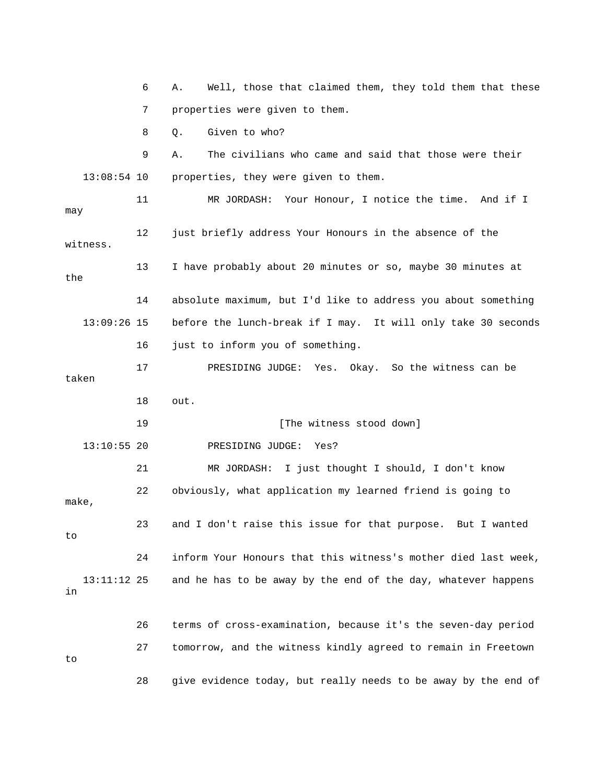6 A. Well, those that claimed them, they told them that these 7 properties were given to them. 8 Q. Given to who? 9 A. The civilians who came and said that those were their 13:08:54 10 properties, they were given to them. 11 MR JORDASH: Your Honour, I notice the time. And if I may 12 just briefly address Your Honours in the absence of the witness. 13 I have probably about 20 minutes or so, maybe 30 minutes at the 14 absolute maximum, but I'd like to address you about something 13:09:26 15 before the lunch-break if I may. It will only take 30 seconds 16 just to inform you of something. 17 PRESIDING JUDGE: Yes. Okay. So the witness can be taken 18 out. 19 **Industry [The witness stood down]**  13:10:55 20 PRESIDING JUDGE: Yes? 21 MR JORDASH: I just thought I should, I don't know 22 obviously, what application my learned friend is going to make, 23 and I don't raise this issue for that purpose. But I wanted to 24 inform Your Honours that this witness's mother died last week, 13:11:12 25 and he has to be away by the end of the day, whatever happens in 26 terms of cross-examination, because it's the seven-day period 27 tomorrow, and the witness kindly agreed to remain in Freetown to 28 give evidence today, but really needs to be away by the end of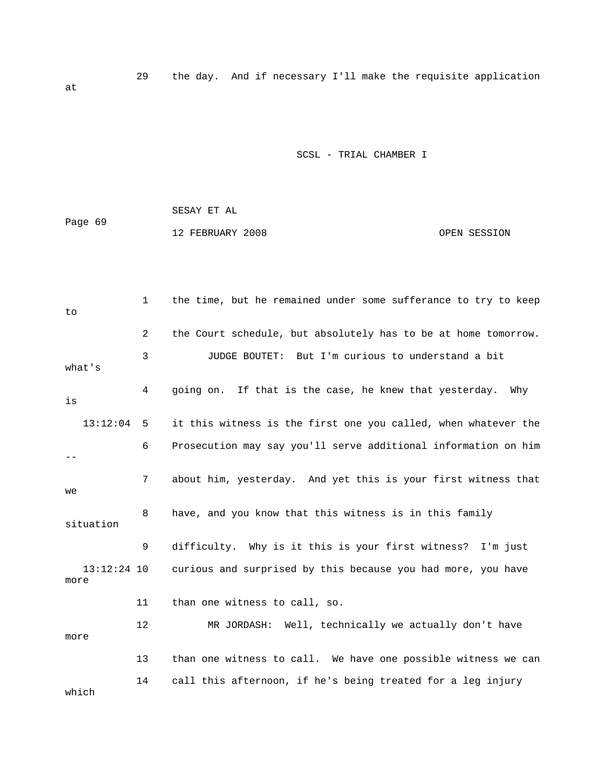29 the day. And if necessary I'll make the requisite application

SCSL - TRIAL CHAMBER I

|         | SESAY ET AL      |              |
|---------|------------------|--------------|
| Page 69 |                  |              |
|         | 12 FEBRUARY 2008 | OPEN SESSION |

 1 the time, but he remained under some sufferance to try to keep to 2 the Court schedule, but absolutely has to be at home tomorrow. 3 JUDGE BOUTET: But I'm curious to understand a bit what's 4 going on. If that is the case, he knew that yesterday. Why is 13:12:04 5 it this witness is the first one you called, when whatever the 6 Prosecution may say you'll serve additional information on him  $-$  7 about him, yesterday. And yet this is your first witness that we 8 have, and you know that this witness is in this family situation 9 difficulty. Why is it this is your first witness? I'm just 13:12:24 10 curious and surprised by this because you had more, you have more 11 than one witness to call, so. 12 MR JORDASH: Well, technically we actually don't have more 13 than one witness to call. We have one possible witness we can 14 call this afternoon, if he's being treated for a leg injury which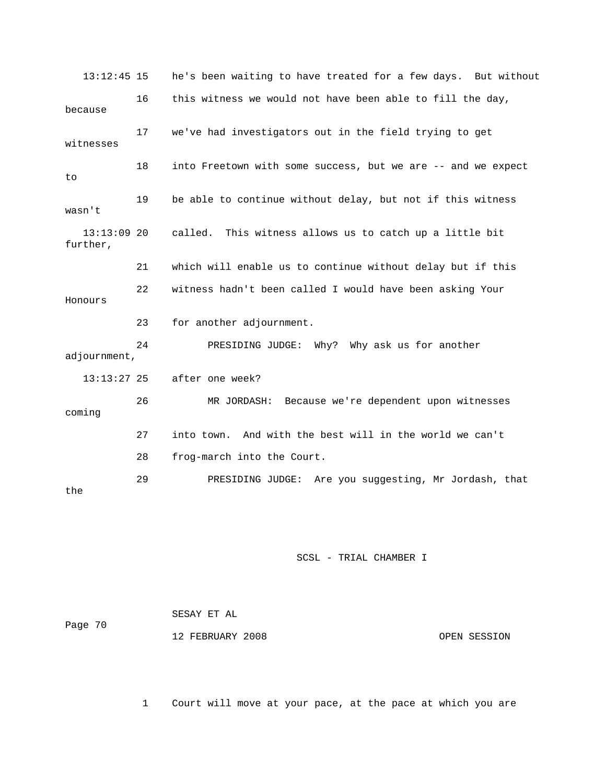13:12:45 15 he's been waiting to have treated for a few days. But without 16 this witness we would not have been able to fill the day, because 17 we've had investigators out in the field trying to get witnesses 18 into Freetown with some success, but we are -- and we expect to 19 be able to continue without delay, but not if this witness wasn't 13:13:09 20 called. This witness allows us to catch up a little bit further, 21 which will enable us to continue without delay but if this 22 witness hadn't been called I would have been asking Your Honours 23 for another adjournment. 24 PRESIDING JUDGE: Why? Why ask us for another adjournment, 13:13:27 25 after one week? 26 MR JORDASH: Because we're dependent upon witnesses coming 27 into town. And with the best will in the world we can't 28 frog-march into the Court. 29 PRESIDING JUDGE: Are you suggesting, Mr Jordash, that the

#### SCSL - TRIAL CHAMBER I

|         | SESAY ET AL      |              |
|---------|------------------|--------------|
| Page 70 |                  |              |
|         | 12 FEBRUARY 2008 | OPEN SESSION |

1 Court will move at your pace, at the pace at which you are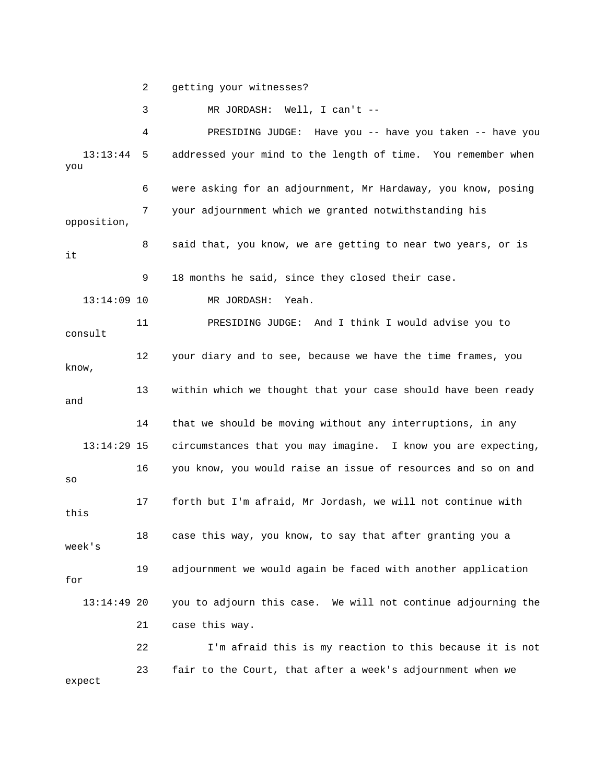2 getting your witnesses?

3 MR JORDASH: Well, I can't --

 4 PRESIDING JUDGE: Have you -- have you taken -- have you 13:13:44 5 addressed your mind to the length of time. You remember when you 6 were asking for an adjournment, Mr Hardaway, you know, posing 7 your adjournment which we granted notwithstanding his opposition, 8 said that, you know, we are getting to near two years, or is it 9 18 months he said, since they closed their case. 13:14:09 10 MR JORDASH: Yeah. 11 PRESIDING JUDGE: And I think I would advise you to consult 12 your diary and to see, because we have the time frames, you know, 13 within which we thought that your case should have been ready and 14 that we should be moving without any interruptions, in any 13:14:29 15 circumstances that you may imagine. I know you are expecting, 16 you know, you would raise an issue of resources and so on and so 17 forth but I'm afraid, Mr Jordash, we will not continue with this 18 case this way, you know, to say that after granting you a week's 19 adjournment we would again be faced with another application for 13:14:49 20 you to adjourn this case. We will not continue adjourning the 21 case this way. 22 I'm afraid this is my reaction to this because it is not 23 fair to the Court, that after a week's adjournment when we expect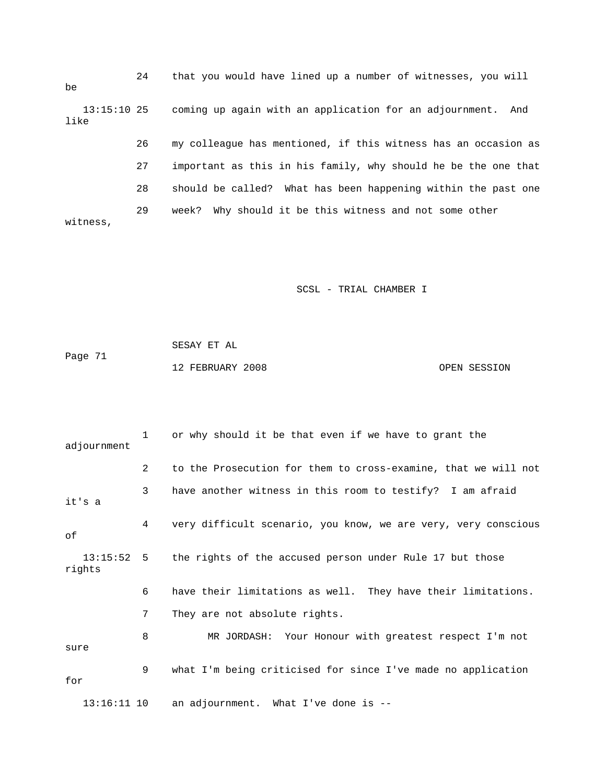24 that you would have lined up a number of witnesses, you will be 13:15:10 25 coming up again with an application for an adjournment. And like 26 my colleague has mentioned, if this witness has an occasion as 27 important as this in his family, why should he be the one that 28 should be called? What has been happening within the past one 29 week? Why should it be this witness and not some other witness,

SCSL - TRIAL CHAMBER I

 SESAY ET AL Page 71 12 FEBRUARY 2008 OPEN SESSION

| adjournment            | 1              | or why should it be that even if we have to grant the          |
|------------------------|----------------|----------------------------------------------------------------|
|                        | $\overline{2}$ | to the Prosecution for them to cross-examine, that we will not |
| it's a                 | 3              | have another witness in this room to testify? I am afraid      |
| οf                     | 4              | very difficult scenario, you know, we are very, very conscious |
| $13:15:52$ 5<br>rights |                | the rights of the accused person under Rule 17 but those       |
|                        | 6              | have their limitations as well. They have their limitations.   |
|                        | 7              | They are not absolute rights.                                  |
| sure                   | 8              | MR JORDASH: Your Honour with greatest respect I'm not          |
| for                    | 9              | what I'm being criticised for since I've made no application   |
| $13:16:11$ 10          |                | an adjournment. What I've done is $-$ -                        |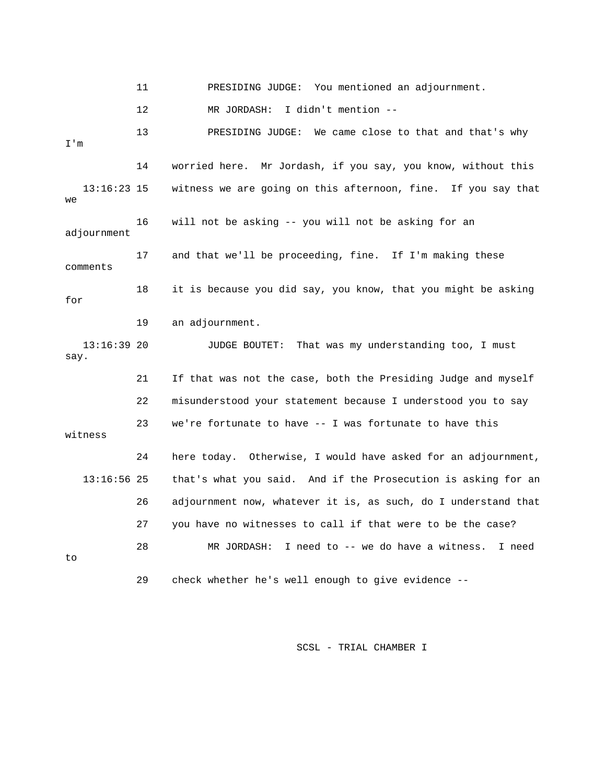11 PRESIDING JUDGE: You mentioned an adjournment. 12 MR JORDASH: I didn't mention -- 13 PRESIDING JUDGE: We came close to that and that's why I'm 14 worried here. Mr Jordash, if you say, you know, without this 13:16:23 15 witness we are going on this afternoon, fine. If you say that we 16 will not be asking -- you will not be asking for an adjournment 17 and that we'll be proceeding, fine. If I'm making these comments 18 it is because you did say, you know, that you might be asking for 19 an adjournment. 13:16:39 20 JUDGE BOUTET: That was my understanding too, I must say. 21 If that was not the case, both the Presiding Judge and myself 22 misunderstood your statement because I understood you to say 23 we're fortunate to have -- I was fortunate to have this witness 24 here today. Otherwise, I would have asked for an adjournment, 13:16:56 25 that's what you said. And if the Prosecution is asking for an 26 adjournment now, whatever it is, as such, do I understand that 27 you have no witnesses to call if that were to be the case? 28 MR JORDASH: I need to -- we do have a witness. I need to 29 check whether he's well enough to give evidence --

SCSL - TRIAL CHAMBER I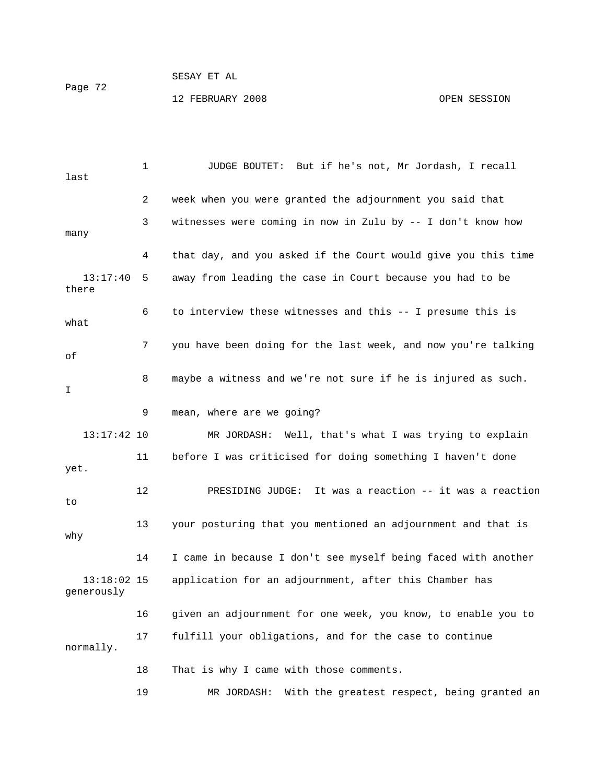### SESAY ET AL Page 72 12 FEBRUARY 2008 OPEN SESSION

 1 JUDGE BOUTET: But if he's not, Mr Jordash, I recall last 2 week when you were granted the adjournment you said that 3 witnesses were coming in now in Zulu by -- I don't know how many 4 that day, and you asked if the Court would give you this time 13:17:40 5 away from leading the case in Court because you had to be there 6 to interview these witnesses and this -- I presume this is what 7 you have been doing for the last week, and now you're talking of 8 maybe a witness and we're not sure if he is injured as such.  $\mathsf{T}$  9 mean, where are we going? 13:17:42 10 MR JORDASH: Well, that's what I was trying to explain 11 before I was criticised for doing something I haven't done yet. 12 PRESIDING JUDGE: It was a reaction -- it was a reaction  $t<sub>0</sub>$  13 your posturing that you mentioned an adjournment and that is why 14 I came in because I don't see myself being faced with another 13:18:02 15 application for an adjournment, after this Chamber has generously 16 given an adjournment for one week, you know, to enable you to 17 fulfill your obligations, and for the case to continue normally. 18 That is why I came with those comments. 19 MR JORDASH: With the greatest respect, being granted an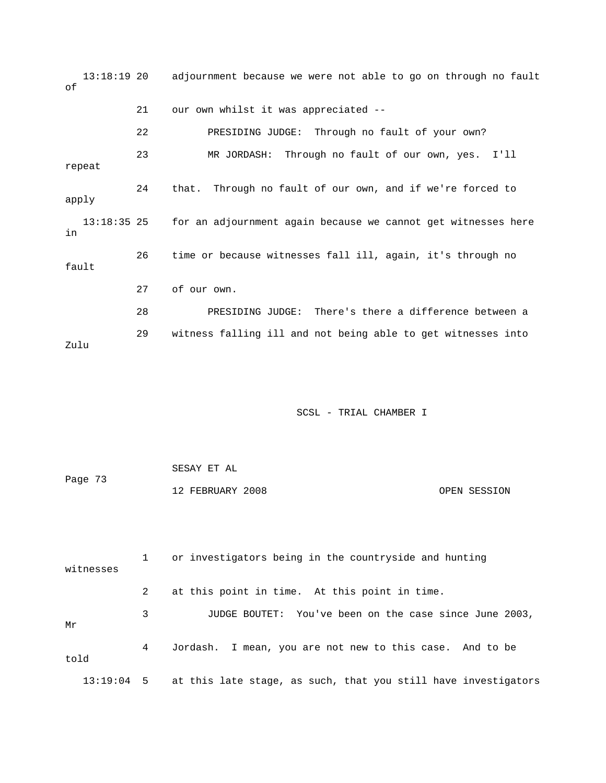13:18:19 20 adjournment because we were not able to go on through no fault of 21 our own whilst it was appreciated -- 22 PRESIDING JUDGE: Through no fault of your own? 23 MR JORDASH: Through no fault of our own, yes. I'll repeat 24 that. Through no fault of our own, and if we're forced to apply 13:18:35 25 for an adjournment again because we cannot get witnesses here in 26 time or because witnesses fall ill, again, it's through no fault 27 of our own. 28 PRESIDING JUDGE: There's there a difference between a 29 witness falling ill and not being able to get witnesses into Zulu

#### SCSL - TRIAL CHAMBER I

 SESAY ET AL Page 73 12 FEBRUARY 2008 OPEN SESSION

 1 or investigators being in the countryside and hunting witnesses 2 at this point in time. At this point in time. 3 JUDGE BOUTET: You've been on the case since June 2003, Mr 4 Jordash. I mean, you are not new to this case. And to be told 13:19:04 5 at this late stage, as such, that you still have investigators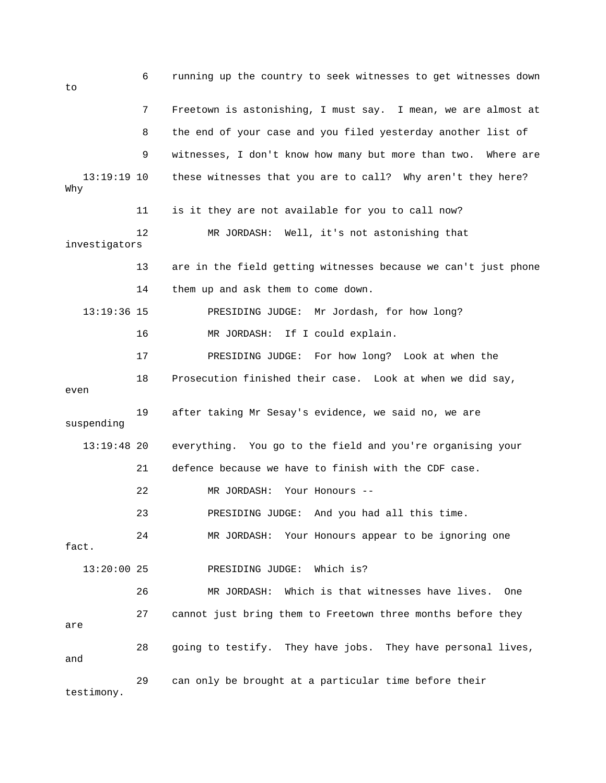6 running up the country to seek witnesses to get witnesses down to 7 Freetown is astonishing, I must say. I mean, we are almost at 8 the end of your case and you filed yesterday another list of 9 witnesses, I don't know how many but more than two. Where are 13:19:19 10 these witnesses that you are to call? Why aren't they here? Why 11 is it they are not available for you to call now? 12 MR JORDASH: Well, it's not astonishing that investigators 13 are in the field getting witnesses because we can't just phone 14 them up and ask them to come down. 13:19:36 15 PRESIDING JUDGE: Mr Jordash, for how long? 16 MR JORDASH: If I could explain. 17 PRESIDING JUDGE: For how long? Look at when the 18 Prosecution finished their case. Look at when we did say, even 19 after taking Mr Sesay's evidence, we said no, we are suspending 13:19:48 20 everything. You go to the field and you're organising your 21 defence because we have to finish with the CDF case. 22 MR JORDASH: Your Honours -- 23 PRESIDING JUDGE: And you had all this time. 24 MR JORDASH: Your Honours appear to be ignoring one fact. 13:20:00 25 PRESIDING JUDGE: Which is? 26 MR JORDASH: Which is that witnesses have lives. One 27 cannot just bring them to Freetown three months before they are 28 going to testify. They have jobs. They have personal lives, and 29 can only be brought at a particular time before their testimony.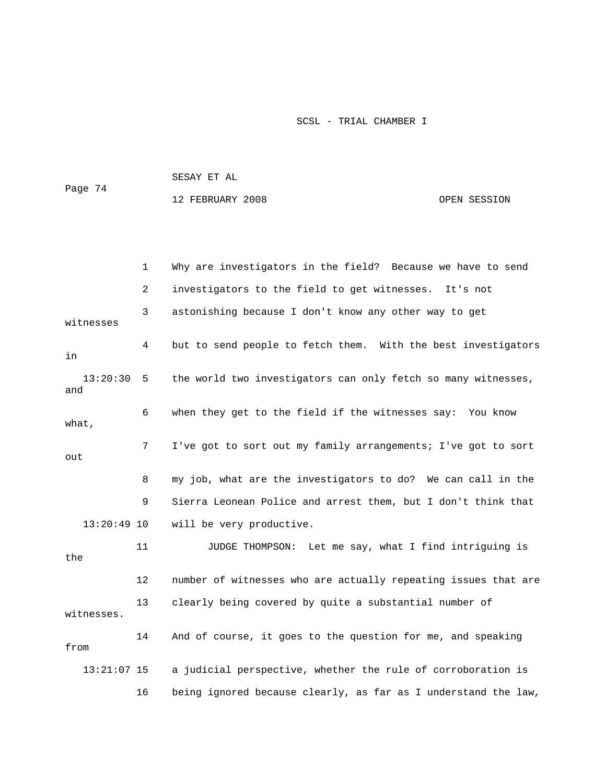| Page 74 | SESAY ET AL      |              |
|---------|------------------|--------------|
|         | 12 FEBRUARY 2008 | OPEN SESSION |
|         |                  |              |

|                 | 1  | Why are investigators in the field? Because we have to send    |
|-----------------|----|----------------------------------------------------------------|
|                 | 2  | investigators to the field to get witnesses. It's not          |
| witnesses       | 3  | astonishing because I don't know any other way to get          |
| in              | 4  | but to send people to fetch them. With the best investigators  |
| 13:20:30<br>and | 5  | the world two investigators can only fetch so many witnesses,  |
| what,           | 6  | when they get to the field if the witnesses say: You know      |
| out             | 7  | I've got to sort out my family arrangements; I've got to sort  |
|                 | 8  | my job, what are the investigators to do? We can call in the   |
|                 | 9  | Sierra Leonean Police and arrest them, but I don't think that  |
| $13:20:49$ 10   |    | will be very productive.                                       |
| the             | 11 | JUDGE THOMPSON: Let me say, what I find intriguing is          |
|                 | 12 | number of witnesses who are actually repeating issues that are |
| witnesses.      | 13 | clearly being covered by quite a substantial number of         |
| from            | 14 | And of course, it goes to the question for me, and speaking    |
| $13:21:07$ 15   |    | a judicial perspective, whether the rule of corroboration is   |
|                 | 16 | being ignored because clearly, as far as I understand the law, |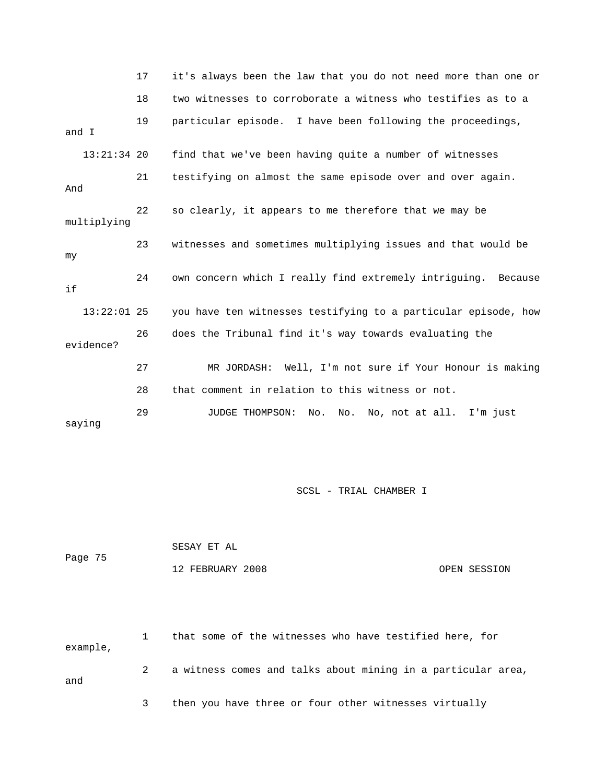|               | 17 | it's always been the law that you do not need more than one or |
|---------------|----|----------------------------------------------------------------|
|               | 18 | two witnesses to corroborate a witness who testifies as to a   |
| and I         | 19 | particular episode. I have been following the proceedings,     |
| $13:21:34$ 20 |    | find that we've been having quite a number of witnesses        |
| And           | 21 | testifying on almost the same episode over and over again.     |
| multiplying   | 22 | so clearly, it appears to me therefore that we may be          |
| my            | 23 | witnesses and sometimes multiplying issues and that would be   |
| if            | 24 | own concern which I really find extremely intriguing. Because  |
| $13:22:01$ 25 |    | you have ten witnesses testifying to a particular episode, how |
| evidence?     | 26 | does the Tribunal find it's way towards evaluating the         |
|               | 27 | MR JORDASH: Well, I'm not sure if Your Honour is making        |
|               | 28 | that comment in relation to this witness or not.               |
| saying        | 29 | No. No, not at all. I'm just<br>JUDGE THOMPSON:<br>No.         |

|         | SESAY ET AL      |              |
|---------|------------------|--------------|
| Page 75 |                  |              |
|         | 12 FEBRUARY 2008 | OPEN SESSION |

 1 that some of the witnesses who have testified here, for example, 2 a witness comes and talks about mining in a particular area, and 3 then you have three or four other witnesses virtually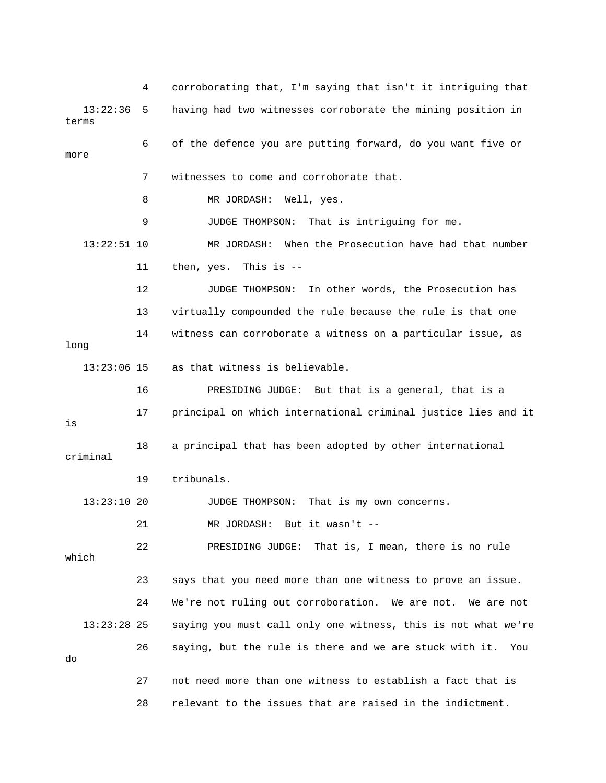4 corroborating that, I'm saying that isn't it intriguing that 13:22:36 5 having had two witnesses corroborate the mining position in terms 6 of the defence you are putting forward, do you want five or more 7 witnesses to come and corroborate that. 8 MR JORDASH: Well, yes. 9 JUDGE THOMPSON: That is intriguing for me. 13:22:51 10 MR JORDASH: When the Prosecution have had that number 11 then, yes. This is -- 12 JUDGE THOMPSON: In other words, the Prosecution has 13 virtually compounded the rule because the rule is that one 14 witness can corroborate a witness on a particular issue, as long 13:23:06 15 as that witness is believable. 16 PRESIDING JUDGE: But that is a general, that is a 17 principal on which international criminal justice lies and it is 18 a principal that has been adopted by other international criminal 19 tribunals. 13:23:10 20 JUDGE THOMPSON: That is my own concerns. 21 MR JORDASH: But it wasn't -- 22 PRESIDING JUDGE: That is, I mean, there is no rule which 23 says that you need more than one witness to prove an issue. 24 We're not ruling out corroboration. We are not. We are not 13:23:28 25 saying you must call only one witness, this is not what we're 26 saying, but the rule is there and we are stuck with it. You do 27 not need more than one witness to establish a fact that is 28 relevant to the issues that are raised in the indictment.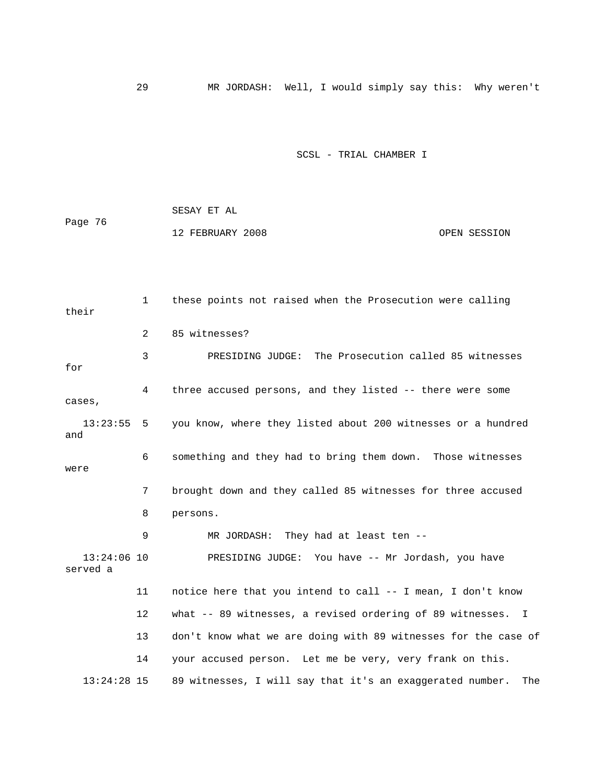29 MR JORDASH: Well, I would simply say this: Why weren't

#### SCSL - TRIAL CHAMBER I

 SESAY ET AL Page 76 12 FEBRUARY 2008 OPEN SESSION

 1 these points not raised when the Prosecution were calling their 2 85 witnesses? 3 PRESIDING JUDGE: The Prosecution called 85 witnesses for 4 three accused persons, and they listed -- there were some cases, 13:23:55 5 you know, where they listed about 200 witnesses or a hundred and 6 something and they had to bring them down. Those witnesses were 7 brought down and they called 85 witnesses for three accused 8 persons. 9 MR JORDASH: They had at least ten -- 13:24:06 10 PRESIDING JUDGE: You have -- Mr Jordash, you have served a 11 notice here that you intend to call -- I mean, I don't know 12 what -- 89 witnesses, a revised ordering of 89 witnesses. I 13 don't know what we are doing with 89 witnesses for the case of 14 your accused person. Let me be very, very frank on this. 13:24:28 15 89 witnesses, I will say that it's an exaggerated number. The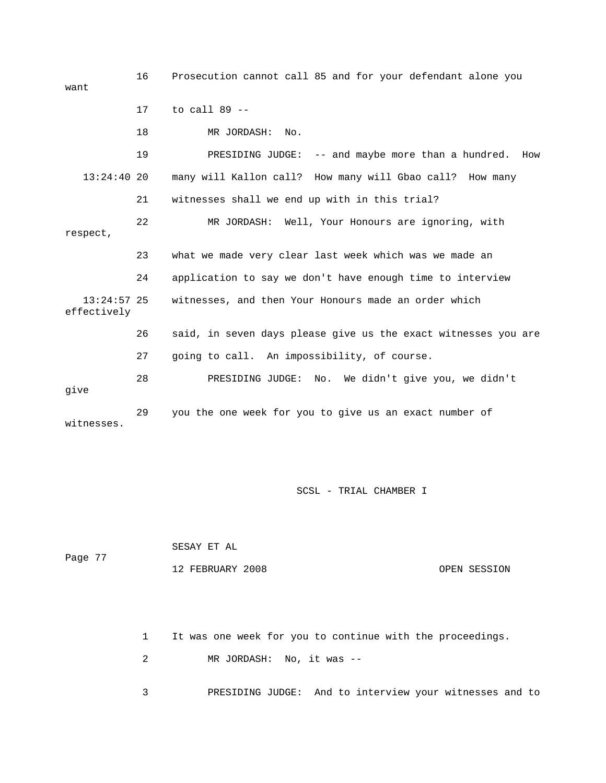16 Prosecution cannot call 85 and for your defendant alone you want 17 to call 89 -- 18 MR JORDASH: No. 19 PRESIDING JUDGE: -- and maybe more than a hundred. How 13:24:40 20 many will Kallon call? How many will Gbao call? How many 21 witnesses shall we end up with in this trial? 22 MR JORDASH: Well, Your Honours are ignoring, with respect, 23 what we made very clear last week which was we made an 24 application to say we don't have enough time to interview 13:24:57 25 witnesses, and then Your Honours made an order which effectively 26 said, in seven days please give us the exact witnesses you are 27 going to call. An impossibility, of course. 28 PRESIDING JUDGE: No. We didn't give you, we didn't give 29 you the one week for you to give us an exact number of witnesses.

SCSL - TRIAL CHAMBER I

 SESAY ET AL Page 77 12 FEBRUARY 2008 OPEN SESSION

1 It was one week for you to continue with the proceedings.

2 MR JORDASH: No, it was --

3 PRESIDING JUDGE: And to interview your witnesses and to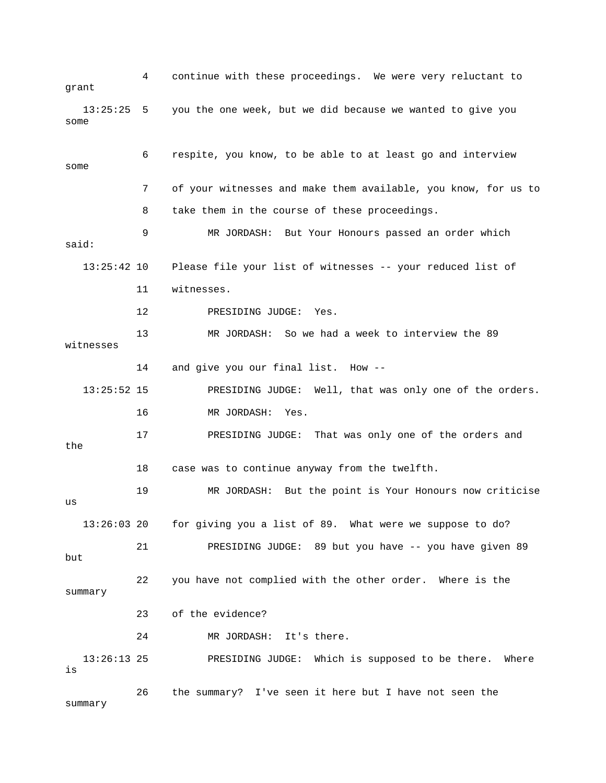4 continue with these proceedings. We were very reluctant to grant 13:25:25 5 you the one week, but we did because we wanted to give you some 6 respite, you know, to be able to at least go and interview some 7 of your witnesses and make them available, you know, for us to 8 take them in the course of these proceedings. 9 MR JORDASH: But Your Honours passed an order which said: 13:25:42 10 Please file your list of witnesses -- your reduced list of 11 witnesses. 12 PRESIDING JUDGE: Yes. 13 MR JORDASH: So we had a week to interview the 89 witnesses 14 and give you our final list. How -- 13:25:52 15 PRESIDING JUDGE: Well, that was only one of the orders. 16 MR JORDASH: Yes. 17 PRESIDING JUDGE: That was only one of the orders and the 18 case was to continue anyway from the twelfth. 19 MR JORDASH: But the point is Your Honours now criticise  $11S$  13:26:03 20 for giving you a list of 89. What were we suppose to do? 21 PRESIDING JUDGE: 89 but you have -- you have given 89 but 22 you have not complied with the other order. Where is the summary 23 of the evidence? 24 MR JORDASH: It's there. 13:26:13 25 PRESIDING JUDGE: Which is supposed to be there. Where is 26 the summary? I've seen it here but I have not seen the summary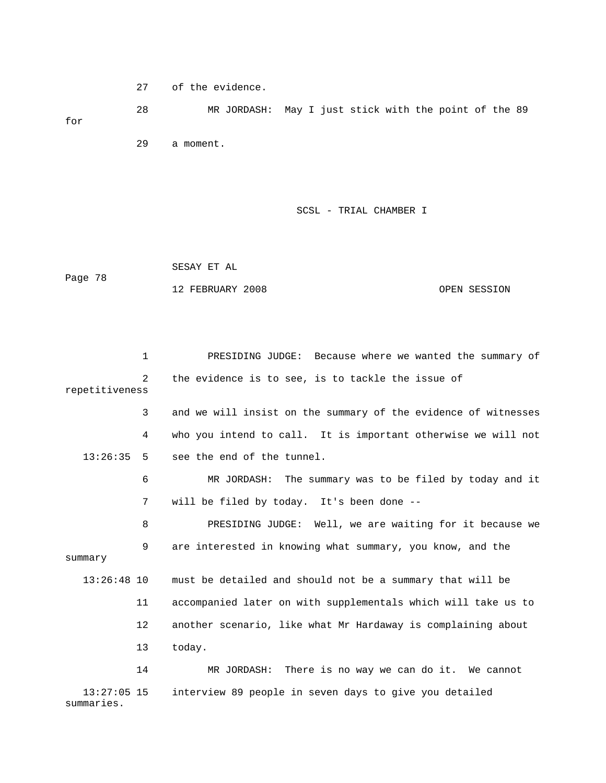27 of the evidence.

 28 MR JORDASH: May I just stick with the point of the 89 for 29 a moment.

SCSL - TRIAL CHAMBER I

 SESAY ET AL Page 78 12 FEBRUARY 2008 OPEN SESSION

 1 PRESIDING JUDGE: Because where we wanted the summary of 2 the evidence is to see, is to tackle the issue of repetitiveness 3 and we will insist on the summary of the evidence of witnesses 4 who you intend to call. It is important otherwise we will not 13:26:35 5 see the end of the tunnel. 6 MR JORDASH: The summary was to be filed by today and it 7 will be filed by today. It's been done -- 8 PRESIDING JUDGE: Well, we are waiting for it because we 9 are interested in knowing what summary, you know, and the summary 13:26:48 10 must be detailed and should not be a summary that will be 11 accompanied later on with supplementals which will take us to 12 another scenario, like what Mr Hardaway is complaining about 13 today. 14 MR JORDASH: There is no way we can do it. We cannot 13:27:05 15 interview 89 people in seven days to give you detailed

summaries.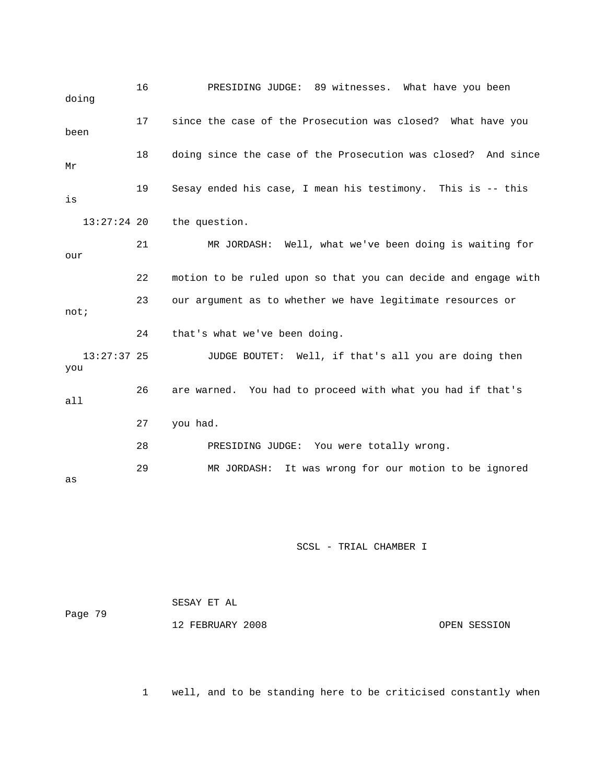| doing                | 16 | PRESIDING JUDGE: 89 witnesses. What have you been              |
|----------------------|----|----------------------------------------------------------------|
| been                 | 17 | since the case of the Prosecution was closed? What have you    |
| Mr                   | 18 | doing since the case of the Prosecution was closed? And since  |
| is                   | 19 | Sesay ended his case, I mean his testimony. This is -- this    |
| $13:27:24$ 20        |    | the question.                                                  |
| our                  | 21 | MR JORDASH: Well, what we've been doing is waiting for         |
|                      | 22 | motion to be ruled upon so that you can decide and engage with |
| not;                 | 23 | our argument as to whether we have legitimate resources or     |
|                      | 24 | that's what we've been doing.                                  |
| $13:27:37$ 25<br>you |    | JUDGE BOUTET: Well, if that's all you are doing then           |
| a11                  | 26 | are warned. You had to proceed with what you had if that's     |
|                      | 27 | you had.                                                       |
|                      | 28 | PRESIDING JUDGE: You were totally wrong.                       |
| as                   | 29 | It was wrong for our motion to be ignored<br>MR JORDASH:       |

| Page 79 | SESAY ET AL      |              |
|---------|------------------|--------------|
|         | 12 FEBRUARY 2008 | OPEN SESSION |

1 well, and to be standing here to be criticised constantly when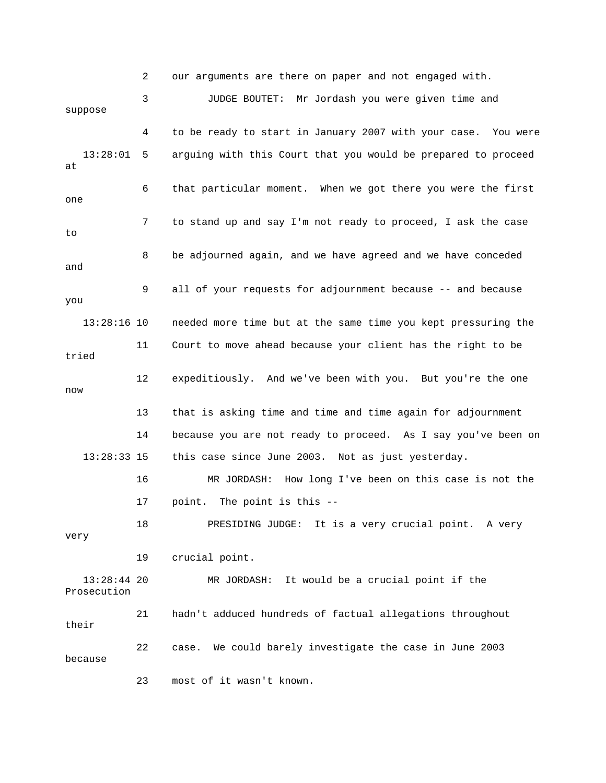2 our arguments are there on paper and not engaged with. 3 JUDGE BOUTET: Mr Jordash you were given time and suppose 4 to be ready to start in January 2007 with your case. You were 13:28:01 5 arguing with this Court that you would be prepared to proceed at 6 that particular moment. When we got there you were the first one 7 to stand up and say I'm not ready to proceed, I ask the case to 8 be adjourned again, and we have agreed and we have conceded and 9 all of your requests for adjournment because -- and because you 13:28:16 10 needed more time but at the same time you kept pressuring the 11 Court to move ahead because your client has the right to be tried 12 expeditiously. And we've been with you. But you're the one now 13 that is asking time and time and time again for adjournment 14 because you are not ready to proceed. As I say you've been on 13:28:33 15 this case since June 2003. Not as just yesterday. 16 MR JORDASH: How long I've been on this case is not the 17 point. The point is this -- 18 PRESIDING JUDGE: It is a very crucial point. A very very 19 crucial point. 13:28:44 20 MR JORDASH: It would be a crucial point if the Prosecution 21 hadn't adduced hundreds of factual allegations throughout their 22 case. We could barely investigate the case in June 2003 because 23 most of it wasn't known.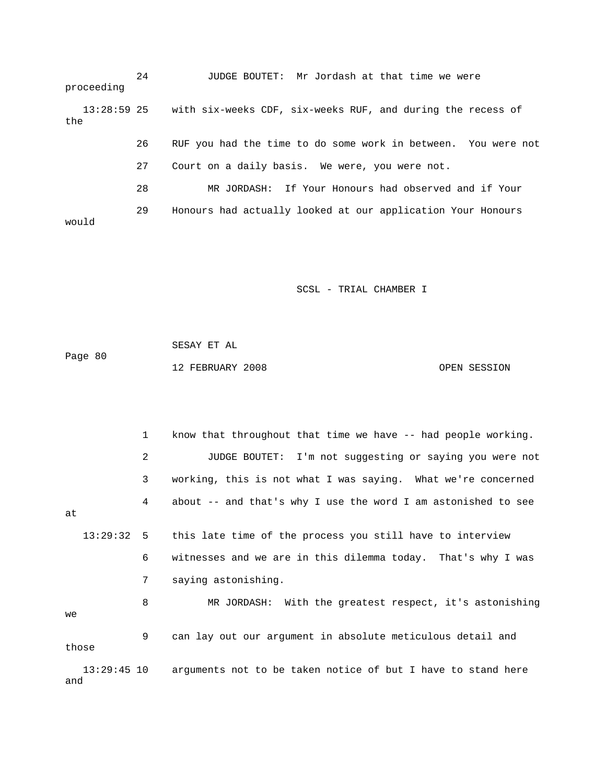24 JUDGE BOUTET: Mr Jordash at that time we were proceeding 13:28:59 25 with six-weeks CDF, six-weeks RUF, and during the recess of the 26 RUF you had the time to do some work in between. You were not 27 Court on a daily basis. We were, you were not. 28 MR JORDASH: If Your Honours had observed and if Your 29 Honours had actually looked at our application Your Honours would

SCSL - TRIAL CHAMBER I

 SESAY ET AL Page 80 12 FEBRUARY 2008 OPEN SESSION

 1 know that throughout that time we have -- had people working. 2 JUDGE BOUTET: I'm not suggesting or saying you were not 3 working, this is not what I was saying. What we're concerned 4 about -- and that's why I use the word I am astonished to see at 13:29:32 5 this late time of the process you still have to interview 6 witnesses and we are in this dilemma today. That's why I was 7 saying astonishing. 8 MR JORDASH: With the greatest respect, it's astonishing we 9 can lay out our argument in absolute meticulous detail and those 13:29:45 10 arguments not to be taken notice of but I have to stand here and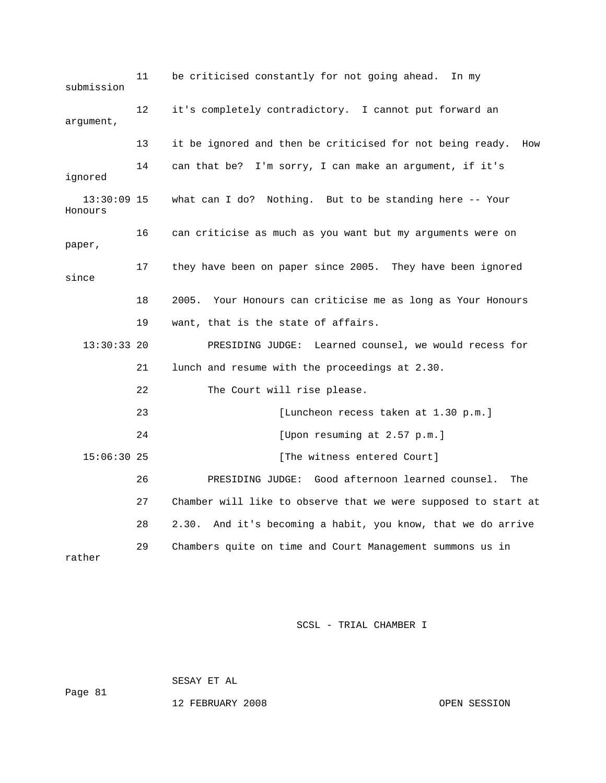11 be criticised constantly for not going ahead. In my submission 12 it's completely contradictory. I cannot put forward an argument, 13 it be ignored and then be criticised for not being ready. How 14 can that be? I'm sorry, I can make an argument, if it's ignored 13:30:09 15 what can I do? Nothing. But to be standing here -- Your Honours 16 can criticise as much as you want but my arguments were on paper, 17 they have been on paper since 2005. They have been ignored since 18 2005. Your Honours can criticise me as long as Your Honours 19 want, that is the state of affairs. 13:30:33 20 PRESIDING JUDGE: Learned counsel, we would recess for 21 lunch and resume with the proceedings at 2.30. 22 The Court will rise please. 23 [Luncheon recess taken at 1.30 p.m.] 24 [Upon resuming at 2.57 p.m.] 15:06:30 25 [The witness entered Court] 26 PRESIDING JUDGE: Good afternoon learned counsel. The 27 Chamber will like to observe that we were supposed to start at 28 2.30. And it's becoming a habit, you know, that we do arrive 29 Chambers quite on time and Court Management summons us in rather

SCSL - TRIAL CHAMBER I

SESAY ET AL

Page 81

12 FEBRUARY 2008 OPEN SESSION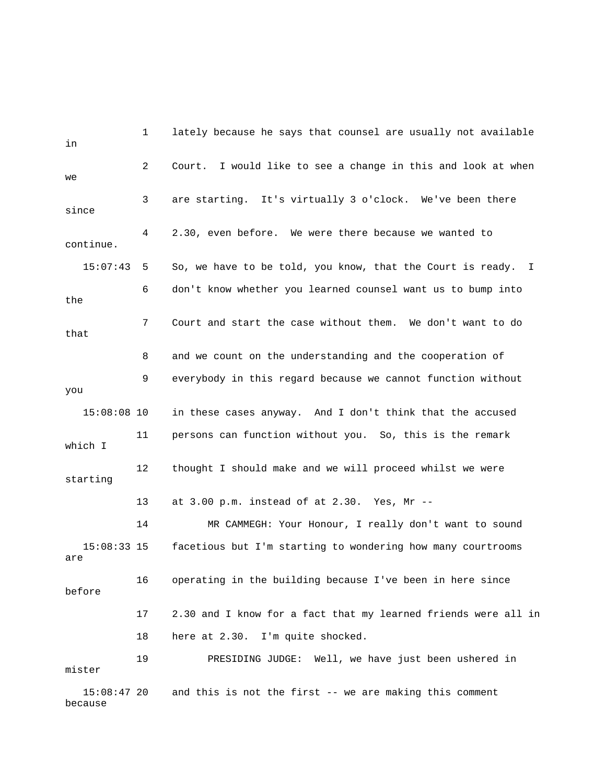| in                       | 1  | lately because he says that counsel are usually not available  |
|--------------------------|----|----------------------------------------------------------------|
| we                       | 2  | Court. I would like to see a change in this and look at when   |
| since                    | 3  | are starting. It's virtually 3 o'clock. We've been there       |
| continue.                | 4  | 2.30, even before. We were there because we wanted to          |
| 15:07:43                 | 5  | So, we have to be told, you know, that the Court is ready. I   |
| the                      | 6  | don't know whether you learned counsel want us to bump into    |
| that                     | 7  | Court and start the case without them. We don't want to do     |
|                          | 8  | and we count on the understanding and the cooperation of       |
| you                      | 9  | everybody in this regard because we cannot function without    |
| $15:08:08$ 10            |    | in these cases anyway. And I don't think that the accused      |
| which I                  | 11 | persons can function without you. So, this is the remark       |
| starting                 | 12 | thought I should make and we will proceed whilst we were       |
|                          | 13 | at 3.00 p.m. instead of at 2.30. Yes, Mr --                    |
|                          | 14 | MR CAMMEGH: Your Honour, I really don't want to sound          |
| $15:08:33$ 15<br>are     |    | facetious but I'm starting to wondering how many courtrooms    |
| before                   | 16 | operating in the building because I've been in here since      |
|                          | 17 | 2.30 and I know for a fact that my learned friends were all in |
|                          | 18 | here at 2.30. I'm quite shocked.                               |
| mister                   | 19 | PRESIDING JUDGE: Well, we have just been ushered in            |
| $15:08:47$ 20<br>because |    | and this is not the first -- we are making this comment        |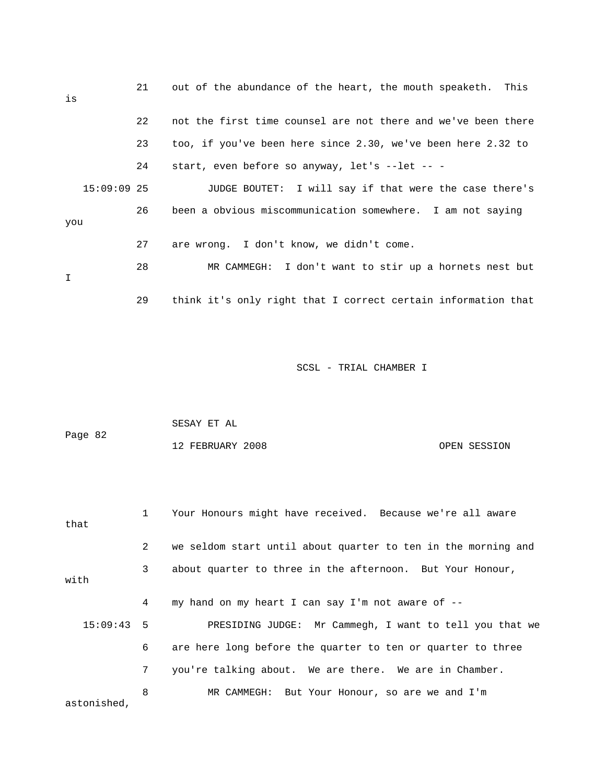| is  |               | 21 | out of the abundance of the heart, the mouth speaketh. This   |
|-----|---------------|----|---------------------------------------------------------------|
|     |               | 22 | not the first time counsel are not there and we've been there |
|     |               | 23 | too, if you've been here since 2.30, we've been here 2.32 to  |
|     |               | 24 | start, even before so anyway, let's --let -- -                |
|     | $15:09:09$ 25 |    | JUDGE BOUTET: I will say if that were the case there's        |
| you |               | 26 | been a obvious miscommunication somewhere. I am not saying    |
|     |               | 27 | are wrong. I don't know, we didn't come.                      |
| I   |               | 28 | MR CAMMEGH: I don't want to stir up a hornets nest but        |
|     |               | 29 | think it's only right that I correct certain information that |

|         | SESAY ET AL      |              |
|---------|------------------|--------------|
| Page 82 |                  |              |
|         | 12 FEBRUARY 2008 | OPEN SESSION |

| that         | $1 \quad$    | Your Honours might have received. Because we're all aware     |
|--------------|--------------|---------------------------------------------------------------|
|              | $\mathbf{2}$ | we seldom start until about quarter to ten in the morning and |
| with         | $\mathbf{3}$ | about quarter to three in the afternoon. But Your Honour,     |
|              | 4            | my hand on my heart I can say I'm not aware of --             |
| $15:09:43$ 5 |              | PRESIDING JUDGE: Mr Cammegh, I want to tell you that we       |
|              | 6            | are here long before the quarter to ten or quarter to three   |
|              | 7            | you're talking about. We are there. We are in Chamber.        |
| astonished,  | 8            | MR CAMMEGH: But Your Honour, so are we and I'm                |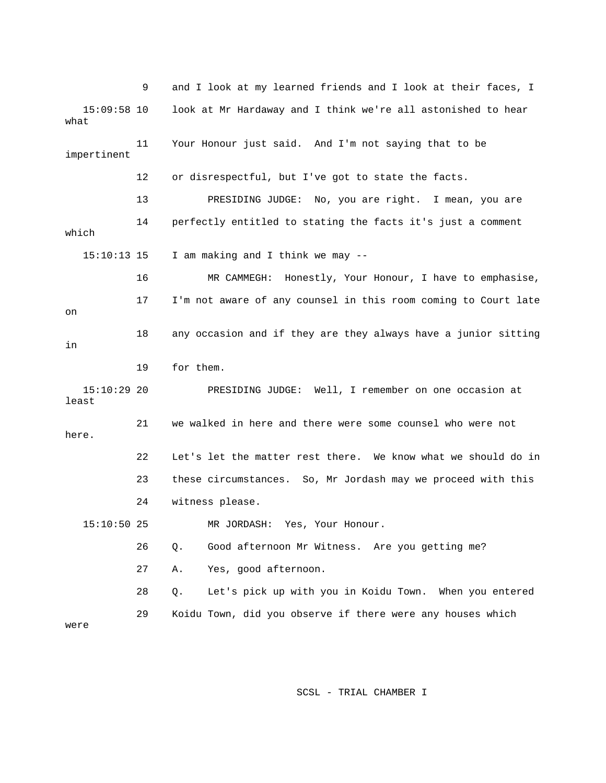9 and I look at my learned friends and I look at their faces, I 15:09:58 10 look at Mr Hardaway and I think we're all astonished to hear what 11 Your Honour just said. And I'm not saying that to be impertinent 12 or disrespectful, but I've got to state the facts. 13 PRESIDING JUDGE: No, you are right. I mean, you are 14 perfectly entitled to stating the facts it's just a comment which 15:10:13 15 I am making and I think we may -- 16 MR CAMMEGH: Honestly, Your Honour, I have to emphasise, 17 I'm not aware of any counsel in this room coming to Court late on 18 any occasion and if they are they always have a junior sitting in 19 for them. 15:10:29 20 PRESIDING JUDGE: Well, I remember on one occasion at least 21 we walked in here and there were some counsel who were not here. 22 Let's let the matter rest there. We know what we should do in 23 these circumstances. So, Mr Jordash may we proceed with this 24 witness please. 15:10:50 25 MR JORDASH: Yes, Your Honour. 26 Q. Good afternoon Mr Witness. Are you getting me? 27 A. Yes, good afternoon. 28 Q. Let's pick up with you in Koidu Town. When you entered 29 Koidu Town, did you observe if there were any houses which were

SCSL - TRIAL CHAMBER I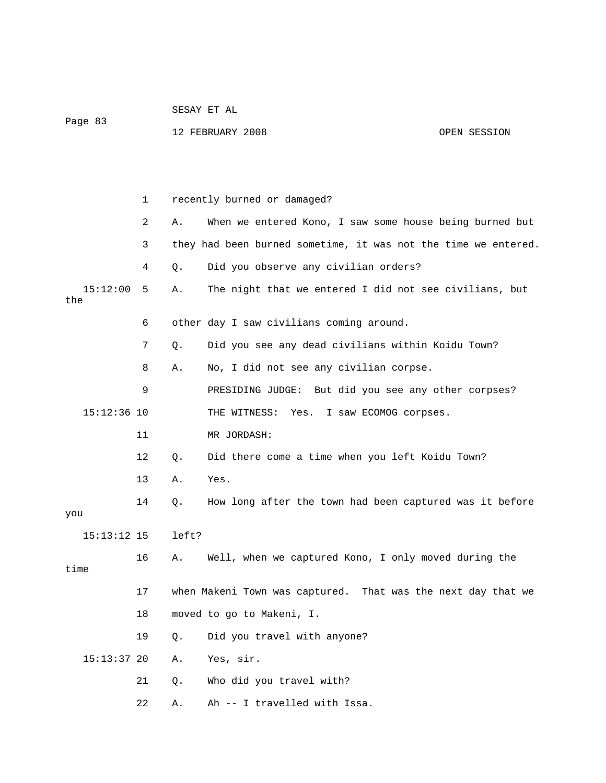| Page 83         |             |       | 12 FEBRUARY 2008<br>OPEN SESSION                               |  |  |
|-----------------|-------------|-------|----------------------------------------------------------------|--|--|
|                 |             |       |                                                                |  |  |
|                 |             |       |                                                                |  |  |
|                 |             |       |                                                                |  |  |
|                 | $\mathbf 1$ |       | recently burned or damaged?                                    |  |  |
|                 | 2           | Α.    | When we entered Kono, I saw some house being burned but        |  |  |
|                 | 3           |       | they had been burned sometime, it was not the time we entered. |  |  |
|                 | 4           | Q.    | Did you observe any civilian orders?                           |  |  |
| 15:12:00<br>the | 5           | Α.    | The night that we entered I did not see civilians, but         |  |  |
|                 | 6           |       | other day I saw civilians coming around.                       |  |  |
|                 | 7           | Q.    | Did you see any dead civilians within Koidu Town?              |  |  |
|                 | 8           | Α.    | No, I did not see any civilian corpse.                         |  |  |
|                 | 9           |       | PRESIDING JUDGE: But did you see any other corpses?            |  |  |
| $15:12:36$ 10   |             |       | THE WITNESS: Yes. I saw ECOMOG corpses.                        |  |  |
|                 | 11          |       | MR JORDASH:                                                    |  |  |
|                 | 12          | Q.    | Did there come a time when you left Koidu Town?                |  |  |
|                 | 13          | Α.    | Yes.                                                           |  |  |
|                 | 14          | Q.    | How long after the town had been captured was it before        |  |  |
| you             |             |       |                                                                |  |  |
| $15:13:12$ 15   |             | left? |                                                                |  |  |
| time            | 16          | Α.    | Well, when we captured Kono, I only moved during the           |  |  |
|                 |             |       |                                                                |  |  |
|                 | 17          |       | when Makeni Town was captured. That was the next day that we   |  |  |
|                 | 18          |       | moved to go to Makeni, I.                                      |  |  |
|                 | 19          | Q.    | Did you travel with anyone?                                    |  |  |
| $15:13:37$ 20   |             | Α.    | Yes, sir.                                                      |  |  |
|                 | 21          | Q.    | Who did you travel with?                                       |  |  |
|                 | 22          | Α.    | Ah -- I travelled with Issa.                                   |  |  |

SESAY ET AL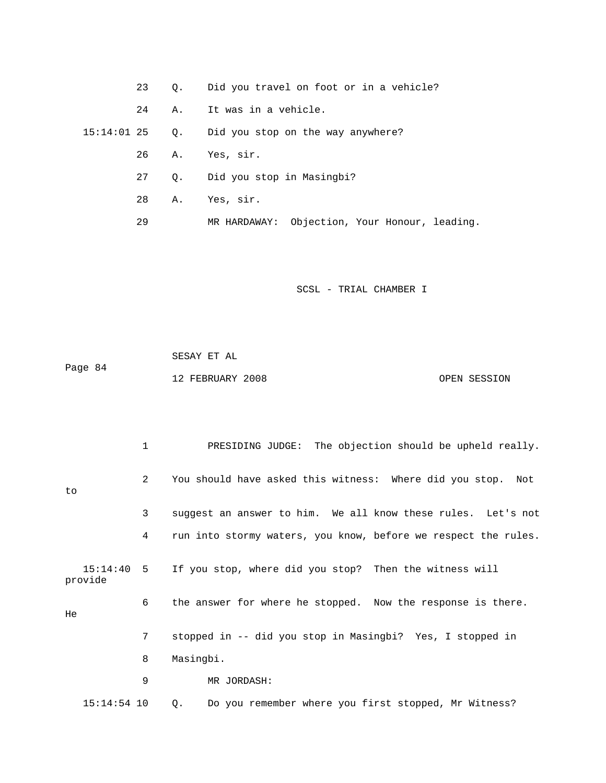23 Q. Did you travel on foot or in a vehicle?

24 A. It was in a vehicle.

15:14:01 25 Q. Did you stop on the way anywhere?

26 A. Yes, sir.

27 Q. Did you stop in Masingbi?

28 A. Yes, sir.

29 MR HARDAWAY: Objection, Your Honour, leading.

SCSL - TRIAL CHAMBER I

 SESAY ET AL Page 84 12 FEBRUARY 2008 OPEN SESSION

 1 PRESIDING JUDGE: The objection should be upheld really. 2 You should have asked this witness: Where did you stop. Not to 3 suggest an answer to him. We all know these rules. Let's not 4 run into stormy waters, you know, before we respect the rules. 15:14:40 5 If you stop, where did you stop? Then the witness will provide 6 the answer for where he stopped. Now the response is there. He 7 stopped in -- did you stop in Masingbi? Yes, I stopped in 8 Masingbi. 9 MR JORDASH: 15:14:54 10 Q. Do you remember where you first stopped, Mr Witness?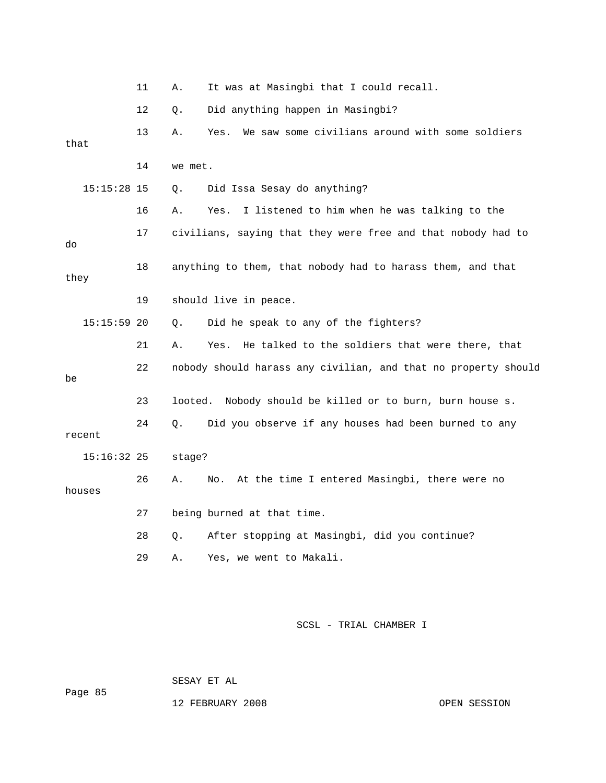|        |               | 11 | Α.        | It was at Masingbi that I could recall.                        |
|--------|---------------|----|-----------|----------------------------------------------------------------|
|        |               | 12 | Q.        | Did anything happen in Masingbi?                               |
| that   |               | 13 | Α.        | We saw some civilians around with some soldiers<br>Yes.        |
|        |               | 14 | we met.   |                                                                |
|        | $15:15:28$ 15 |    | Q.        | Did Issa Sesay do anything?                                    |
|        |               | 16 | Α.        | I listened to him when he was talking to the<br>Yes.           |
| do     |               | 17 |           | civilians, saying that they were free and that nobody had to   |
| they   |               | 18 |           | anything to them, that nobody had to harass them, and that     |
|        |               | 19 |           | should live in peace.                                          |
|        | $15:15:59$ 20 |    | $\circ$ . | Did he speak to any of the fighters?                           |
|        |               | 21 | Α.        | He talked to the soldiers that were there, that<br>Yes.        |
| be     |               | 22 |           | nobody should harass any civilian, and that no property should |
|        |               | 23 | looted.   | Nobody should be killed or to burn, burn house s.              |
| recent |               | 24 | Q.        | Did you observe if any houses had been burned to any           |
|        | $15:16:32$ 25 |    | stage?    |                                                                |
| houses |               | 26 | Α.        | At the time I entered Masingbi, there were no<br>No.           |
|        |               | 27 |           | being burned at that time.                                     |
|        |               | 28 | Q.        | After stopping at Masingbi, did you continue?                  |
|        |               | 29 | Α.        | Yes, we went to Makali.                                        |

SESAY ET AL

12 FEBRUARY 2008 OPEN SESSION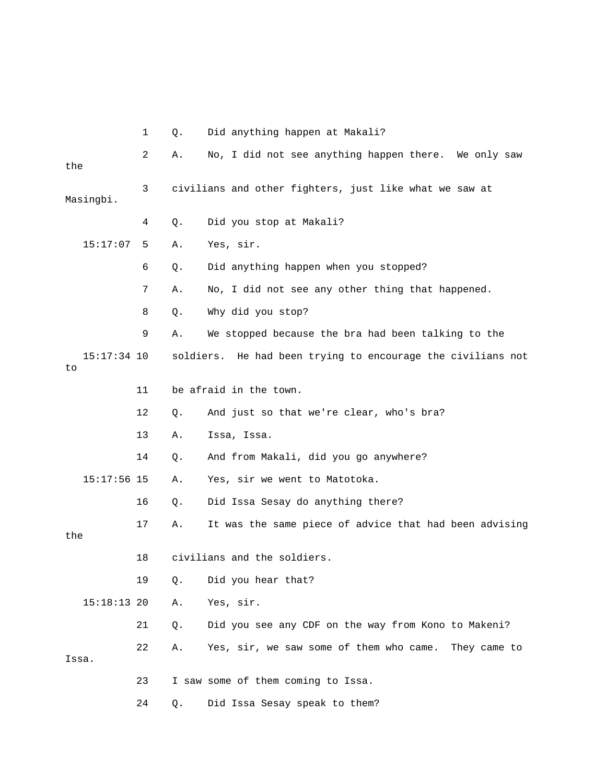|                     | $\mathbf 1$ | Q.        | Did anything happen at Makali?                          |
|---------------------|-------------|-----------|---------------------------------------------------------|
| the                 | 2           | Α.        | No, I did not see anything happen there. We only saw    |
| Masingbi.           | 3           |           | civilians and other fighters, just like what we saw at  |
|                     | 4           | Q.        | Did you stop at Makali?                                 |
| 15:17:07            | 5           | Α.        | Yes, sir.                                               |
|                     | 6           | Q.        | Did anything happen when you stopped?                   |
|                     | 7           | Α.        | No, I did not see any other thing that happened.        |
|                     | 8           | Q.        | Why did you stop?                                       |
|                     | 9           | Α.        | We stopped because the bra had been talking to the      |
| $15:17:34$ 10<br>to |             | soldiers. | He had been trying to encourage the civilians not       |
|                     | 11          |           | be afraid in the town.                                  |
|                     | 12          | Q.        | And just so that we're clear, who's bra?                |
|                     | 13          | Α.        | Issa, Issa.                                             |
|                     | 14          | Q.        | And from Makali, did you go anywhere?                   |
| $15:17:56$ 15       |             | Α.        | Yes, sir we went to Matotoka.                           |
|                     | 16          | Q.        | Did Issa Sesay do anything there?                       |
| the                 | 17          | Α.        | It was the same piece of advice that had been advising  |
|                     | 18          |           | civilians and the soldiers.                             |
|                     | 19          | Q.        | Did you hear that?                                      |
| 15:18:13 20         |             | Α.        | Yes, sir.                                               |
|                     | 21          | Q.        | Did you see any CDF on the way from Kono to Makeni?     |
| Issa.               | 22          | Α.        | Yes, sir, we saw some of them who came.<br>They came to |
|                     | 23          |           | I saw some of them coming to Issa.                      |
|                     | 24          | Q.        | Did Issa Sesay speak to them?                           |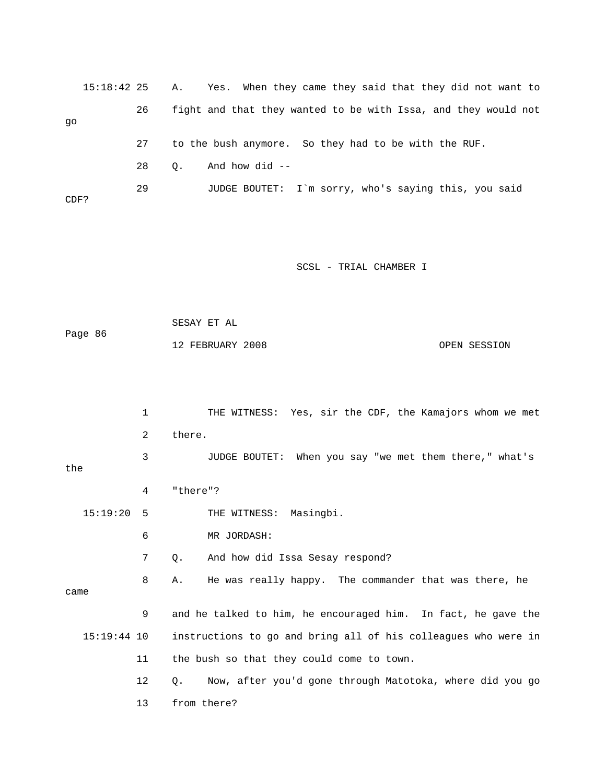|      | $15:18:42$ 25 |    | A.,       | Yes. When they came they said that they did not want to        |
|------|---------------|----|-----------|----------------------------------------------------------------|
| qo   |               | 26 |           | fight and that they wanted to be with Issa, and they would not |
|      |               | 27 |           | to the bush anymore. So they had to be with the RUF.           |
|      |               | 28 | $\circ$ . | And how did $-$                                                |
| CDF? |               | 29 |           | JUDGE BOUTET: I'm sorry, who's saying this, you said           |

| Page 86 | SESAY ET AL      |              |
|---------|------------------|--------------|
|         | 12 FEBRUARY 2008 | OPEN SESSION |

|               | 1  | THE WITNESS: Yes, sir the CDF, the Kamajors whom we met        |
|---------------|----|----------------------------------------------------------------|
|               | 2  | there.                                                         |
| the           | 3  | JUDGE BOUTET: When you say "we met them there," what's         |
|               | 4  | "there"?                                                       |
| 15:19:20      | 5  | THE WITNESS: Masingbi.                                         |
|               | 6  | MR JORDASH:                                                    |
|               | 7  | And how did Issa Sesay respond?<br>Q.                          |
| came          | 8  | He was really happy. The commander that was there, he<br>Α.    |
|               | 9  | and he talked to him, he encouraged him. In fact, he gave the  |
| $15:19:44$ 10 |    | instructions to go and bring all of his colleagues who were in |
|               | 11 | the bush so that they could come to town.                      |
|               | 12 | Now, after you'd gone through Matotoka, where did you go<br>Q. |
|               | 13 | from there?                                                    |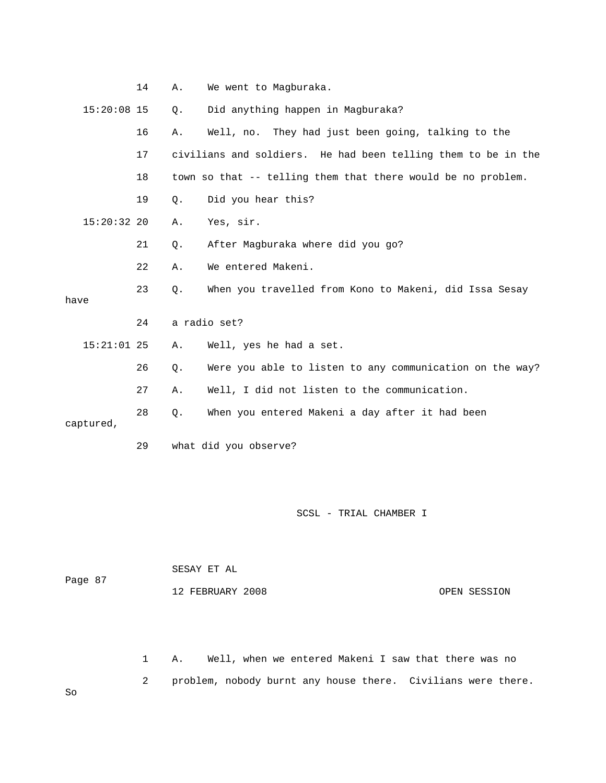|               | 14 | Α.        | We went to Magburaka.                                         |
|---------------|----|-----------|---------------------------------------------------------------|
| $15:20:08$ 15 |    | Q.        | Did anything happen in Magburaka?                             |
|               | 16 | Α.        | Well, no. They had just been going, talking to the            |
|               | 17 |           | civilians and soldiers. He had been telling them to be in the |
|               | 18 |           | town so that -- telling them that there would be no problem.  |
|               | 19 | $\circ$ . | Did you hear this?                                            |
| $15:20:32$ 20 |    | Α.        | Yes, sir.                                                     |
|               | 21 | Q.        | After Magburaka where did you go?                             |
|               | 22 | Α.        | We entered Makeni.                                            |
|               | 23 | Ο.        | When you travelled from Kono to Makeni, did Issa Sesay        |
| have          |    |           |                                                               |
|               | 24 |           | a radio set?                                                  |
| $15:21:01$ 25 |    | Α.        | Well, yes he had a set.                                       |
|               | 26 | $Q$ .     | Were you able to listen to any communication on the way?      |
|               | 27 | Α.        | Well, I did not listen to the communication.                  |
| captured,     | 28 | $Q$ .     | When you entered Makeni a day after it had been               |
|               |    |           |                                                               |

29 what did you observe?

SCSL - TRIAL CHAMBER I

|         | SESAY ET AL      |              |
|---------|------------------|--------------|
| Page 87 |                  |              |
|         | 12 FEBRUARY 2008 | OPEN SESSION |

 1 A. Well, when we entered Makeni I saw that there was no 2 problem, nobody burnt any house there. Civilians were there.

So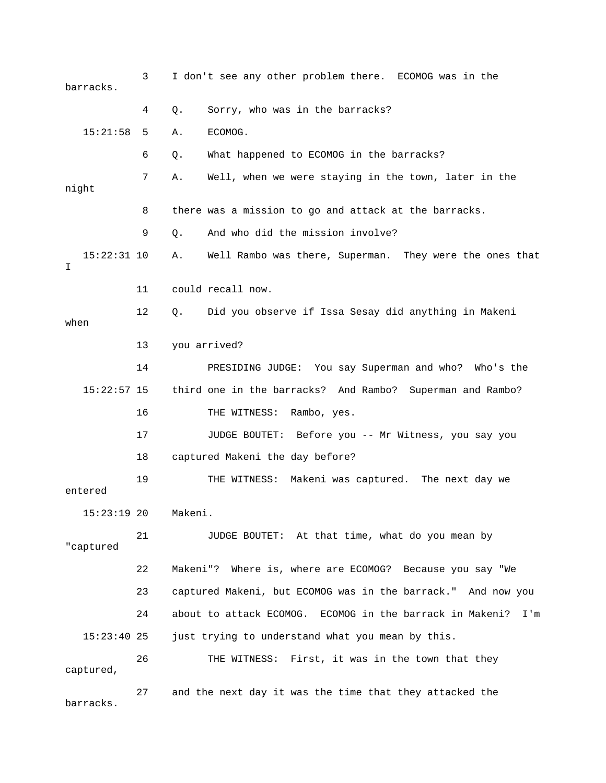3 I don't see any other problem there. ECOMOG was in the barracks. 4 Q. Sorry, who was in the barracks? 15:21:58 5 A. ECOMOG. 6 Q. What happened to ECOMOG in the barracks? 7 A. Well, when we were staying in the town, later in the night 8 there was a mission to go and attack at the barracks. 9 Q. And who did the mission involve? 15:22:31 10 A. Well Rambo was there, Superman. They were the ones that I 11 could recall now. 12 Q. Did you observe if Issa Sesay did anything in Makeni when 13 you arrived? 14 PRESIDING JUDGE: You say Superman and who? Who's the 15:22:57 15 third one in the barracks? And Rambo? Superman and Rambo? 16 THE WITNESS: Rambo, yes. 17 JUDGE BOUTET: Before you -- Mr Witness, you say you 18 captured Makeni the day before? 19 THE WITNESS: Makeni was captured. The next day we entered 15:23:19 20 Makeni. 21 JUDGE BOUTET: At that time, what do you mean by "captured 22 Makeni"? Where is, where are ECOMOG? Because you say "We 23 captured Makeni, but ECOMOG was in the barrack." And now you 24 about to attack ECOMOG. ECOMOG in the barrack in Makeni? I'm 15:23:40 25 just trying to understand what you mean by this. 26 THE WITNESS: First, it was in the town that they captured, 27 and the next day it was the time that they attacked the barracks.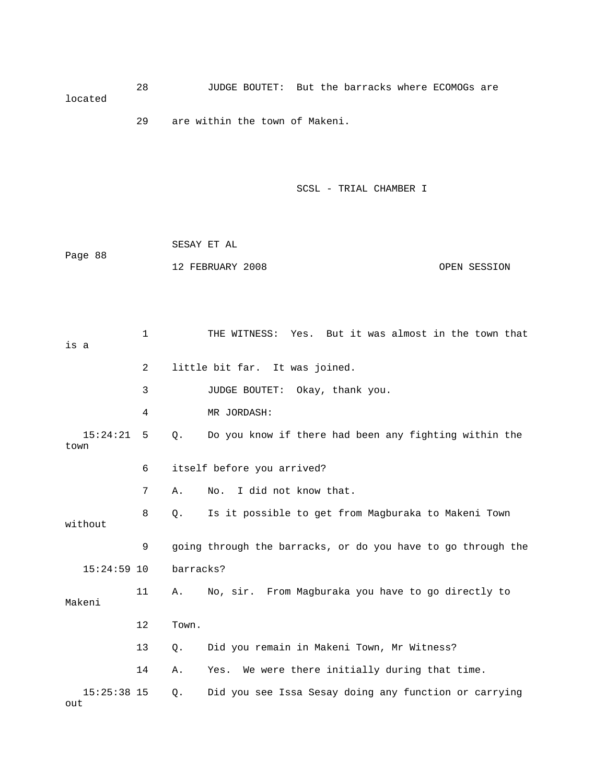28 JUDGE BOUTET: But the barracks where ECOMOGs are located

29 are within the town of Makeni.

SCSL - TRIAL CHAMBER I

|         | SESAY ET AL      |              |
|---------|------------------|--------------|
| Page 88 |                  |              |
|         | 12 FEBRUARY 2008 | OPEN SESSION |

 1 THE WITNESS: Yes. But it was almost in the town that is a 2 little bit far. It was joined. 3 JUDGE BOUTET: Okay, thank you. 4 MR JORDASH: 15:24:21 5 Q. Do you know if there had been any fighting within the town 6 itself before you arrived? 7 A. No. I did not know that. 8 Q. Is it possible to get from Magburaka to Makeni Town without 9 going through the barracks, or do you have to go through the 15:24:59 10 barracks? 11 A. No, sir. From Magburaka you have to go directly to Makeni 12 Town. 13 Q. Did you remain in Makeni Town, Mr Witness? 14 A. Yes. We were there initially during that time. 15:25:38 15 Q. Did you see Issa Sesay doing any function or carrying out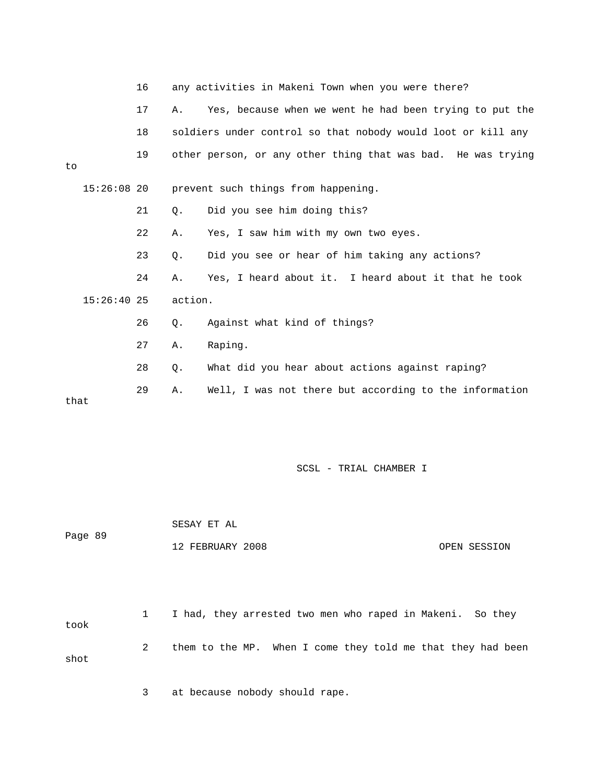|      |               | 16 |           | any activities in Makeni Town when you were there?           |
|------|---------------|----|-----------|--------------------------------------------------------------|
|      |               | 17 | Α.        | Yes, because when we went he had been trying to put the      |
|      |               | 18 |           | soldiers under control so that nobody would loot or kill any |
| to   |               | 19 |           | other person, or any other thing that was bad. He was trying |
|      | $15:26:08$ 20 |    |           | prevent such things from happening.                          |
|      |               | 21 | $\circ$ . | Did you see him doing this?                                  |
|      |               | 22 | Α.        | Yes, I saw him with my own two eyes.                         |
|      |               | 23 | $\circ$ . | Did you see or hear of him taking any actions?               |
|      |               | 24 | Α.        | Yes, I heard about it. I heard about it that he took         |
|      | $15:26:40$ 25 |    | action.   |                                                              |
|      |               | 26 | О.        | Against what kind of things?                                 |
|      |               | 27 | Α.        | Raping.                                                      |
|      |               | 28 | Q.        | What did you hear about actions against raping?              |
| that |               | 29 | Α.        | Well, I was not there but according to the information       |

|         | SESAY ET AL      |              |
|---------|------------------|--------------|
| Page 89 |                  |              |
|         | 12 FEBRUARY 2008 | OPEN SESSION |

 1 I had, they arrested two men who raped in Makeni. So they took 2 them to the MP. When I come they told me that they had been shot

3 at because nobody should rape.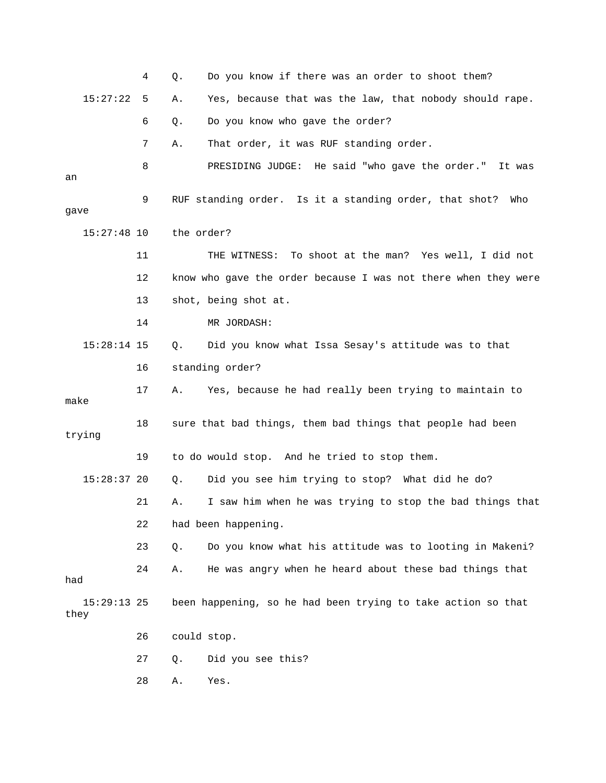|                       | 4  | Q.          | Do you know if there was an order to shoot them?               |
|-----------------------|----|-------------|----------------------------------------------------------------|
| 15:27:22              | 5  | Α.          | Yes, because that was the law, that nobody should rape.        |
|                       | 6  | Q.          | Do you know who gave the order?                                |
|                       | 7  | Α.          | That order, it was RUF standing order.                         |
| an                    | 8  |             | PRESIDING JUDGE: He said "who gave the order."<br>It was       |
| gave                  | 9  |             | RUF standing order. Is it a standing order, that shot?<br>Who  |
| $15:27:48$ 10         |    | the order?  |                                                                |
|                       | 11 |             | To shoot at the man? Yes well, I did not<br>THE WITNESS:       |
|                       | 12 |             | know who gave the order because I was not there when they were |
|                       | 13 |             | shot, being shot at.                                           |
|                       | 14 |             | MR JORDASH:                                                    |
| $15:28:14$ 15         |    | Q.          | Did you know what Issa Sesay's attitude was to that            |
|                       | 16 |             | standing order?                                                |
| make                  | 17 | Α.          | Yes, because he had really been trying to maintain to          |
| trying                | 18 |             | sure that bad things, them bad things that people had been     |
|                       |    |             |                                                                |
| $15:28:37$ 20         | 19 |             | to do would stop. And he tried to stop them.                   |
|                       |    | Q.          | Did you see him trying to stop? What did he do?                |
|                       | 21 | Α.          | I saw him when he was trying to stop the bad things that       |
|                       | 22 |             | had been happening.                                            |
|                       | 23 | Q.          | Do you know what his attitude was to looting in Makeni?        |
| had                   | 24 | Α.          | He was angry when he heard about these bad things that         |
| $15:29:13$ 25<br>they |    |             | been happening, so he had been trying to take action so that   |
|                       | 26 | could stop. |                                                                |
|                       | 27 | Q.          | Did you see this?                                              |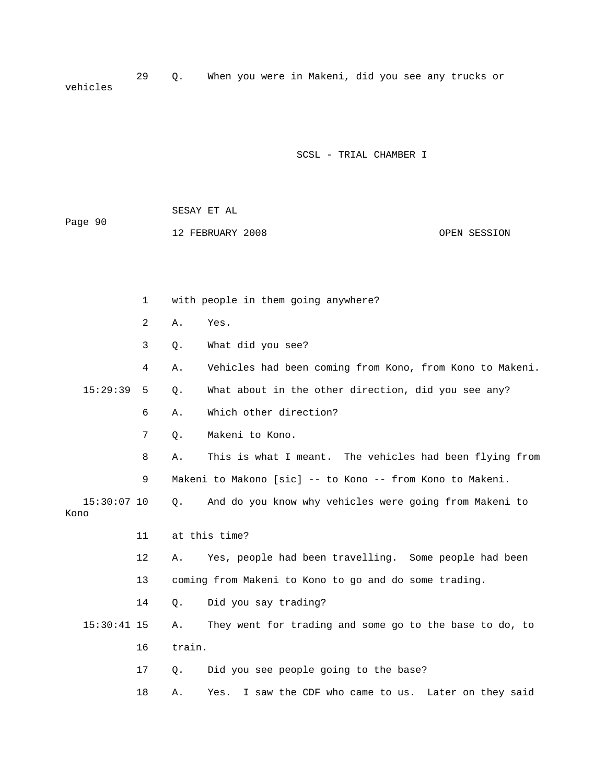29 Q. When you were in Makeni, did you see any trucks or vehicles

### SCSL - TRIAL CHAMBER I

|         | SESAY ET AL      |  |  |  |  |  |  |  |  |  |  |  |  |  |  |  |  |  |  |  |  |  |  |  |  |  |  |  |  |  |  |  |              |  |  |  |  |  |
|---------|------------------|--|--|--|--|--|--|--|--|--|--|--|--|--|--|--|--|--|--|--|--|--|--|--|--|--|--|--|--|--|--|--|--------------|--|--|--|--|--|
| Page 90 |                  |  |  |  |  |  |  |  |  |  |  |  |  |  |  |  |  |  |  |  |  |  |  |  |  |  |  |  |  |  |  |  |              |  |  |  |  |  |
|         | 12 FEBRUARY 2008 |  |  |  |  |  |  |  |  |  |  |  |  |  |  |  |  |  |  |  |  |  |  |  |  |  |  |  |  |  |  |  | OPEN SESSION |  |  |  |  |  |

 1 with people in them going anywhere? 2 A. Yes. 3 Q. What did you see? 4 A. Vehicles had been coming from Kono, from Kono to Makeni. 15:29:39 5 Q. What about in the other direction, did you see any? 6 A. Which other direction? 7 Q. Makeni to Kono. 8 A. This is what I meant. The vehicles had been flying from 9 Makeni to Makono [sic] -- to Kono -- from Kono to Makeni. 15:30:07 10 Q. And do you know why vehicles were going from Makeni to Kono 11 at this time? 12 A. Yes, people had been travelling. Some people had been 13 coming from Makeni to Kono to go and do some trading. 14 Q. Did you say trading? 15:30:41 15 A. They went for trading and some go to the base to do, to 16 train. 17 Q. Did you see people going to the base? 18 A. Yes. I saw the CDF who came to us. Later on they said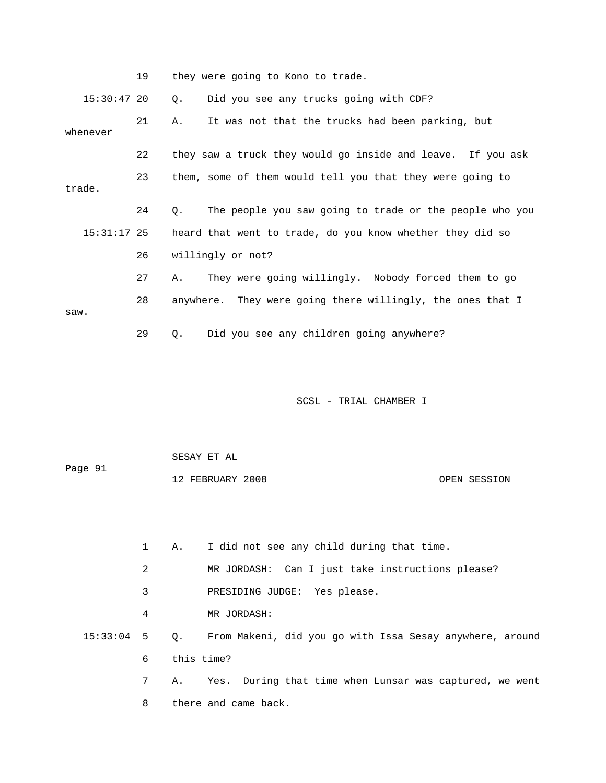|               | 19 | they were going to Kono to trade.                             |
|---------------|----|---------------------------------------------------------------|
| $15:30:47$ 20 |    | Did you see any trucks going with CDF?<br>Q.                  |
| whenever      | 21 | It was not that the trucks had been parking, but<br>Α.        |
|               | 22 | they saw a truck they would go inside and leave. If you ask   |
| trade.        | 23 | them, some of them would tell you that they were going to     |
|               | 24 | 0.<br>The people you saw going to trade or the people who you |
| $15:31:17$ 25 |    | heard that went to trade, do you know whether they did so     |
|               | 26 | willingly or not?                                             |
|               | 27 | They were going willingly. Nobody forced them to go<br>Α.     |
| saw.          | 28 | anywhere. They were going there willingly, the ones that I    |
|               | 29 | Did you see any children going anywhere?<br>0.                |
|               |    |                                                               |
|               |    |                                                               |

| Page 91 | SESAY ET AL      |              |
|---------|------------------|--------------|
|         | 12 FEBRUARY 2008 | OPEN SESSION |

 1 A. I did not see any child during that time. 2 MR JORDASH: Can I just take instructions please? 3 PRESIDING JUDGE: Yes please. 4 MR JORDASH: 15:33:04 5 Q. From Makeni, did you go with Issa Sesay anywhere, around 6 this time? 7 A. Yes. During that time when Lunsar was captured, we went 8 there and came back.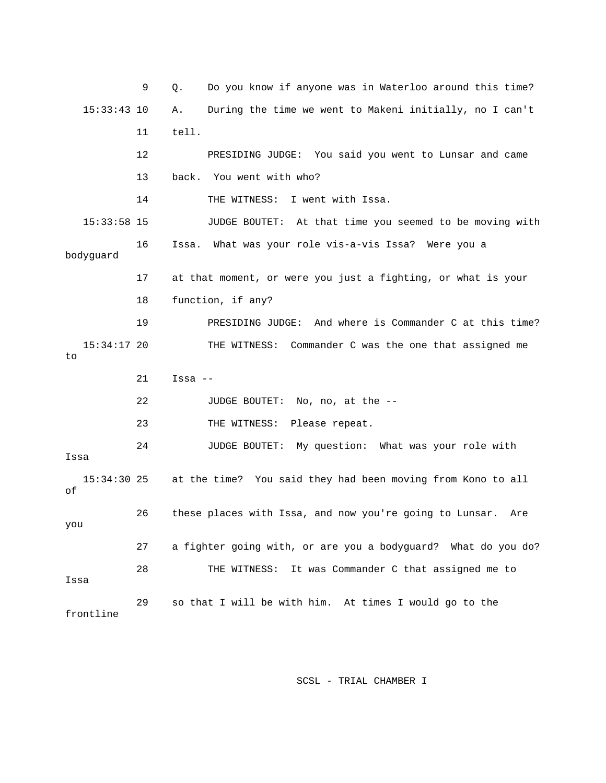9 Q. Do you know if anyone was in Waterloo around this time? 15:33:43 10 A. During the time we went to Makeni initially, no I can't 11 tell. 12 PRESIDING JUDGE: You said you went to Lunsar and came 13 back. You went with who? 14 THE WITNESS: I went with Issa. 15:33:58 15 JUDGE BOUTET: At that time you seemed to be moving with 16 Issa. What was your role vis-a-vis Issa? Were you a bodyguard 17 at that moment, or were you just a fighting, or what is your 18 function, if any? 19 PRESIDING JUDGE: And where is Commander C at this time? 15:34:17 20 THE WITNESS: Commander C was the one that assigned me to 21 Issa -- 22 JUDGE BOUTET: No, no, at the -- 23 THE WITNESS: Please repeat. 24 JUDGE BOUTET: My question: What was your role with Issa 15:34:30 25 at the time? You said they had been moving from Kono to all of 26 these places with Issa, and now you're going to Lunsar. Are you 27 a fighter going with, or are you a bodyguard? What do you do? 28 THE WITNESS: It was Commander C that assigned me to Issa 29 so that I will be with him. At times I would go to the frontline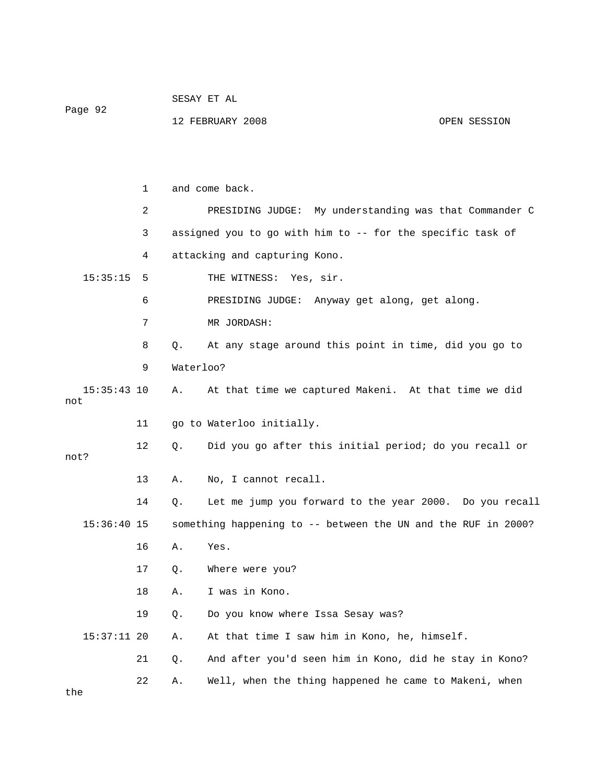|         | SESAY ET AL |  |
|---------|-------------|--|
| Page 92 |             |  |

| FEBRUARY 2008 |  | OPEN SESSION |
|---------------|--|--------------|
|               |  |              |

 1 and come back. 2 PRESIDING JUDGE: My understanding was that Commander C 3 assigned you to go with him to -- for the specific task of 4 attacking and capturing Kono. 15:35:15 5 THE WITNESS: Yes, sir. 6 PRESIDING JUDGE: Anyway get along, get along. 7 MR JORDASH: 8 Q. At any stage around this point in time, did you go to 9 Waterloo? 15:35:43 10 A. At that time we captured Makeni. At that time we did not 11 go to Waterloo initially. 12 Q. Did you go after this initial period; do you recall or not? 13 A. No, I cannot recall. 14 Q. Let me jump you forward to the year 2000. Do you recall 15:36:40 15 something happening to -- between the UN and the RUF in 2000? 16 A. Yes. 17 Q. Where were you? 18 A. I was in Kono. 19 Q. Do you know where Issa Sesay was? 15:37:11 20 A. At that time I saw him in Kono, he, himself. 21 Q. And after you'd seen him in Kono, did he stay in Kono? 22 A. Well, when the thing happened he came to Makeni, when the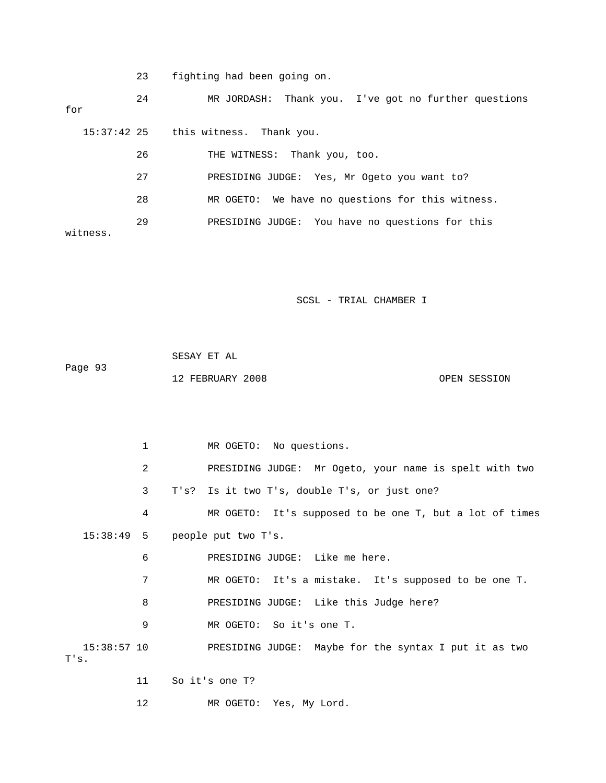23 fighting had been going on.

 24 MR JORDASH: Thank you. I've got no further questions for 15:37:42 25 this witness. Thank you. 26 THE WITNESS: Thank you, too. 27 PRESIDING JUDGE: Yes, Mr Ogeto you want to? 28 MR OGETO: We have no questions for this witness. 29 PRESIDING JUDGE: You have no questions for this witness.

SCSL - TRIAL CHAMBER I

|         | SESAY ET AL      |  |              |
|---------|------------------|--|--------------|
| Page 93 |                  |  |              |
|         | 12 FEBRUARY 2008 |  | OPEN SESSION |

1 MR OGETO: No questions. 2 PRESIDING JUDGE: Mr Ogeto, your name is spelt with two 3 T's? Is it two T's, double T's, or just one? 4 MR OGETO: It's supposed to be one T, but a lot of times 15:38:49 5 people put two T's. 6 PRESIDING JUDGE: Like me here. 7 MR OGETO: It's a mistake. It's supposed to be one T. 8 PRESIDING JUDGE: Like this Judge here? 9 MR OGETO: So it's one T. 15:38:57 10 PRESIDING JUDGE: Maybe for the syntax I put it as two T's. 11 So it's one T? 12 MR OGETO: Yes, My Lord.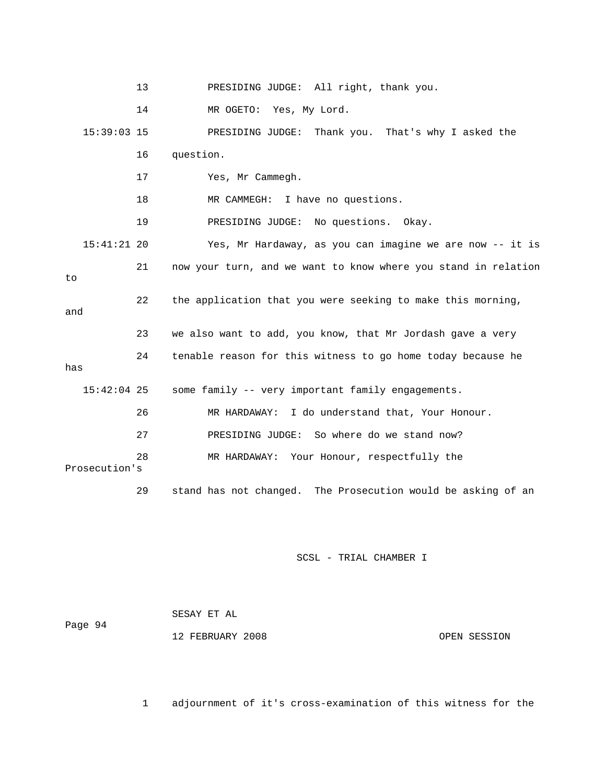|               | 13 | PRESIDING JUDGE: All right, thank you.                         |
|---------------|----|----------------------------------------------------------------|
|               | 14 | MR OGETO: Yes, My Lord.                                        |
| $15:39:03$ 15 |    | PRESIDING JUDGE: Thank you. That's why I asked the             |
|               | 16 | question.                                                      |
|               | 17 | Yes, Mr Cammegh.                                               |
|               | 18 | MR CAMMEGH: I have no questions.                               |
|               | 19 | PRESIDING JUDGE: No questions. Okay.                           |
| $15:41:21$ 20 |    | Yes, Mr Hardaway, as you can imagine we are now -- it is       |
| to            | 21 | now your turn, and we want to know where you stand in relation |
| and           | 22 | the application that you were seeking to make this morning,    |
|               | 23 | we also want to add, you know, that Mr Jordash gave a very     |
| has           | 24 | tenable reason for this witness to go home today because he    |
| $15:42:04$ 25 |    | some family -- very important family engagements.              |
|               | 26 | MR HARDAWAY: I do understand that, Your Honour.                |
|               | 27 | PRESIDING JUDGE: So where do we stand now?                     |
| Prosecution's | 28 | MR HARDAWAY: Your Honour, respectfully the                     |
|               | 29 | stand has not changed. The Prosecution would be asking of an   |

 SESAY ET AL Page 94 12 FEBRUARY 2008 OPEN SESSION

1 adjournment of it's cross-examination of this witness for the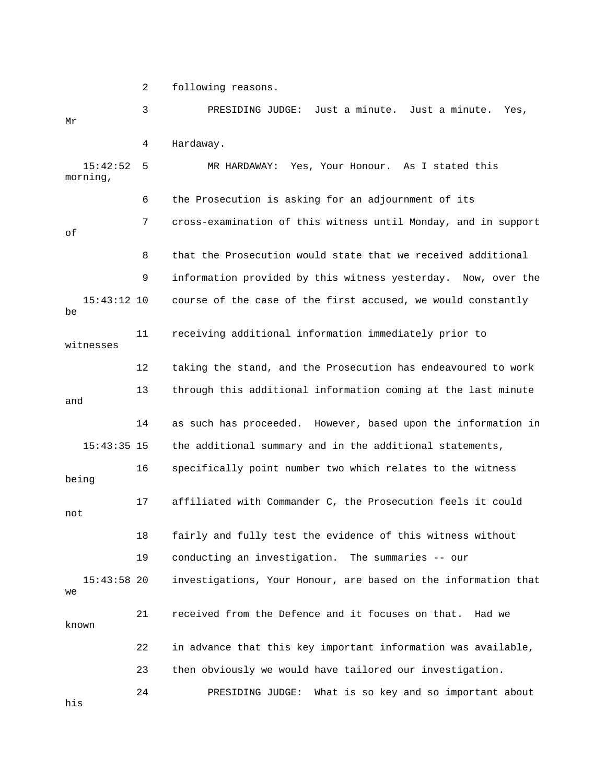2 following reasons.

| Μr                   | 3  | Just a minute. Just a minute.<br>PRESIDING JUDGE:<br>Yes,      |
|----------------------|----|----------------------------------------------------------------|
|                      | 4  | Hardaway.                                                      |
| 15:42:52<br>morning, | 5  | Yes, Your Honour. As I stated this<br>MR HARDAWAY:             |
|                      | 6  | the Prosecution is asking for an adjournment of its            |
| оf                   | 7  | cross-examination of this witness until Monday, and in support |
|                      | 8  | that the Prosecution would state that we received additional   |
|                      | 9  | information provided by this witness yesterday. Now, over the  |
| $15:43:12$ 10<br>be  |    | course of the case of the first accused, we would constantly   |
| witnesses            | 11 | receiving additional information immediately prior to          |
|                      | 12 | taking the stand, and the Prosecution has endeavoured to work  |
| and                  | 13 | through this additional information coming at the last minute  |
|                      | 14 | as such has proceeded. However, based upon the information in  |
| $15:43:35$ 15        |    | the additional summary and in the additional statements,       |
| being                | 16 | specifically point number two which relates to the witness     |
| not                  | 17 | affiliated with Commander C, the Prosecution feels it could    |
|                      | 18 | fairly and fully test the evidence of this witness without     |
|                      | 19 | conducting an investigation. The summaries -- our              |
| $15:43:58$ 20<br>we  |    | investigations, Your Honour, are based on the information that |
| known                | 21 | received from the Defence and it focuses on that.<br>Had we    |
|                      | 22 | in advance that this key important information was available,  |
|                      | 23 | then obviously we would have tailored our investigation.       |
| his                  | 24 | What is so key and so important about<br>PRESIDING JUDGE:      |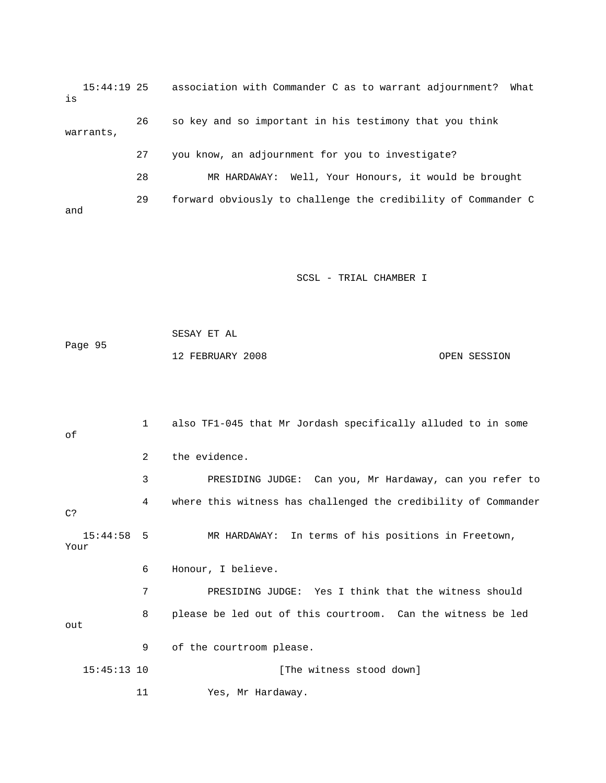15:44:19 25 association with Commander C as to warrant adjournment? What is 26 so key and so important in his testimony that you think warrants, 27 you know, an adjournment for you to investigate? 28 MR HARDAWAY: Well, Your Honours, it would be brought 29 forward obviously to challenge the credibility of Commander C and

SCSL - TRIAL CHAMBER I

 SESAY ET AL Page 95 12 FEBRUARY 2008 OPEN SESSION

 1 also TF1-045 that Mr Jordash specifically alluded to in some of 2 the evidence. 3 PRESIDING JUDGE: Can you, Mr Hardaway, can you refer to 4 where this witness has challenged the credibility of Commander C? 15:44:58 5 MR HARDAWAY: In terms of his positions in Freetown, Your 6 Honour, I believe. 7 PRESIDING JUDGE: Yes I think that the witness should 8 please be led out of this courtroom. Can the witness be led out 9 of the courtroom please. 15:45:13 10 [The witness stood down] 11 Yes, Mr Hardaway.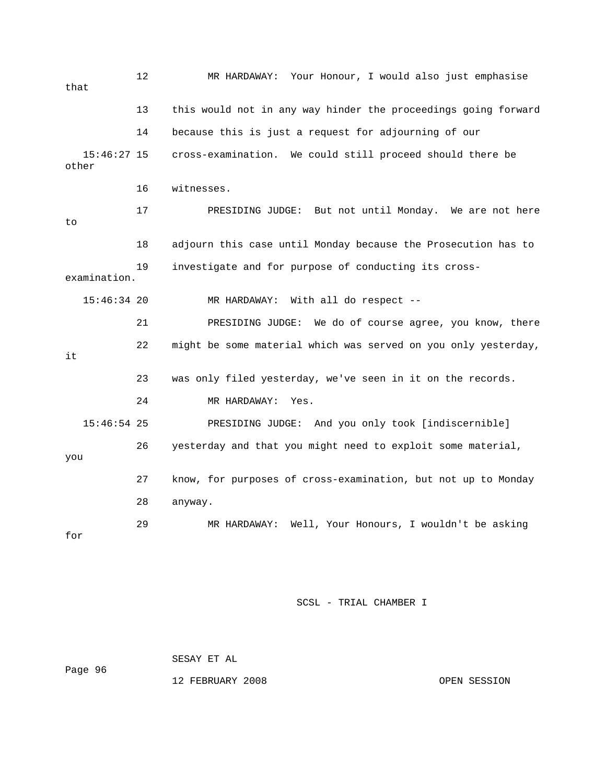| that                   | 12 | MR HARDAWAY: Your Honour, I would also just emphasise          |
|------------------------|----|----------------------------------------------------------------|
|                        | 13 | this would not in any way hinder the proceedings going forward |
|                        | 14 | because this is just a request for adjourning of our           |
| $15:46:27$ 15<br>other |    | cross-examination. We could still proceed should there be      |
|                        | 16 | witnesses.                                                     |
| to                     | 17 | PRESIDING JUDGE: But not until Monday. We are not here         |
|                        | 18 | adjourn this case until Monday because the Prosecution has to  |
| examination.           | 19 | investigate and for purpose of conducting its cross-           |
| $15:46:34$ 20          |    | MR HARDAWAY: With all do respect --                            |
|                        | 21 | PRESIDING JUDGE: We do of course agree, you know, there        |
| it                     | 22 | might be some material which was served on you only yesterday, |
|                        | 23 | was only filed yesterday, we've seen in it on the records.     |
|                        | 24 | MR HARDAWAY:<br>Yes.                                           |
| $15:46:54$ 25          |    | PRESIDING JUDGE: And you only took [indiscernible]             |
| you                    | 26 | yesterday and that you might need to exploit some material,    |
|                        | 27 | know, for purposes of cross-examination, but not up to Monday  |
|                        | 28 | anyway.                                                        |
| for                    | 29 | Well, Your Honours, I wouldn't be asking<br>MR HARDAWAY:       |

 SESAY ET AL Page 96

12 FEBRUARY 2008 OPEN SESSION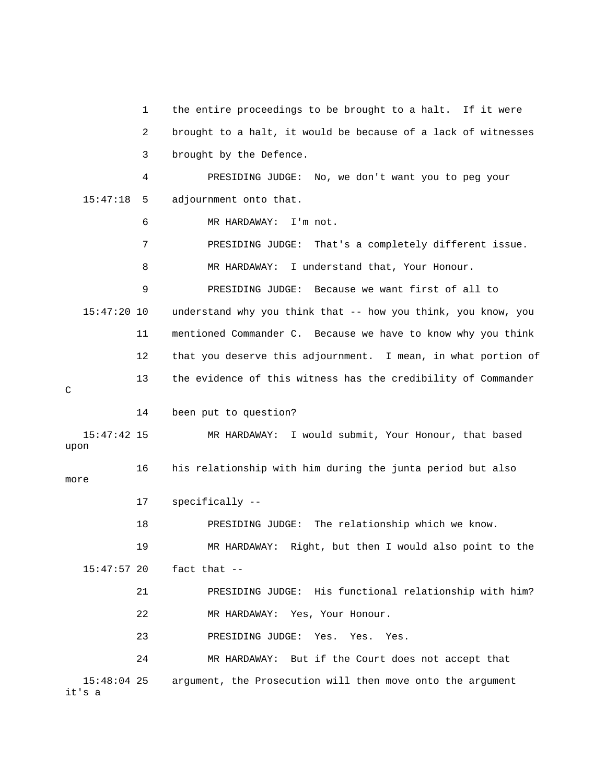1 the entire proceedings to be brought to a halt. If it were 2 brought to a halt, it would be because of a lack of witnesses 3 brought by the Defence. 4 PRESIDING JUDGE: No, we don't want you to peg your 15:47:18 5 adjournment onto that. 6 MR HARDAWAY: I'm not. 7 PRESIDING JUDGE: That's a completely different issue. 8 MR HARDAWAY: I understand that, Your Honour. 9 PRESIDING JUDGE: Because we want first of all to 15:47:20 10 understand why you think that -- how you think, you know, you 11 mentioned Commander C. Because we have to know why you think 12 that you deserve this adjournment. I mean, in what portion of 13 the evidence of this witness has the credibility of Commander  $\overline{C}$  14 been put to question? 15:47:42 15 MR HARDAWAY: I would submit, Your Honour, that based upon 16 his relationship with him during the junta period but also more 17 specifically -- 18 PRESIDING JUDGE: The relationship which we know. 19 MR HARDAWAY: Right, but then I would also point to the 15:47:57 20 fact that -- 21 PRESIDING JUDGE: His functional relationship with him? 22 MR HARDAWAY: Yes, Your Honour. 23 PRESIDING JUDGE: Yes. Yes. Yes. 24 MR HARDAWAY: But if the Court does not accept that 15:48:04 25 argument, the Prosecution will then move onto the argument it's a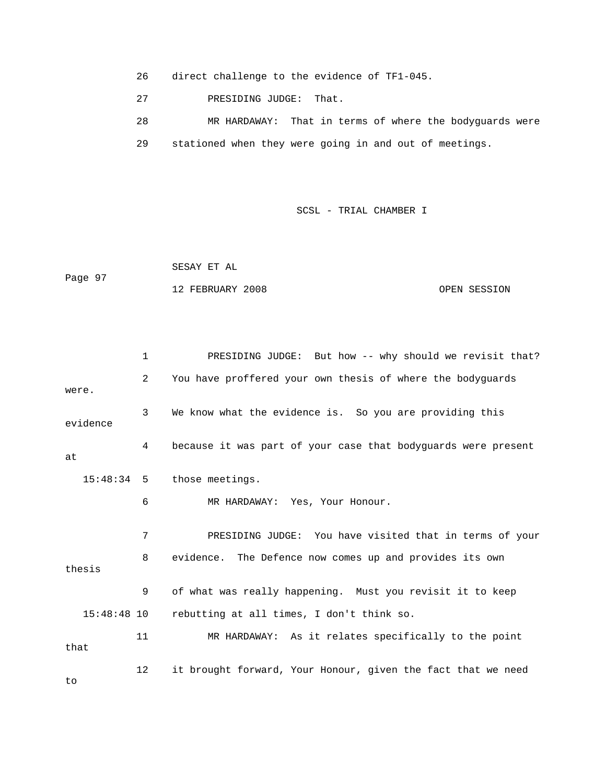26 direct challenge to the evidence of TF1-045.

27 PRESIDING JUDGE: That.

 28 MR HARDAWAY: That in terms of where the bodyguards were 29 stationed when they were going in and out of meetings.

SCSL - TRIAL CHAMBER I

 SESAY ET AL Page 97 12 FEBRUARY 2008 OPEN SESSION

 1 PRESIDING JUDGE: But how -- why should we revisit that? 2 You have proffered your own thesis of where the bodyguards were. 3 We know what the evidence is. So you are providing this evidence 4 because it was part of your case that bodyguards were present at 15:48:34 5 those meetings. 6 MR HARDAWAY: Yes, Your Honour. 7 PRESIDING JUDGE: You have visited that in terms of your 8 evidence. The Defence now comes up and provides its own thesis 9 of what was really happening. Must you revisit it to keep 15:48:48 10 rebutting at all times, I don't think so. 11 MR HARDAWAY: As it relates specifically to the point that 12 it brought forward, Your Honour, given the fact that we need to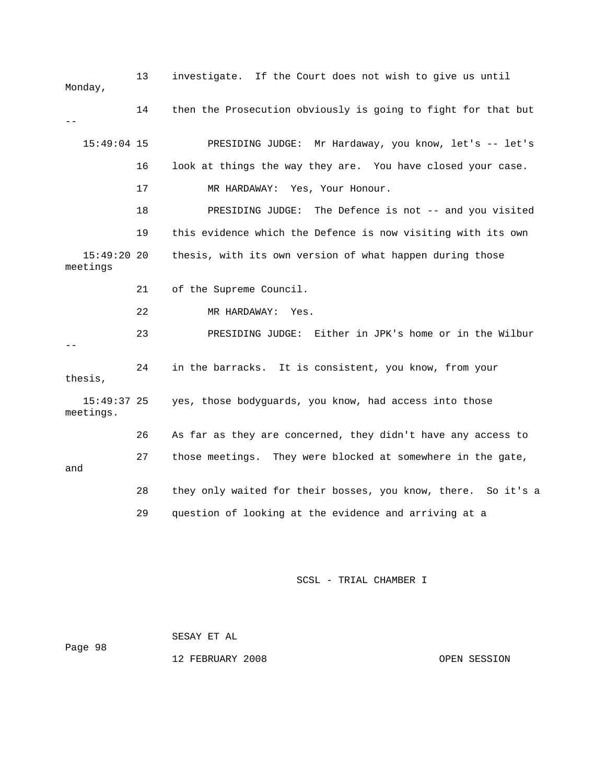| Monday,                   | 13 | investigate. If the Court does not wish to give us until      |
|---------------------------|----|---------------------------------------------------------------|
|                           | 14 | then the Prosecution obviously is going to fight for that but |
| $15:49:04$ 15             |    | PRESIDING JUDGE: Mr Hardaway, you know, let's -- let's        |
|                           | 16 | look at things the way they are. You have closed your case.   |
|                           | 17 | MR HARDAWAY: Yes, Your Honour.                                |
|                           | 18 | PRESIDING JUDGE: The Defence is not -- and you visited        |
|                           | 19 | this evidence which the Defence is now visiting with its own  |
| $15:49:20$ 20<br>meetings |    | thesis, with its own version of what happen during those      |
|                           | 21 | of the Supreme Council.                                       |
|                           | 22 | MR HARDAWAY: Yes.                                             |
|                           | 23 | PRESIDING JUDGE: Either in JPK's home or in the Wilbur        |
| thesis,                   | 24 | in the barracks. It is consistent, you know, from your        |
| 15:49:37 25<br>meetings.  |    | yes, those bodyguards, you know, had access into those        |
|                           | 26 | As far as they are concerned, they didn't have any access to  |
| and                       | 27 | those meetings. They were blocked at somewhere in the gate,   |
|                           | 28 | they only waited for their bosses, you know, there. So it's a |
|                           | 29 | question of looking at the evidence and arriving at a         |

|         | SESAY ET AL |                  |              |
|---------|-------------|------------------|--------------|
| Page 98 |             |                  |              |
|         |             | 12 FEBRUARY 2008 | OPEN SESSION |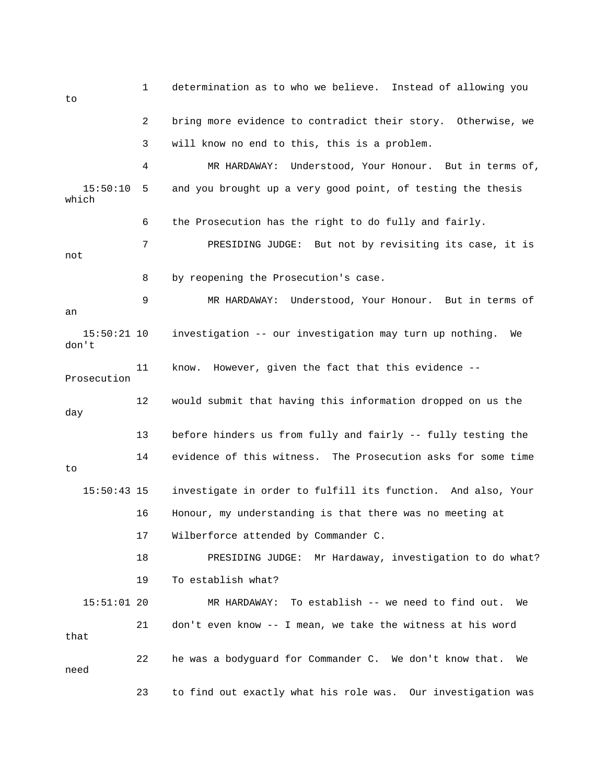1 determination as to who we believe. Instead of allowing you to 2 bring more evidence to contradict their story. Otherwise, we 3 will know no end to this, this is a problem. 4 MR HARDAWAY: Understood, Your Honour. But in terms of, 15:50:10 5 and you brought up a very good point, of testing the thesis which 6 the Prosecution has the right to do fully and fairly. 7 PRESIDING JUDGE: But not by revisiting its case, it is not 8 by reopening the Prosecution's case. 9 MR HARDAWAY: Understood, Your Honour. But in terms of an 15:50:21 10 investigation -- our investigation may turn up nothing. We don't 11 know. However, given the fact that this evidence -- Prosecution 12 would submit that having this information dropped on us the day 13 before hinders us from fully and fairly -- fully testing the 14 evidence of this witness. The Prosecution asks for some time to 15:50:43 15 investigate in order to fulfill its function. And also, Your 16 Honour, my understanding is that there was no meeting at 17 Wilberforce attended by Commander C. 18 PRESIDING JUDGE: Mr Hardaway, investigation to do what? 19 To establish what? 15:51:01 20 MR HARDAWAY: To establish -- we need to find out. We 21 don't even know -- I mean, we take the witness at his word that 22 he was a bodyguard for Commander C. We don't know that. We need 23 to find out exactly what his role was. Our investigation was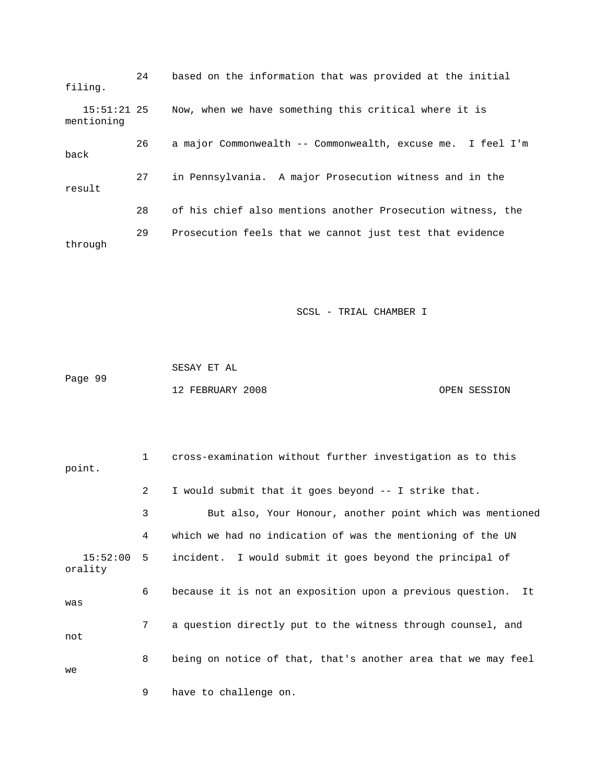| filing.                     | 24 | based on the information that was provided at the initial   |
|-----------------------------|----|-------------------------------------------------------------|
| $15:51:21$ 25<br>mentioning |    | Now, when we have something this critical where it is       |
| back                        | 26 | a major Commonwealth -- Commonwealth, excuse me. I feel I'm |
| result                      | 27 | in Pennsylvania. A major Prosecution witness and in the     |
|                             | 28 | of his chief also mentions another Prosecution witness, the |
| through                     | 29 | Prosecution feels that we cannot just test that evidence    |

|         | SESAY ET AL      |  |              |
|---------|------------------|--|--------------|
| Page 99 |                  |  |              |
|         | 12 FEBRUARY 2008 |  | OPEN SESSION |

| point.                  | $\mathbf{1}$   | cross-examination without further investigation as to this    |
|-------------------------|----------------|---------------------------------------------------------------|
|                         | $\overline{2}$ | I would submit that it goes beyond -- I strike that.          |
|                         | 3              | But also, Your Honour, another point which was mentioned      |
|                         | 4              | which we had no indication of was the mentioning of the UN    |
| $15:52:00$ 5<br>orality |                | incident. I would submit it goes beyond the principal of      |
| was                     | 6              | because it is not an exposition upon a previous question. It  |
| not                     | 7 <sup>7</sup> | a question directly put to the witness through counsel, and   |
| we                      | 8              | being on notice of that, that's another area that we may feel |
|                         | 9              | have to challenge on.                                         |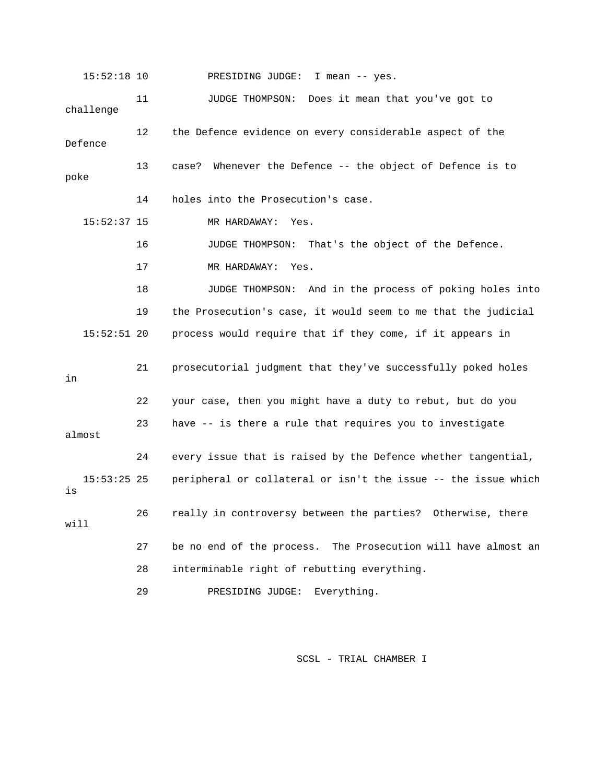15:52:18 10 PRESIDING JUDGE: I mean -- yes. 11 JUDGE THOMPSON: Does it mean that you've got to challenge 12 the Defence evidence on every considerable aspect of the Defence 13 case? Whenever the Defence -- the object of Defence is to poke 14 holes into the Prosecution's case. 15:52:37 15 MR HARDAWAY: Yes. 16 JUDGE THOMPSON: That's the object of the Defence. 17 MR HARDAWAY: Yes. 18 JUDGE THOMPSON: And in the process of poking holes into 19 the Prosecution's case, it would seem to me that the judicial 15:52:51 20 process would require that if they come, if it appears in 21 prosecutorial judgment that they've successfully poked holes in 22 your case, then you might have a duty to rebut, but do you 23 have -- is there a rule that requires you to investigate almost 24 every issue that is raised by the Defence whether tangential, 15:53:25 25 peripheral or collateral or isn't the issue -- the issue which is 26 really in controversy between the parties? Otherwise, there will 27 be no end of the process. The Prosecution will have almost an 28 interminable right of rebutting everything. 29 PRESIDING JUDGE: Everything.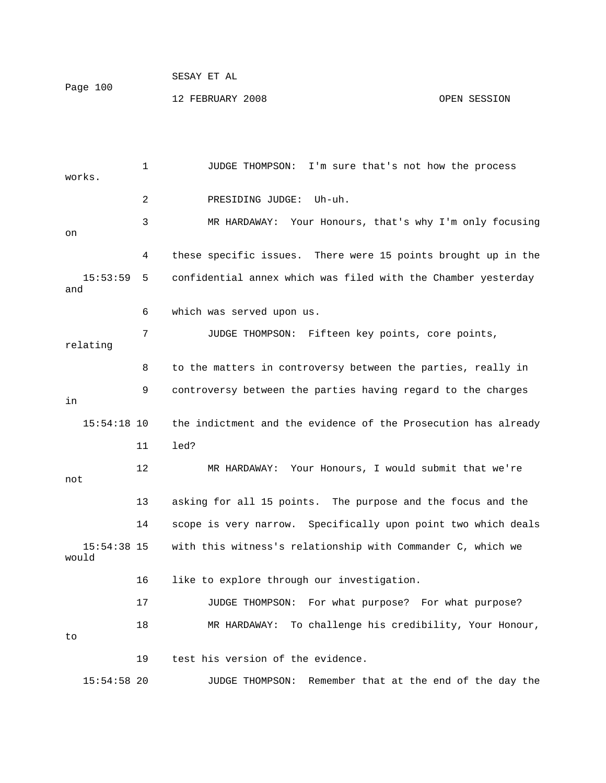1 JUDGE THOMPSON: I'm sure that's not how the process works. 2 PRESIDING JUDGE: Uh-uh. 3 MR HARDAWAY: Your Honours, that's why I'm only focusing on 4 these specific issues. There were 15 points brought up in the 15:53:59 5 confidential annex which was filed with the Chamber yesterday and 6 which was served upon us. 7 JUDGE THOMPSON: Fifteen key points, core points, relating 8 to the matters in controversy between the parties, really in 9 controversy between the parties having regard to the charges in 15:54:18 10 the indictment and the evidence of the Prosecution has already 11 led? 12 MR HARDAWAY: Your Honours, I would submit that we're not 13 asking for all 15 points. The purpose and the focus and the 14 scope is very narrow. Specifically upon point two which deals 15:54:38 15 with this witness's relationship with Commander C, which we would 16 like to explore through our investigation. 17 JUDGE THOMPSON: For what purpose? For what purpose? 18 MR HARDAWAY: To challenge his credibility, Your Honour, to 19 test his version of the evidence. 15:54:58 20 JUDGE THOMPSON: Remember that at the end of the day the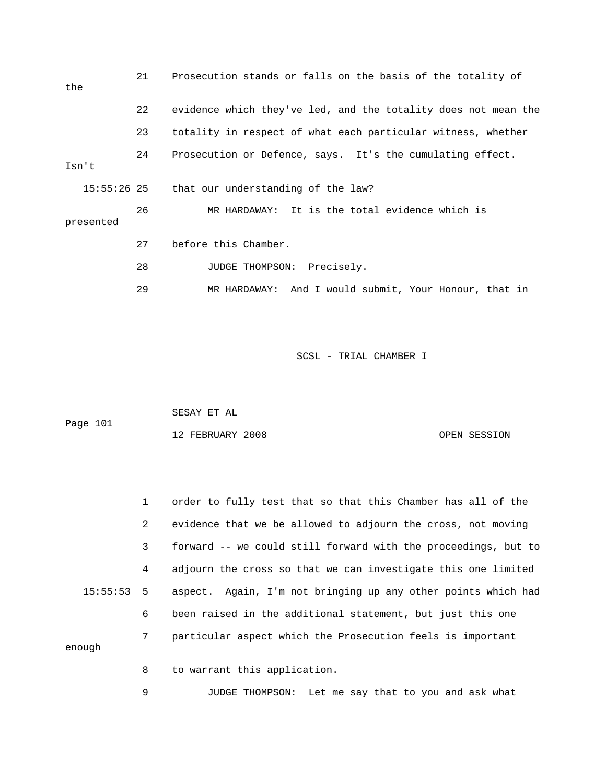| the         | 21 | Prosecution stands or falls on the basis of the totality of    |
|-------------|----|----------------------------------------------------------------|
|             | 22 | evidence which they've led, and the totality does not mean the |
|             | 23 | totality in respect of what each particular witness, whether   |
| Isn't       | 24 | Prosecution or Defence, says. It's the cumulating effect.      |
| 15:55:26 25 |    | that our understanding of the law?                             |
| presented   | 26 | MR HARDAWAY: It is the total evidence which is                 |
|             | 27 | before this Chamber.                                           |
|             | 28 | JUDGE THOMPSON: Precisely.                                     |
|             | 29 | MR HARDAWAY: And I would submit, Your Honour, that in          |

|          | SESAY ET AL      |              |
|----------|------------------|--------------|
| Page 101 |                  |              |
|          | 12 FEBRUARY 2008 | OPEN SESSION |

 1 order to fully test that so that this Chamber has all of the 2 evidence that we be allowed to adjourn the cross, not moving 3 forward -- we could still forward with the proceedings, but to 4 adjourn the cross so that we can investigate this one limited 15:55:53 5 aspect. Again, I'm not bringing up any other points which had 6 been raised in the additional statement, but just this one 7 particular aspect which the Prosecution feels is important enough 8 to warrant this application.

9 JUDGE THOMPSON: Let me say that to you and ask what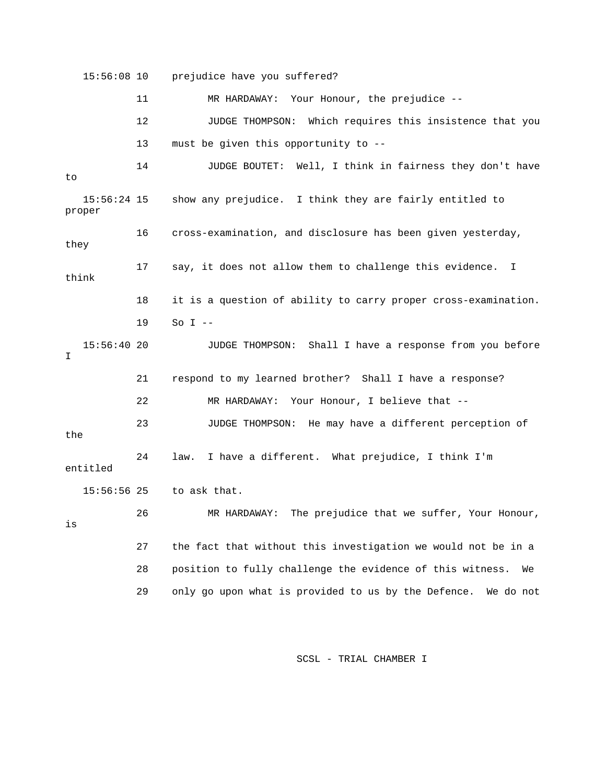15:56:08 10 prejudice have you suffered? 11 MR HARDAWAY: Your Honour, the prejudice -- 12 JUDGE THOMPSON: Which requires this insistence that you 13 must be given this opportunity to -- 14 JUDGE BOUTET: Well, I think in fairness they don't have to 15:56:24 15 show any prejudice. I think they are fairly entitled to proper 16 cross-examination, and disclosure has been given yesterday, they 17 say, it does not allow them to challenge this evidence. I think 18 it is a question of ability to carry proper cross-examination. 19 So I -- 15:56:40 20 JUDGE THOMPSON: Shall I have a response from you before T. 21 respond to my learned brother? Shall I have a response? 22 MR HARDAWAY: Your Honour, I believe that -- 23 JUDGE THOMPSON: He may have a different perception of the 24 law. I have a different. What prejudice, I think I'm entitled 15:56:56 25 to ask that. 26 MR HARDAWAY: The prejudice that we suffer, Your Honour, is 27 the fact that without this investigation we would not be in a 28 position to fully challenge the evidence of this witness. We 29 only go upon what is provided to us by the Defence. We do not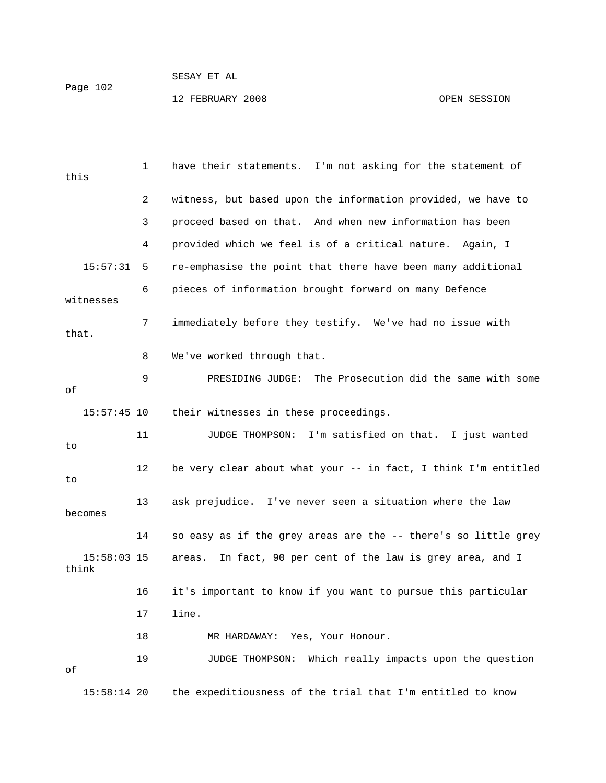## SESAY ET AL Page 102 12 FEBRUARY 2008 OPEN SESSION

| this      |               | 1  | have their statements. I'm not asking for the statement of       |
|-----------|---------------|----|------------------------------------------------------------------|
|           |               | 2  | witness, but based upon the information provided, we have to     |
|           |               | 3  | proceed based on that. And when new information has been         |
|           |               | 4  | provided which we feel is of a critical nature.<br>Aqain, I      |
|           | 15:57:31      | 5  | re-emphasise the point that there have been many additional      |
| witnesses |               | 6  | pieces of information brought forward on many Defence            |
| that.     |               | 7  | immediately before they testify. We've had no issue with         |
|           |               | 8  | We've worked through that.                                       |
| оf        |               | 9  | The Prosecution did the same with some<br>PRESIDING JUDGE:       |
|           | $15:57:45$ 10 |    | their witnesses in these proceedings.                            |
| to        |               | 11 | JUDGE THOMPSON: I'm satisfied on that. I just wanted             |
| to        |               | 12 | be very clear about what your -- in fact, I think I'm entitled   |
| becomes   |               | 13 | ask prejudice. I've never seen a situation where the law         |
|           |               | 14 | so easy as if the grey areas are the -- there's so little grey   |
| think     | $15:58:03$ 15 |    | In fact, 90 per cent of the law is grey area, and I<br>areas.    |
|           |               | 16 | it's important to know if you want to pursue this particular     |
|           |               | 17 | line.                                                            |
|           |               | 18 | MR HARDAWAY: Yes, Your Honour.                                   |
| оf        |               | 19 | Which really impacts upon the question<br><b>JUDGE THOMPSON:</b> |
|           | $15:58:14$ 20 |    | the expeditiousness of the trial that I'm entitled to know       |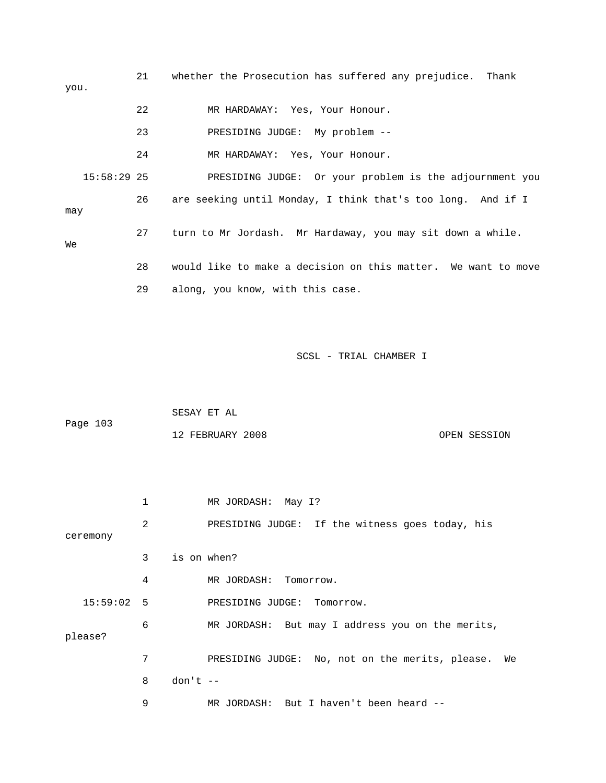| you. |               | 21 | whether the Prosecution has suffered any prejudice. Thank     |
|------|---------------|----|---------------------------------------------------------------|
|      |               | 22 | MR HARDAWAY: Yes, Your Honour.                                |
|      |               | 23 | PRESIDING JUDGE: My problem --                                |
|      |               | 24 | MR HARDAWAY: Yes, Your Honour.                                |
|      | $15:58:29$ 25 |    | PRESIDING JUDGE: Or your problem is the adjournment you       |
| may  |               | 26 | are seeking until Monday, I think that's too long. And if I   |
| Wе   |               | 27 | turn to Mr Jordash. Mr Hardaway, you may sit down a while.    |
|      |               | 28 | would like to make a decision on this matter. We want to move |
|      |               | 29 | along, you know, with this case.                              |
|      |               |    |                                                               |
|      |               |    |                                                               |
|      |               |    | SCSL - TRIAL CHAMBER I                                        |

 SESAY ET AL Page 103

| 12 FEBRUARY 2008 | OPEN SESSION |
|------------------|--------------|
|                  |              |

|            | 1 | MR JORDASH: May I?                                    |
|------------|---|-------------------------------------------------------|
| ceremony   | 2 | PRESIDING JUDGE: If the witness goes today, his       |
|            | 3 | is on when?                                           |
|            | 4 | MR JORDASH:<br>Tomorrow.                              |
| 15:59:02 5 |   | PRESIDING JUDGE: Tomorrow.                            |
| please?    | 6 | MR JORDASH: But may I address you on the merits,      |
|            | 7 | PRESIDING JUDGE: No, not on the merits, please.<br>We |
|            | 8 | $don't --$                                            |
|            | 9 | MR JORDASH: But I haven't been heard --               |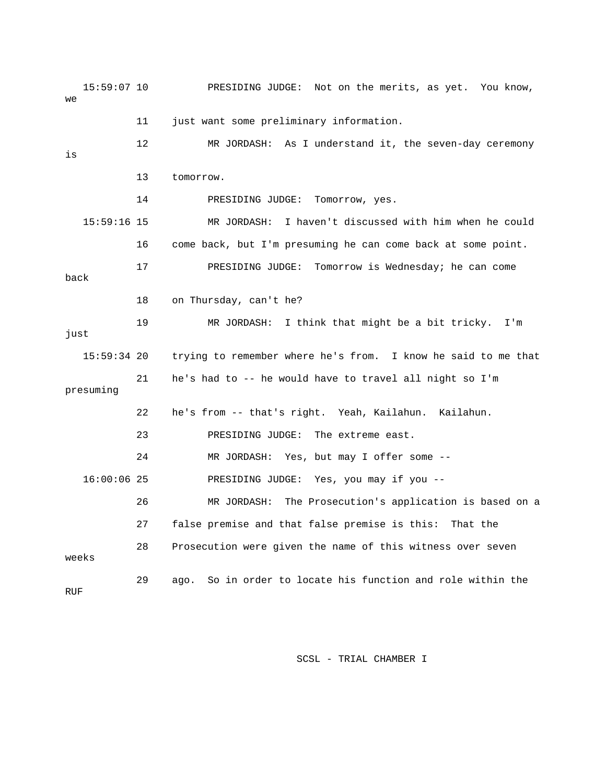15:59:07 10 PRESIDING JUDGE: Not on the merits, as yet. You know, we 11 just want some preliminary information. 12 MR JORDASH: As I understand it, the seven-day ceremony is 13 tomorrow. 14 PRESIDING JUDGE: Tomorrow, yes. 15:59:16 15 MR JORDASH: I haven't discussed with him when he could 16 come back, but I'm presuming he can come back at some point. 17 PRESIDING JUDGE: Tomorrow is Wednesday; he can come back 18 on Thursday, can't he? 19 MR JORDASH: I think that might be a bit tricky. I'm just 15:59:34 20 trying to remember where he's from. I know he said to me that 21 he's had to -- he would have to travel all night so I'm presuming 22 he's from -- that's right. Yeah, Kailahun. Kailahun. 23 PRESIDING JUDGE: The extreme east. 24 MR JORDASH: Yes, but may I offer some -- 16:00:06 25 PRESIDING JUDGE: Yes, you may if you -- 26 MR JORDASH: The Prosecution's application is based on a 27 false premise and that false premise is this: That the 28 Prosecution were given the name of this witness over seven weeks 29 ago. So in order to locate his function and role within the RUF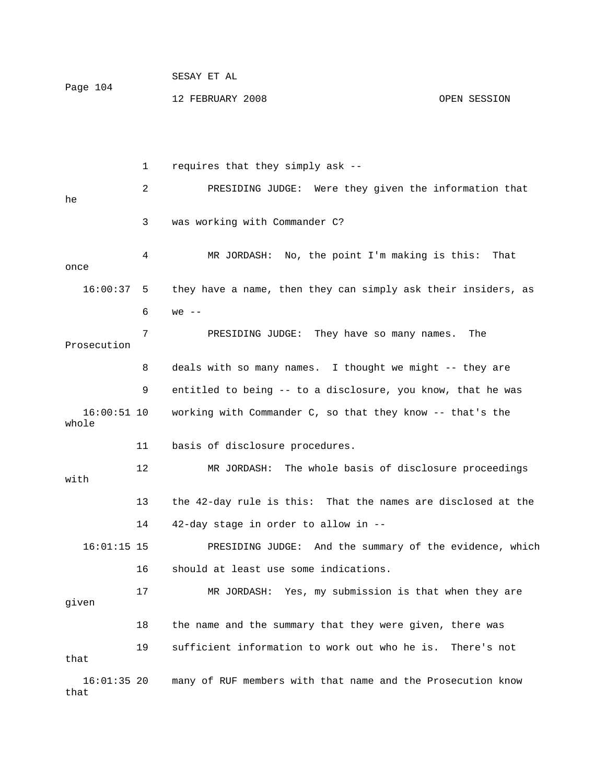| Page 104 | DLDAI LI AL      |              |
|----------|------------------|--------------|
|          | 12 FEBRUARY 2008 | OPEN SESSION |

CECAY ET AL

 1 requires that they simply ask -- 2 PRESIDING JUDGE: Were they given the information that he 3 was working with Commander C? 4 MR JORDASH: No, the point I'm making is this: That once 16:00:37 5 they have a name, then they can simply ask their insiders, as 6 we -- 7 PRESIDING JUDGE: They have so many names. The Prosecution 8 deals with so many names. I thought we might -- they are 9 entitled to being -- to a disclosure, you know, that he was 16:00:51 10 working with Commander C, so that they know -- that's the whole 11 basis of disclosure procedures. 12 MR JORDASH: The whole basis of disclosure proceedings with 13 the 42-day rule is this: That the names are disclosed at the 14 42-day stage in order to allow in -- 16:01:15 15 PRESIDING JUDGE: And the summary of the evidence, which 16 should at least use some indications. 17 MR JORDASH: Yes, my submission is that when they are given 18 the name and the summary that they were given, there was 19 sufficient information to work out who he is. There's not that 16:01:35 20 many of RUF members with that name and the Prosecution know that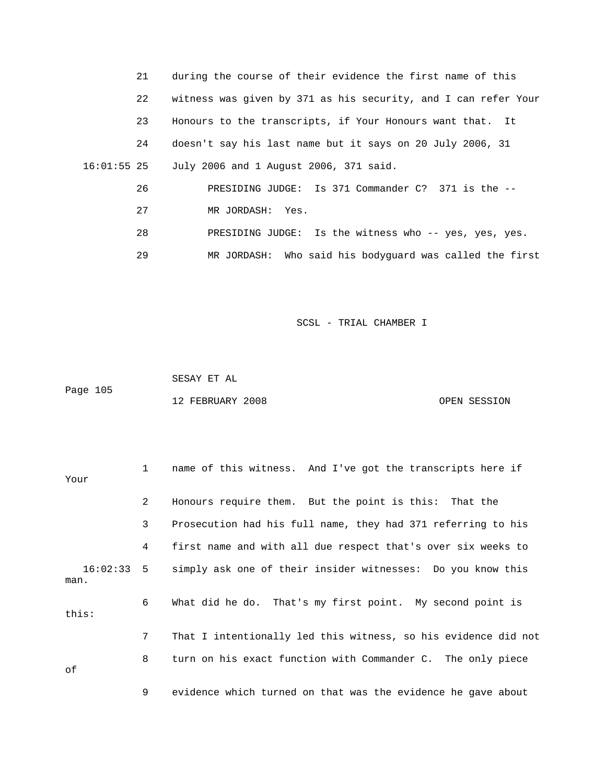| 21          | during the course of their evidence the first name of this     |
|-------------|----------------------------------------------------------------|
| 22          | witness was given by 371 as his security, and I can refer Your |
| 23          | Honours to the transcripts, if Your Honours want that. It      |
| 24          | doesn't say his last name but it says on 20 July 2006, 31      |
| 16:01:55 25 | July 2006 and 1 August 2006, 371 said.                         |
| 26          | PRESIDING JUDGE: Is 371 Commander C? 371 is the --             |
| 27          | MR JORDASH: Yes.                                               |
| 28          | PRESIDING JUDGE: Is the witness who -- yes, yes, yes.          |
| 29          | MR JORDASH: Who said his bodyguard was called the first        |

 SESAY ET AL Page 105 12 FEBRUARY 2008 OPEN SESSION

| Your  | $\mathbf{1}$ | name of this witness. And I've got the transcripts here if             |
|-------|--------------|------------------------------------------------------------------------|
|       | 2            | Honours require them. But the point is this: That the                  |
|       | 3            | Prosecution had his full name, they had 371 referring to his           |
|       | 4            | first name and with all due respect that's over six weeks to           |
| man.  |              | 16:02:33 5 simply ask one of their insider witnesses: Do you know this |
| this: | 6            | What did he do. That's my first point. My second point is              |
|       | 7            | That I intentionally led this witness, so his evidence did not         |
| оf    | 8            | turn on his exact function with Commander C. The only piece            |
|       | 9            | evidence which turned on that was the evidence he gave about           |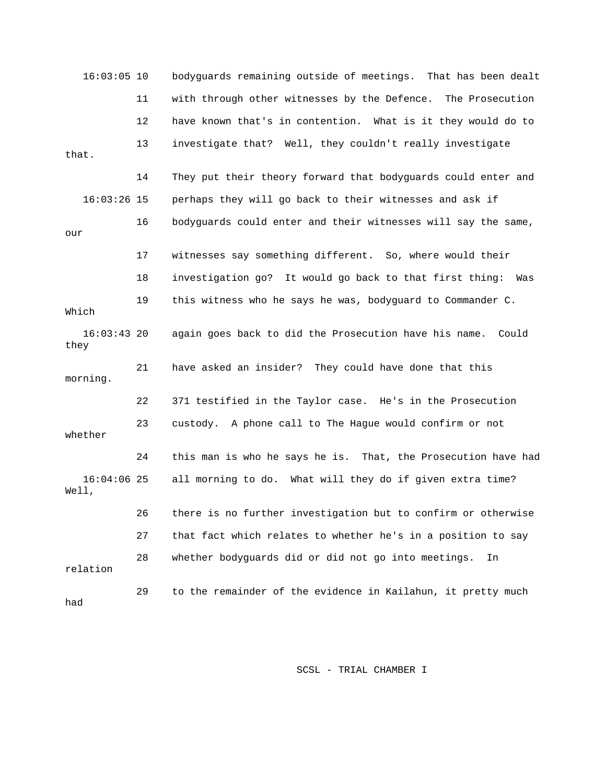16:03:05 10 bodyguards remaining outside of meetings. That has been dealt 11 with through other witnesses by the Defence. The Prosecution 12 have known that's in contention. What is it they would do to 13 investigate that? Well, they couldn't really investigate that. 14 They put their theory forward that bodyguards could enter and 16:03:26 15 perhaps they will go back to their witnesses and ask if 16 bodyguards could enter and their witnesses will say the same, our 17 witnesses say something different. So, where would their 18 investigation go? It would go back to that first thing: Was 19 this witness who he says he was, bodyguard to Commander C. Which 16:03:43 20 again goes back to did the Prosecution have his name. Could they 21 have asked an insider? They could have done that this morning. 22 371 testified in the Taylor case. He's in the Prosecution 23 custody. A phone call to The Hague would confirm or not whether 24 this man is who he says he is. That, the Prosecution have had 16:04:06 25 all morning to do. What will they do if given extra time? Well, 26 there is no further investigation but to confirm or otherwise 27 that fact which relates to whether he's in a position to say 28 whether bodyguards did or did not go into meetings. In relation 29 to the remainder of the evidence in Kailahun, it pretty much had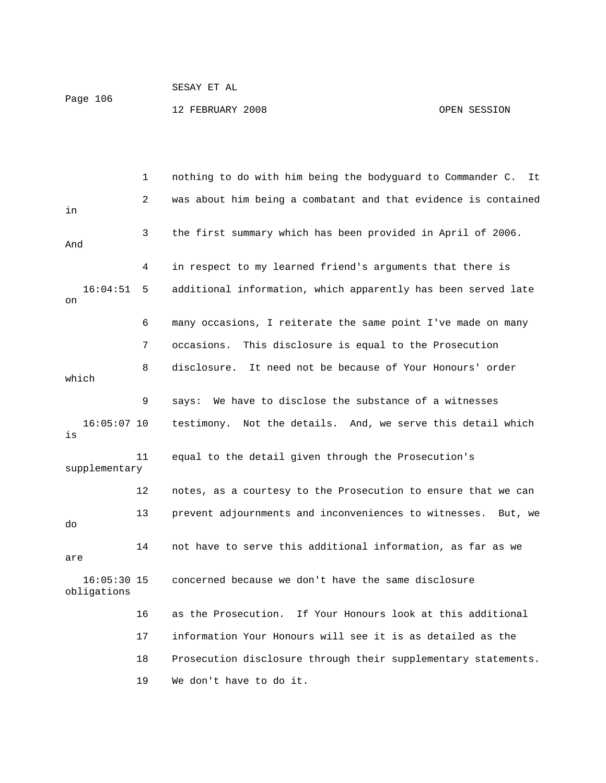SESAY ET AL Page 106 12 FEBRUARY 2008 OPEN SESSION

 1 nothing to do with him being the bodyguard to Commander C. It 2 was about him being a combatant and that evidence is contained in 3 the first summary which has been provided in April of 2006. And 4 in respect to my learned friend's arguments that there is 16:04:51 5 additional information, which apparently has been served late on 6 many occasions, I reiterate the same point I've made on many 7 occasions. This disclosure is equal to the Prosecution 8 disclosure. It need not be because of Your Honours' order which 9 says: We have to disclose the substance of a witnesses 16:05:07 10 testimony. Not the details. And, we serve this detail which is 11 equal to the detail given through the Prosecution's supplementary 12 notes, as a courtesy to the Prosecution to ensure that we can 13 prevent adjournments and inconveniences to witnesses. But, we do 14 not have to serve this additional information, as far as we are 16:05:30 15 concerned because we don't have the same disclosure obligations 16 as the Prosecution. If Your Honours look at this additional 17 information Your Honours will see it is as detailed as the 18 Prosecution disclosure through their supplementary statements. 19 We don't have to do it.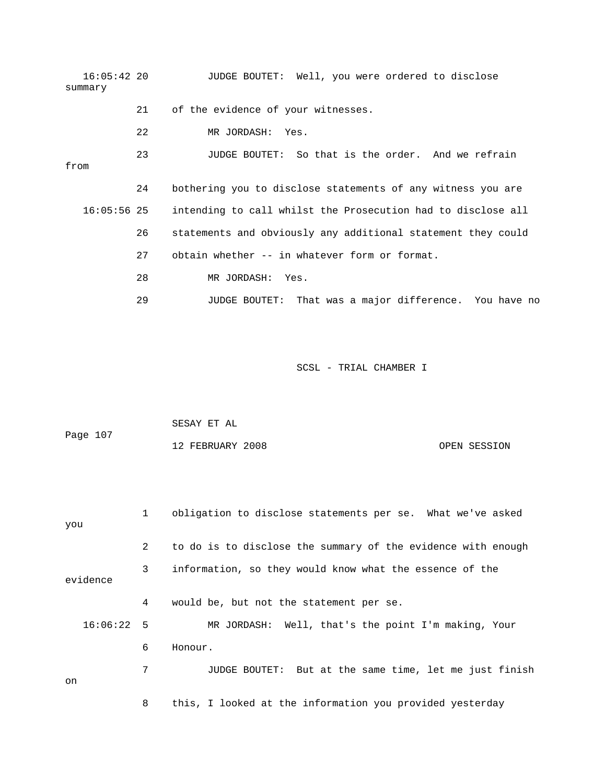| 16:05:42 20   |    | JUDGE BOUTET: Well, you were ordered to disclose             |
|---------------|----|--------------------------------------------------------------|
| summary       |    |                                                              |
|               | 21 | of the evidence of your witnesses.                           |
|               | 22 | MR JORDASH: Yes.                                             |
| from          | 23 | JUDGE BOUTET: So that is the order. And we refrain           |
|               | 24 | bothering you to disclose statements of any witness you are  |
| $16:05:56$ 25 |    | intending to call whilst the Prosecution had to disclose all |
|               | 26 | statements and obviously any additional statement they could |
|               | 27 | obtain whether -- in whatever form or format.                |
|               | 28 | MR JORDASH: Yes.                                             |
|               | 29 | JUDGE BOUTET: That was a major difference. You have no       |

| Page 107 | SESAY ET AL      |              |
|----------|------------------|--------------|
|          | 12 FEBRUARY 2008 | OPEN SESSION |

| you          | 1 | obligation to disclose statements per se. What we've asked   |
|--------------|---|--------------------------------------------------------------|
|              | 2 | to do is to disclose the summary of the evidence with enough |
| evidence     | 3 | information, so they would know what the essence of the      |
|              | 4 | would be, but not the statement per se.                      |
| $16:06:22$ 5 |   | MR JORDASH: Well, that's the point I'm making, Your          |
|              | 6 | Honour.                                                      |
| on           | 7 | JUDGE BOUTET: But at the same time, let me just finish       |
|              | 8 | this, I looked at the information you provided yesterday     |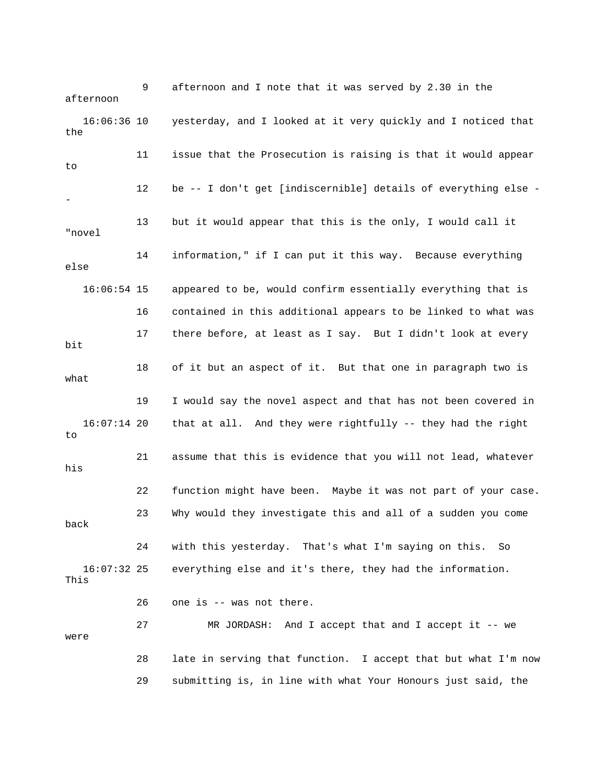9 afternoon and I note that it was served by 2.30 in the afternoon 16:06:36 10 yesterday, and I looked at it very quickly and I noticed that the 11 issue that the Prosecution is raising is that it would appear to 12 be -- I don't get [indiscernible] details of everything else - - 13 but it would appear that this is the only, I would call it "novel 14 information," if I can put it this way. Because everything else 16:06:54 15 appeared to be, would confirm essentially everything that is 16 contained in this additional appears to be linked to what was 17 there before, at least as I say. But I didn't look at every bit 18 of it but an aspect of it. But that one in paragraph two is what 19 I would say the novel aspect and that has not been covered in 16:07:14 20 that at all. And they were rightfully -- they had the right to 21 assume that this is evidence that you will not lead, whatever his 22 function might have been. Maybe it was not part of your case. 23 Why would they investigate this and all of a sudden you come back 24 with this yesterday. That's what I'm saying on this. So 16:07:32 25 everything else and it's there, they had the information. This 26 one is -- was not there. 27 MR JORDASH: And I accept that and I accept it -- we were 28 late in serving that function. I accept that but what I'm now 29 submitting is, in line with what Your Honours just said, the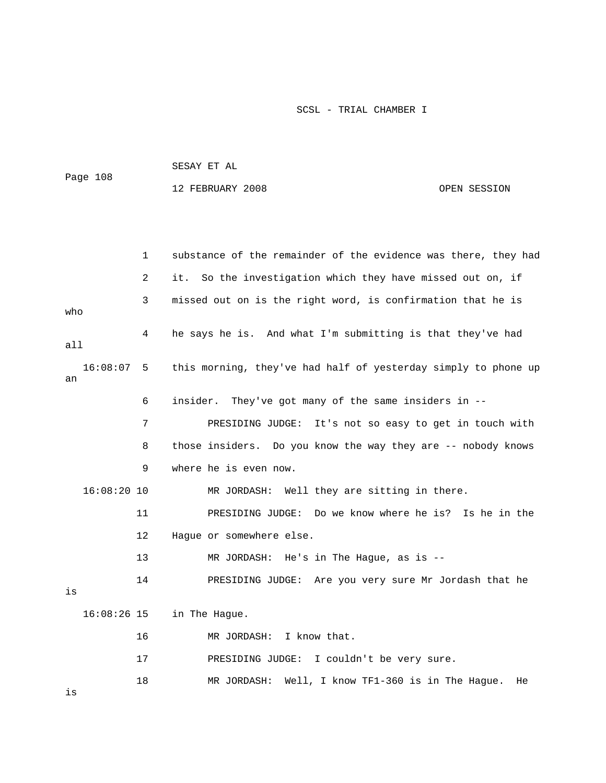| Page 108 | SESAY ET AL      |              |
|----------|------------------|--------------|
|          | 12 FEBRUARY 2008 | OPEN SESSION |

|     |               | 1              | substance of the remainder of the evidence was there, they had |  |  |
|-----|---------------|----------------|----------------------------------------------------------------|--|--|
|     |               | $\overline{2}$ | So the investigation which they have missed out on, if<br>it.  |  |  |
|     |               | 3              | missed out on is the right word, is confirmation that he is    |  |  |
| who |               |                |                                                                |  |  |
| all |               | 4              | he says he is. And what I'm submitting is that they've had     |  |  |
| an  | 16:08:07      | -5             | this morning, they've had half of yesterday simply to phone up |  |  |
|     |               | 6              | They've got many of the same insiders in --<br>insider.        |  |  |
|     |               | 7              | PRESIDING JUDGE: It's not so easy to get in touch with         |  |  |
|     |               | 8              | those insiders. Do you know the way they are -- nobody knows   |  |  |
|     |               | 9              | where he is even now.                                          |  |  |
|     | $16:08:20$ 10 |                | MR JORDASH: Well they are sitting in there.                    |  |  |
|     |               | 11             | PRESIDING JUDGE: Do we know where he is? Is he in the          |  |  |
|     |               | 12             | Hague or somewhere else.                                       |  |  |
|     |               | 13             | MR JORDASH: He's in The Hague, as is --                        |  |  |
|     |               | 14             | PRESIDING JUDGE: Are you very sure Mr Jordash that he          |  |  |
| is  |               |                |                                                                |  |  |
|     | $16:08:26$ 15 |                | in The Hague.                                                  |  |  |
|     |               | 16             | MR JORDASH:<br>I know that.                                    |  |  |
|     |               | 17             | PRESIDING JUDGE: I couldn't be very sure.                      |  |  |
| is  |               | 18             | Well, I know TF1-360 is in The Hague.<br>MR JORDASH:<br>He     |  |  |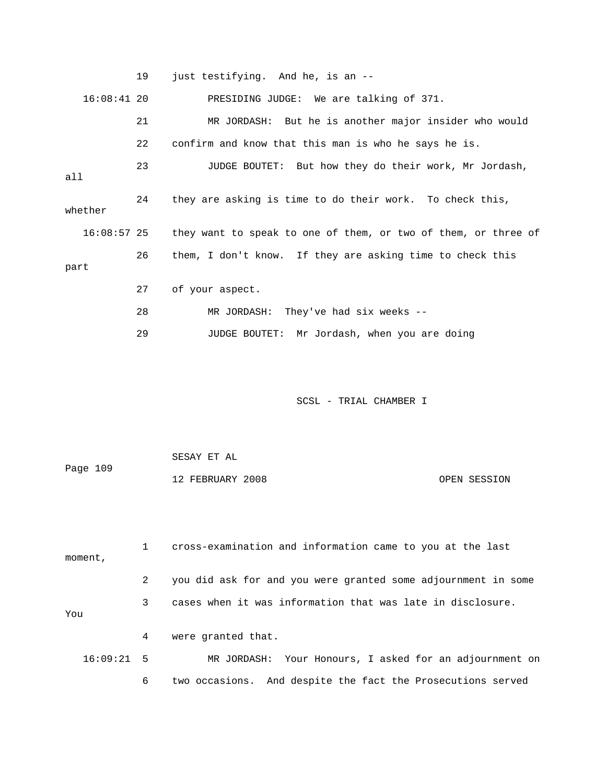|      |               | 19 | just testifying. And he, is an --                              |
|------|---------------|----|----------------------------------------------------------------|
|      | $16:08:41$ 20 |    | PRESIDING JUDGE: We are talking of 371.                        |
|      |               | 21 | MR JORDASH: But he is another major insider who would          |
|      |               | 22 | confirm and know that this man is who he says he is.           |
| all  |               | 23 | JUDGE BOUTET: But how they do their work, Mr Jordash,          |
|      | whether       | 24 | they are asking is time to do their work. To check this,       |
|      | 16:08:57 25   |    | they want to speak to one of them, or two of them, or three of |
| part |               | 26 | them, I don't know. If they are asking time to check this      |
|      |               |    |                                                                |
|      |               | 27 | of your aspect.                                                |
|      |               | 28 | MR JORDASH: They've had six weeks --                           |
|      |               | 29 | JUDGE BOUTET: Mr Jordash, when you are doing                   |
|      |               |    |                                                                |

|          | SESAY ET AL      |              |
|----------|------------------|--------------|
| Page 109 |                  |              |
|          | 12 FEBRUARY 2008 | OPEN SESSION |

 1 cross-examination and information came to you at the last moment, 2 you did ask for and you were granted some adjournment in some 3 cases when it was information that was late in disclosure. You 4 were granted that. 16:09:21 5 MR JORDASH: Your Honours, I asked for an adjournment on 6 two occasions. And despite the fact the Prosecutions served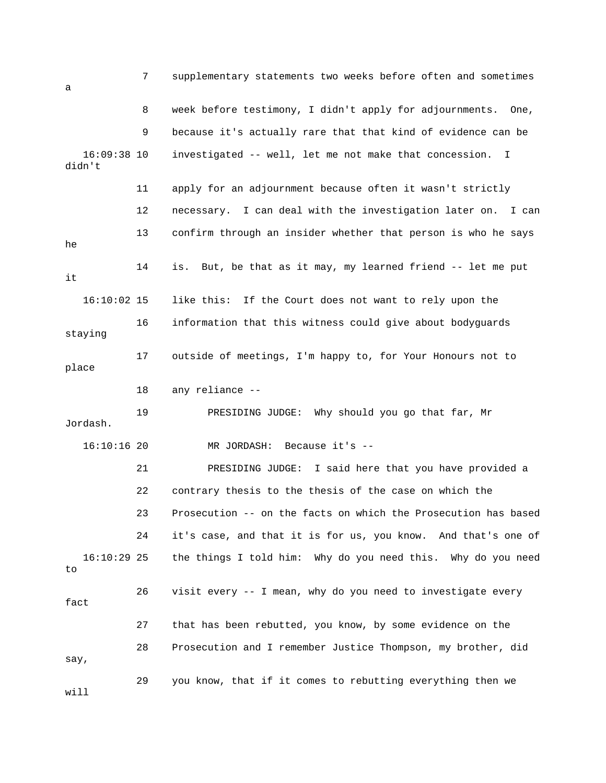| a                       | 7  | supplementary statements two weeks before often and sometimes   |
|-------------------------|----|-----------------------------------------------------------------|
|                         | 8  | week before testimony, I didn't apply for adjournments.<br>One, |
|                         | 9  | because it's actually rare that that kind of evidence can be    |
| $16:09:38$ 10<br>didn't |    | investigated -- well, let me not make that concession.<br>I.    |
|                         | 11 | apply for an adjournment because often it wasn't strictly       |
|                         | 12 | necessary. I can deal with the investigation later on.<br>I can |
| he                      | 13 | confirm through an insider whether that person is who he says   |
| it                      | 14 | But, be that as it may, my learned friend -- let me put<br>is.  |
| $16:10:02$ 15           |    | like this:<br>If the Court does not want to rely upon the       |
| staying                 | 16 | information that this witness could give about bodyguards       |
| place                   | 17 | outside of meetings, I'm happy to, for Your Honours not to      |
|                         | 18 | any reliance --                                                 |
| Jordash.                | 19 | PRESIDING JUDGE:<br>Why should you go that far, Mr              |
| $16:10:16$ 20           |    | Because $it's -$<br>MR JORDASH:                                 |
|                         | 21 | PRESIDING JUDGE: I said here that you have provided a           |
|                         | 22 | contrary thesis to the thesis of the case on which the          |
|                         | 23 | Prosecution -- on the facts on which the Prosecution has based  |
|                         | 24 | it's case, and that it is for us, you know. And that's one of   |
| $16:10:29$ 25<br>to     |    | the things I told him: Why do you need this. Why do you need    |
| fact                    | 26 | visit every -- I mean, why do you need to investigate every     |
|                         | 27 | that has been rebutted, you know, by some evidence on the       |
| say,                    | 28 | Prosecution and I remember Justice Thompson, my brother, did    |
| will                    | 29 | you know, that if it comes to rebutting everything then we      |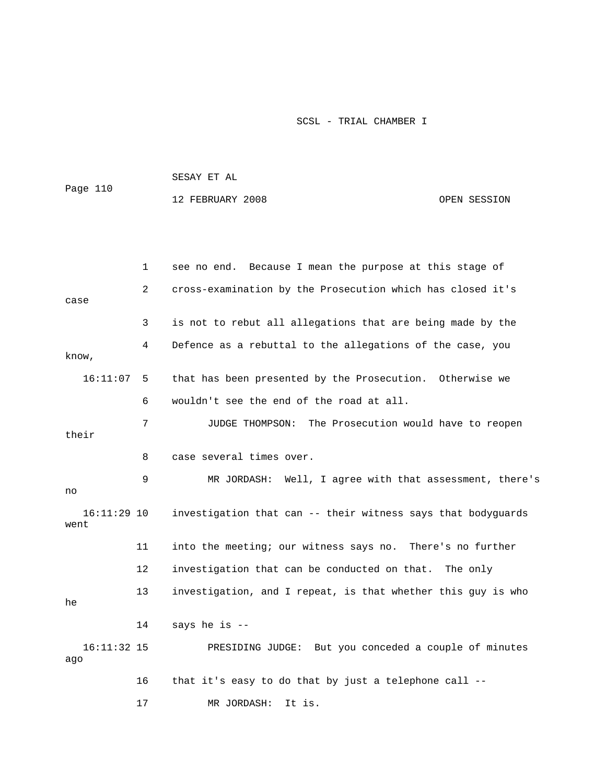|                       |    | SESAY ET AL                                                  |  |  |
|-----------------------|----|--------------------------------------------------------------|--|--|
| Page 110              |    | 12 FEBRUARY 2008<br>OPEN SESSION                             |  |  |
|                       |    |                                                              |  |  |
|                       |    |                                                              |  |  |
|                       | 1  | see no end. Because I mean the purpose at this stage of      |  |  |
| case                  | 2  | cross-examination by the Prosecution which has closed it's   |  |  |
|                       | 3  | is not to rebut all allegations that are being made by the   |  |  |
| know,                 | 4  | Defence as a rebuttal to the allegations of the case, you    |  |  |
| 16:11:07              | 5  | that has been presented by the Prosecution. Otherwise we     |  |  |
|                       | 6  | wouldn't see the end of the road at all.                     |  |  |
| their                 | 7  | The Prosecution would have to reopen<br>JUDGE THOMPSON:      |  |  |
|                       | 8  | case several times over.                                     |  |  |
| no                    | 9  | MR JORDASH: Well, I agree with that assessment, there's      |  |  |
| $16:11:29$ 10<br>went |    | investigation that can -- their witness says that bodyguards |  |  |
|                       | 11 | into the meeting; our witness says no. There's no further    |  |  |
|                       | 12 | investigation that can be conducted on that. The only        |  |  |
| he                    | 13 | investigation, and I repeat, is that whether this guy is who |  |  |
|                       | 14 | says he is --                                                |  |  |
| $16:11:32$ 15<br>ago  |    | PRESIDING JUDGE: But you conceded a couple of minutes        |  |  |
|                       | 16 | that it's easy to do that by just a telephone call --        |  |  |
|                       | 17 | MR JORDASH:<br>It is.                                        |  |  |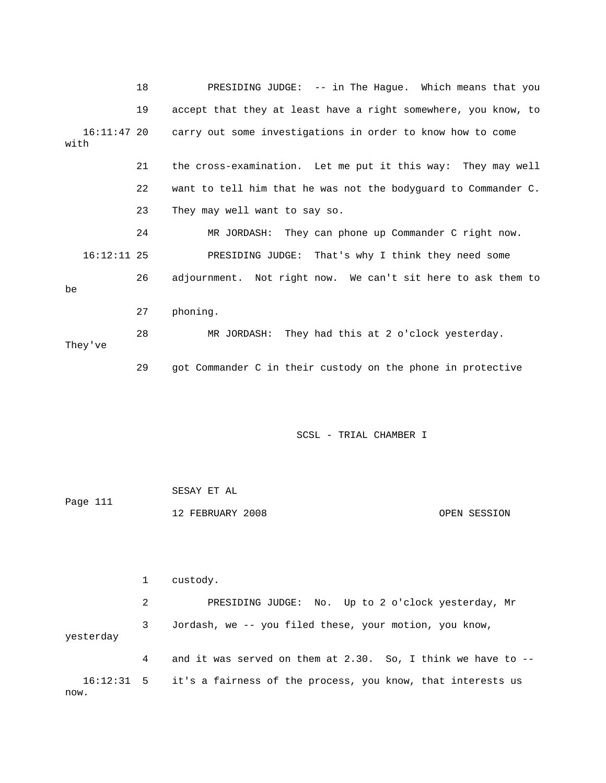|                       | 18 | PRESIDING JUDGE: -- in The Hague. Which means that you         |
|-----------------------|----|----------------------------------------------------------------|
|                       | 19 | accept that they at least have a right somewhere, you know, to |
| $16:11:47$ 20<br>with |    | carry out some investigations in order to know how to come     |
|                       | 21 | the cross-examination. Let me put it this way: They may well   |
|                       | 22 | want to tell him that he was not the bodyquard to Commander C. |
|                       | 23 | They may well want to say so.                                  |
|                       | 24 | MR JORDASH: They can phone up Commander C right now.           |
| $16:12:11$ 25         |    | PRESIDING JUDGE: That's why I think they need some             |
| be                    | 26 | adjournment. Not right now. We can't sit here to ask them to   |
|                       | 27 | phoning.                                                       |
| They've               | 28 | MR JORDASH: They had this at 2 o'clock yesterday.              |
|                       | 29 | got Commander C in their custody on the phone in protective    |

| Page 111 | SESAY ET AL      |              |  |
|----------|------------------|--------------|--|
|          | 12 FEBRUARY 2008 | OPEN SESSION |  |

 1 custody. 2 PRESIDING JUDGE: No. Up to 2 o'clock yesterday, Mr 3 Jordash, we -- you filed these, your motion, you know, yesterday 4 and it was served on them at 2.30. So, I think we have to -- 16:12:31 5 it's a fairness of the process, you know, that interests us now.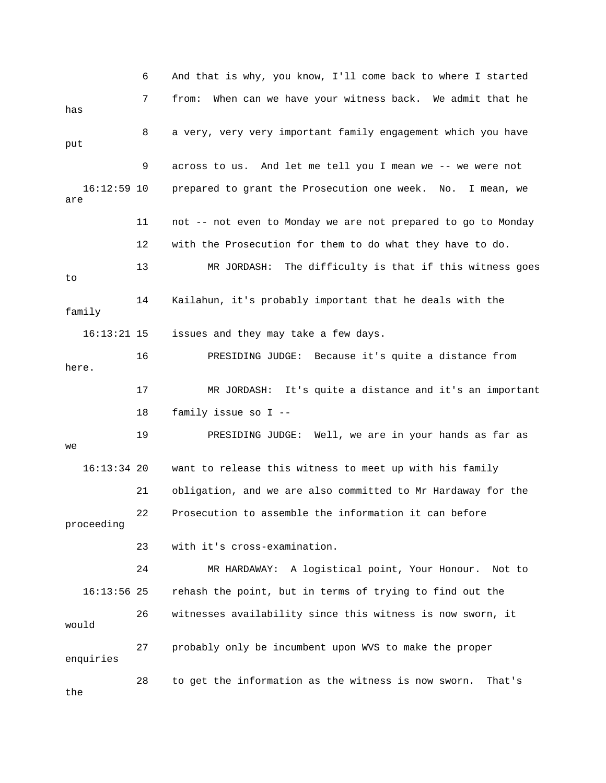6 And that is why, you know, I'll come back to where I started 7 from: When can we have your witness back. We admit that he has 8 a very, very very important family engagement which you have put 9 across to us. And let me tell you I mean we -- we were not 16:12:59 10 prepared to grant the Prosecution one week. No. I mean, we are 11 not -- not even to Monday we are not prepared to go to Monday 12 with the Prosecution for them to do what they have to do. 13 MR JORDASH: The difficulty is that if this witness goes to 14 Kailahun, it's probably important that he deals with the family 16:13:21 15 issues and they may take a few days. 16 PRESIDING JUDGE: Because it's quite a distance from here. 17 MR JORDASH: It's quite a distance and it's an important 18 family issue so I -- 19 PRESIDING JUDGE: Well, we are in your hands as far as we 16:13:34 20 want to release this witness to meet up with his family 21 obligation, and we are also committed to Mr Hardaway for the 22 Prosecution to assemble the information it can before proceeding 23 with it's cross-examination. 24 MR HARDAWAY: A logistical point, Your Honour. Not to 16:13:56 25 rehash the point, but in terms of trying to find out the 26 witnesses availability since this witness is now sworn, it would 27 probably only be incumbent upon WVS to make the proper enquiries 28 to get the information as the witness is now sworn. That's the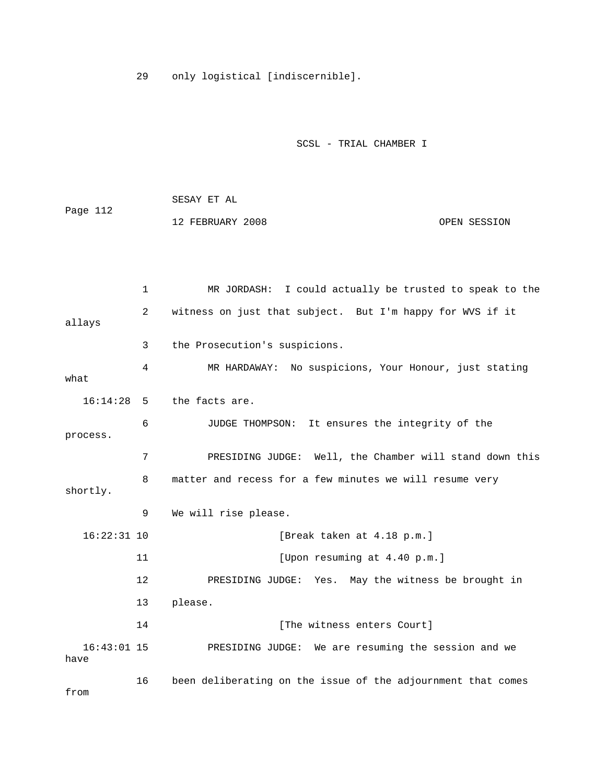29 only logistical [indiscernible].

SCSL - TRIAL CHAMBER I

|          | SESAY ET AL      |              |
|----------|------------------|--------------|
| Page 112 |                  |              |
|          | 12 FEBRUARY 2008 | OPEN SESSION |

|                       | $\mathbf{1}$ | MR JORDASH: I could actually be trusted to speak to the      |
|-----------------------|--------------|--------------------------------------------------------------|
| allays                | 2            | witness on just that subject. But I'm happy for WVS if it    |
|                       | 3            | the Prosecution's suspicions.                                |
| what                  | 4            | MR HARDAWAY: No suspicions, Your Honour, just stating        |
| 16:14:28              | - 5          | the facts are.                                               |
| process.              | 6            | JUDGE THOMPSON:<br>It ensures the integrity of the           |
|                       | 7            | PRESIDING JUDGE: Well, the Chamber will stand down this      |
| shortly.              | 8            | matter and recess for a few minutes we will resume very      |
|                       | 9            | We will rise please.                                         |
| $16:22:31$ 10         |              | [Break taken at 4.18 p.m.]                                   |
|                       | 11           | [Upon resuming at 4.40 p.m.]                                 |
|                       | 12           | PRESIDING JUDGE: Yes. May the witness be brought in          |
|                       | 13           | please.                                                      |
|                       | 14           | [The witness enters Court]                                   |
| $16:43:01$ 15<br>have |              | PRESIDING JUDGE: We are resuming the session and we          |
|                       | 16           | been deliberating on the issue of the adjournment that comes |

from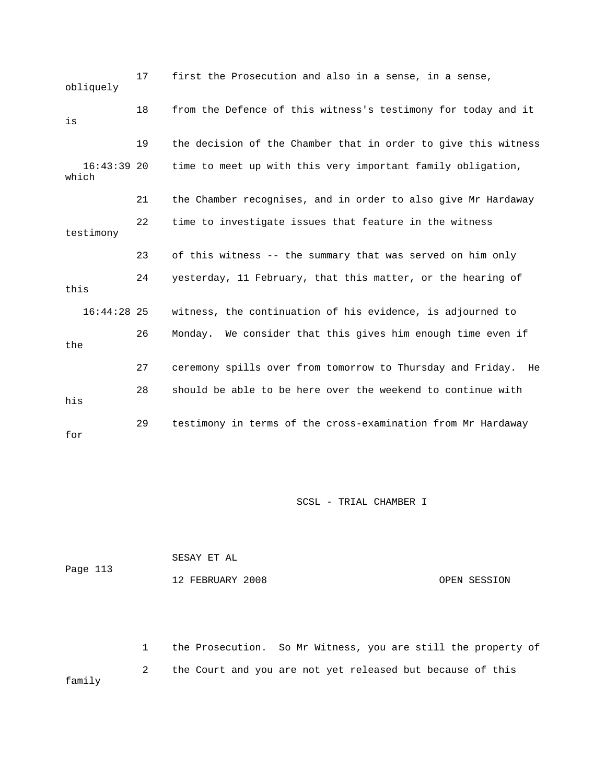17 first the Prosecution and also in a sense, in a sense, obliquely 18 from the Defence of this witness's testimony for today and it is 19 the decision of the Chamber that in order to give this witness 16:43:39 20 time to meet up with this very important family obligation, which 21 the Chamber recognises, and in order to also give Mr Hardaway 22 time to investigate issues that feature in the witness testimony 23 of this witness -- the summary that was served on him only 24 yesterday, 11 February, that this matter, or the hearing of this 16:44:28 25 witness, the continuation of his evidence, is adjourned to 26 Monday. We consider that this gives him enough time even if the 27 ceremony spills over from tomorrow to Thursday and Friday. He 28 should be able to be here over the weekend to continue with his 29 testimony in terms of the cross-examination from Mr Hardaway for

SCSL - TRIAL CHAMBER I

| Page 113 | SESAY ET AL      |              |
|----------|------------------|--------------|
|          | 12 FEBRUARY 2008 | OPEN SESSION |

 1 the Prosecution. So Mr Witness, you are still the property of 2 the Court and you are not yet released but because of this family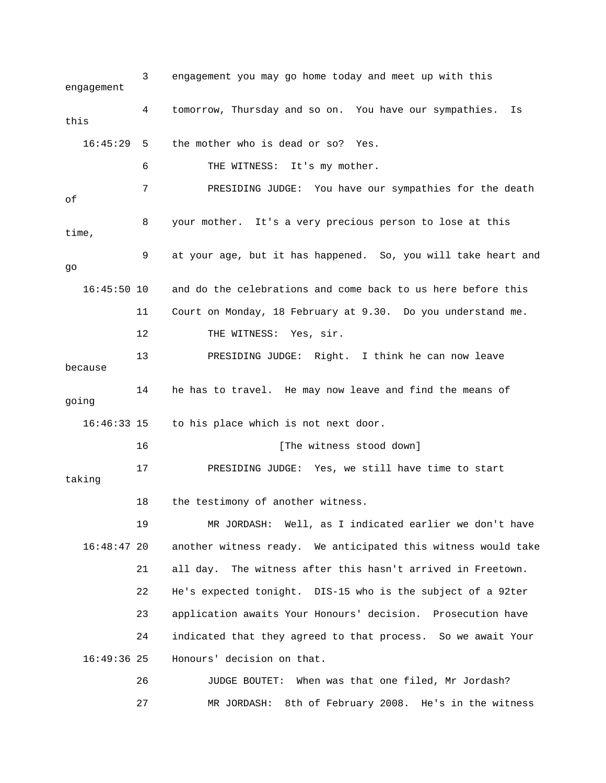3 engagement you may go home today and meet up with this engagement 4 tomorrow, Thursday and so on. You have our sympathies. Is this 16:45:29 5 the mother who is dead or so? Yes. 6 THE WITNESS: It's my mother. 7 PRESIDING JUDGE: You have our sympathies for the death of 8 your mother. It's a very precious person to lose at this time, 9 at your age, but it has happened. So, you will take heart and go 16:45:50 10 and do the celebrations and come back to us here before this 11 Court on Monday, 18 February at 9.30. Do you understand me. 12 THE WITNESS: Yes, sir. 13 PRESIDING JUDGE: Right. I think he can now leave because 14 he has to travel. He may now leave and find the means of going 16:46:33 15 to his place which is not next door. 16 [The witness stood down] 17 PRESIDING JUDGE: Yes, we still have time to start taking 18 the testimony of another witness. 19 MR JORDASH: Well, as I indicated earlier we don't have 16:48:47 20 another witness ready. We anticipated this witness would take 21 all day. The witness after this hasn't arrived in Freetown. 22 He's expected tonight. DIS-15 who is the subject of a 92ter 23 application awaits Your Honours' decision. Prosecution have 24 indicated that they agreed to that process. So we await Your 16:49:36 25 Honours' decision on that. 26 JUDGE BOUTET: When was that one filed, Mr Jordash? 27 MR JORDASH: 8th of February 2008. He's in the witness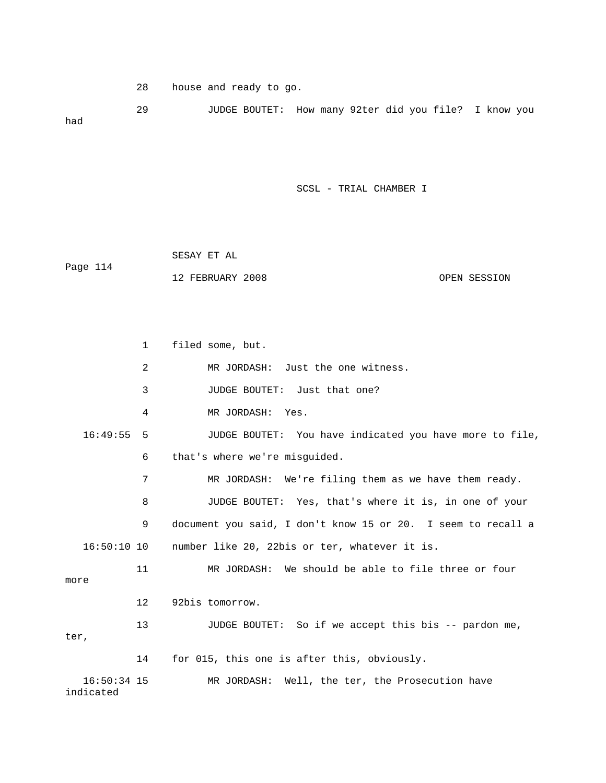28 house and ready to go.

 29 JUDGE BOUTET: How many 92ter did you file? I know you had

SCSL - TRIAL CHAMBER I

|          | SESAY ET AL      |              |
|----------|------------------|--------------|
| Page 114 |                  |              |
|          | 12 FEBRUARY 2008 | OPEN SESSION |

 1 filed some, but. 2 MR JORDASH: Just the one witness. 3 JUDGE BOUTET: Just that one? 4 MR JORDASH: Yes. 16:49:55 5 JUDGE BOUTET: You have indicated you have more to file, 6 that's where we're misguided. 7 MR JORDASH: We're filing them as we have them ready. 8 JUDGE BOUTET: Yes, that's where it is, in one of your 9 document you said, I don't know 15 or 20. I seem to recall a 16:50:10 10 number like 20, 22bis or ter, whatever it is. 11 MR JORDASH: We should be able to file three or four more 12 92bis tomorrow. 13 JUDGE BOUTET: So if we accept this bis -- pardon me, ter, 14 for 015, this one is after this, obviously. 16:50:34 15 MR JORDASH: Well, the ter, the Prosecution have indicated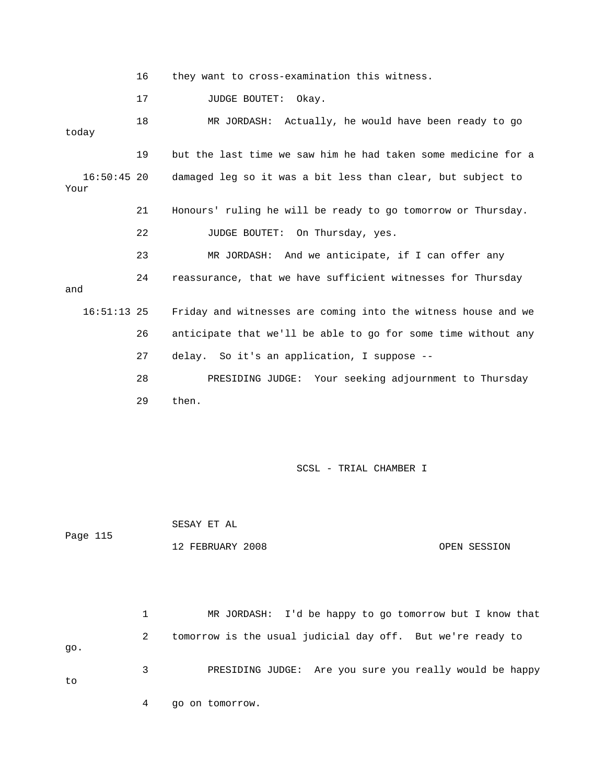16 they want to cross-examination this witness.

17 JUDGE BOUTET: Okay.

 18 MR JORDASH: Actually, he would have been ready to go today 19 but the last time we saw him he had taken some medicine for a 16:50:45 20 damaged leg so it was a bit less than clear, but subject to Your 21 Honours' ruling he will be ready to go tomorrow or Thursday. 22 JUDGE BOUTET: On Thursday, yes. 23 MR JORDASH: And we anticipate, if I can offer any 24 reassurance, that we have sufficient witnesses for Thursday and 16:51:13 25 Friday and witnesses are coming into the witness house and we 26 anticipate that we'll be able to go for some time without any 27 delay. So it's an application, I suppose -- 28 PRESIDING JUDGE: Your seeking adjournment to Thursday 29 then.

SCSL - TRIAL CHAMBER I

 SESAY ET AL Page 115 12 FEBRUARY 2008 OPEN SESSION

 1 MR JORDASH: I'd be happy to go tomorrow but I know that 2 tomorrow is the usual judicial day off. But we're ready to go. 3 PRESIDING JUDGE: Are you sure you really would be happy to 4 go on tomorrow.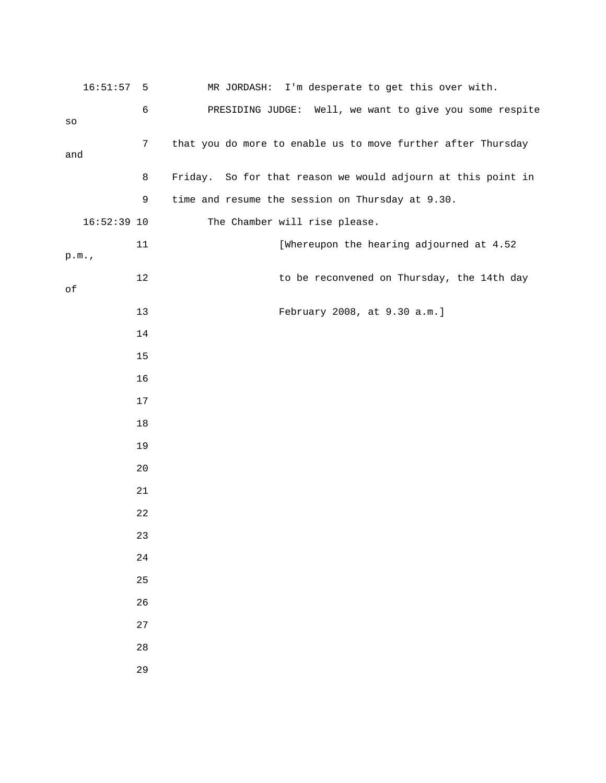| $16:51:57$ 5  |      | MR JORDASH: I'm desperate to get this over with.             |
|---------------|------|--------------------------------------------------------------|
| SO            | б    | PRESIDING JUDGE: Well, we want to give you some respite      |
| and           | 7    | that you do more to enable us to move further after Thursday |
|               | 8    | Friday. So for that reason we would adjourn at this point in |
|               | 9    | time and resume the session on Thursday at 9.30.             |
| $16:52:39$ 10 |      | The Chamber will rise please.                                |
| p.m.          | 11   | [Whereupon the hearing adjourned at 4.52                     |
| $\circ f$     | 12   | to be reconvened on Thursday, the 14th day                   |
|               | 13   | February 2008, at 9.30 a.m.]                                 |
|               | 14   |                                                              |
|               | 15   |                                                              |
|               | 16   |                                                              |
|               | $17$ |                                                              |
|               | 18   |                                                              |
|               | 19   |                                                              |
|               | 20   |                                                              |
|               | 21   |                                                              |
|               | 22   |                                                              |
|               | 23   |                                                              |
|               | 24   |                                                              |
|               | 25   |                                                              |
|               | 26   |                                                              |
|               | 27   |                                                              |
|               | 28   |                                                              |
|               | 29   |                                                              |